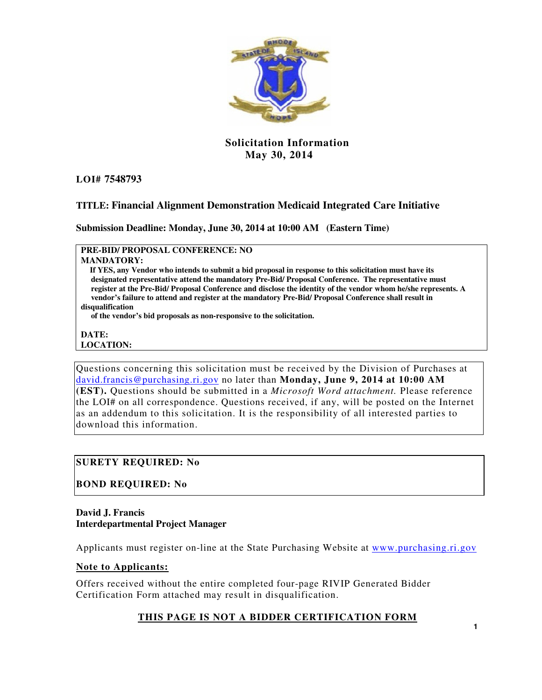

### **Solicitation Information May 30, 2014**

#### **LOI# 7548793**

### **TITLE: Financial Alignment Demonstration Medicaid Integrated Care Initiative**

**Submission Deadline: Monday, June 30, 2014 at 10:00 AM (Eastern Time)** 

#### **PRE-BID/ PROPOSAL CONFERENCE: NO**

#### **MANDATORY:**

 **If YES, any Vendor who intends to submit a bid proposal in response to this solicitation must have its designated representative attend the mandatory Pre-Bid/ Proposal Conference. The representative must register at the Pre-Bid/ Proposal Conference and disclose the identity of the vendor whom he/she represents. A vendor's failure to attend and register at the mandatory Pre-Bid/ Proposal Conference shall result in disqualification** 

 **of the vendor's bid proposals as non-responsive to the solicitation.** 

#### **DATE: LOCATION:**

Questions concerning this solicitation must be received by the Division of Purchases at david.francis@purchasing.ri.gov no later than **Monday, June 9, 2014 at 10:00 AM (EST).** Questions should be submitted in a *Microsoft Word attachment.* Please reference the LOI# on all correspondence. Questions received, if any, will be posted on the Internet as an addendum to this solicitation. It is the responsibility of all interested parties to download this information.

#### **SURETY REQUIRED: No**

### **BOND REQUIRED: No**

#### **David J. Francis Interdepartmental Project Manager**

Applicants must register on-line at the State Purchasing Website at www.purchasing.ri.gov

#### **Note to Applicants:**

Offers received without the entire completed four-page RIVIP Generated Bidder Certification Form attached may result in disqualification.

### **THIS PAGE IS NOT A BIDDER CERTIFICATION FORM**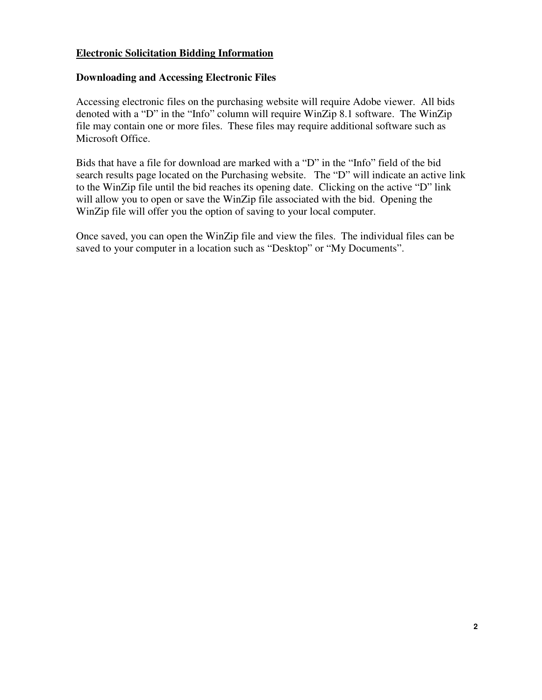### **Electronic Solicitation Bidding Information**

### **Downloading and Accessing Electronic Files**

Accessing electronic files on the purchasing website will require Adobe viewer. All bids denoted with a "D" in the "Info" column will require WinZip 8.1 software. The WinZip file may contain one or more files. These files may require additional software such as Microsoft Office.

Bids that have a file for download are marked with a "D" in the "Info" field of the bid search results page located on the Purchasing website. The "D" will indicate an active link to the WinZip file until the bid reaches its opening date. Clicking on the active "D" link will allow you to open or save the WinZip file associated with the bid. Opening the WinZip file will offer you the option of saving to your local computer.

Once saved, you can open the WinZip file and view the files. The individual files can be saved to your computer in a location such as "Desktop" or "My Documents".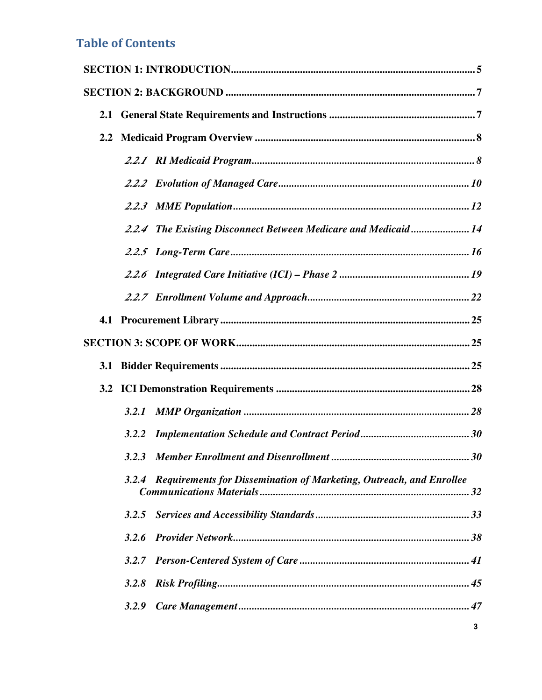# **Table of Contents**

|  |       | 2.2.4 The Existing Disconnect Between Medicare and Medicaid 14            |  |  |  |
|--|-------|---------------------------------------------------------------------------|--|--|--|
|  |       |                                                                           |  |  |  |
|  |       |                                                                           |  |  |  |
|  |       |                                                                           |  |  |  |
|  |       |                                                                           |  |  |  |
|  |       |                                                                           |  |  |  |
|  |       |                                                                           |  |  |  |
|  |       |                                                                           |  |  |  |
|  |       |                                                                           |  |  |  |
|  | 3.2.1 |                                                                           |  |  |  |
|  | 3.2.2 |                                                                           |  |  |  |
|  |       | 3.2.3 Member Enrollment and Disenrollment<br>30                           |  |  |  |
|  |       | 3.2.4 Requirements for Dissemination of Marketing, Outreach, and Enrollee |  |  |  |
|  |       |                                                                           |  |  |  |
|  |       |                                                                           |  |  |  |
|  |       |                                                                           |  |  |  |
|  |       |                                                                           |  |  |  |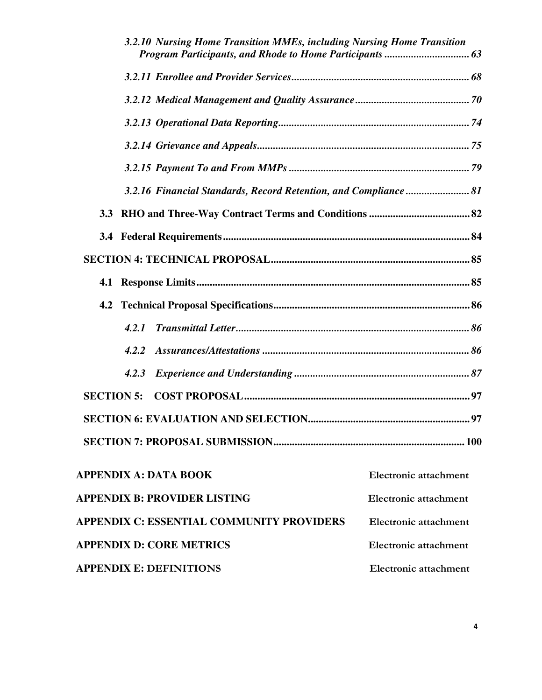| 3.2.10 Nursing Home Transition MMEs, including Nursing Home Transition |                       |
|------------------------------------------------------------------------|-----------------------|
|                                                                        |                       |
|                                                                        |                       |
|                                                                        |                       |
|                                                                        |                       |
|                                                                        |                       |
|                                                                        |                       |
| 3.3                                                                    |                       |
|                                                                        |                       |
|                                                                        |                       |
|                                                                        |                       |
|                                                                        |                       |
| 4.2.1                                                                  |                       |
| 4.2.2                                                                  |                       |
| 4.2.3                                                                  |                       |
| <b>SECTION 5:</b>                                                      |                       |
|                                                                        |                       |
|                                                                        |                       |
| <b>APPENDIX A: DATA BOOK</b>                                           | Electronic attachment |
| <b>APPENDIX B: PROVIDER LISTING</b>                                    | Electronic attachment |
| <b>APPENDIX C: ESSENTIAL COMMUNITY PROVIDERS</b>                       | Electronic attachment |
| <b>APPENDIX D: CORE METRICS</b>                                        | Electronic attachment |
| <b>APPENDIX E: DEFINITIONS</b>                                         | Electronic attachment |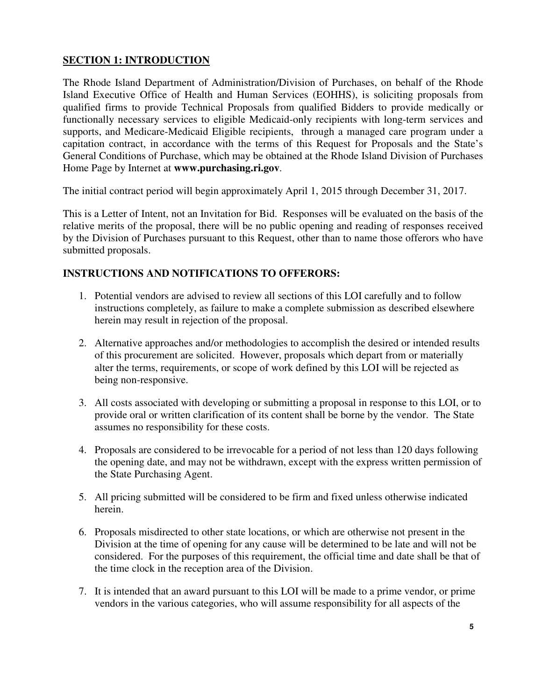### **SECTION 1: INTRODUCTION**

The Rhode Island Department of Administration/Division of Purchases, on behalf of the Rhode Island Executive Office of Health and Human Services (EOHHS), is soliciting proposals from qualified firms to provide Technical Proposals from qualified Bidders to provide medically or functionally necessary services to eligible Medicaid-only recipients with long-term services and supports, and Medicare-Medicaid Eligible recipients, through a managed care program under a capitation contract, in accordance with the terms of this Request for Proposals and the State's General Conditions of Purchase, which may be obtained at the Rhode Island Division of Purchases Home Page by Internet at **www.purchasing.ri.gov**.

The initial contract period will begin approximately April 1, 2015 through December 31, 2017.

This is a Letter of Intent, not an Invitation for Bid. Responses will be evaluated on the basis of the relative merits of the proposal, there will be no public opening and reading of responses received by the Division of Purchases pursuant to this Request, other than to name those offerors who have submitted proposals.

### **INSTRUCTIONS AND NOTIFICATIONS TO OFFERORS:**

- 1. Potential vendors are advised to review all sections of this LOI carefully and to follow instructions completely, as failure to make a complete submission as described elsewhere herein may result in rejection of the proposal.
- 2. Alternative approaches and/or methodologies to accomplish the desired or intended results of this procurement are solicited. However, proposals which depart from or materially alter the terms, requirements, or scope of work defined by this LOI will be rejected as being non-responsive.
- 3. All costs associated with developing or submitting a proposal in response to this LOI, or to provide oral or written clarification of its content shall be borne by the vendor. The State assumes no responsibility for these costs.
- 4. Proposals are considered to be irrevocable for a period of not less than 120 days following the opening date, and may not be withdrawn, except with the express written permission of the State Purchasing Agent.
- 5. All pricing submitted will be considered to be firm and fixed unless otherwise indicated herein.
- 6. Proposals misdirected to other state locations, or which are otherwise not present in the Division at the time of opening for any cause will be determined to be late and will not be considered. For the purposes of this requirement, the official time and date shall be that of the time clock in the reception area of the Division.
- 7. It is intended that an award pursuant to this LOI will be made to a prime vendor, or prime vendors in the various categories, who will assume responsibility for all aspects of the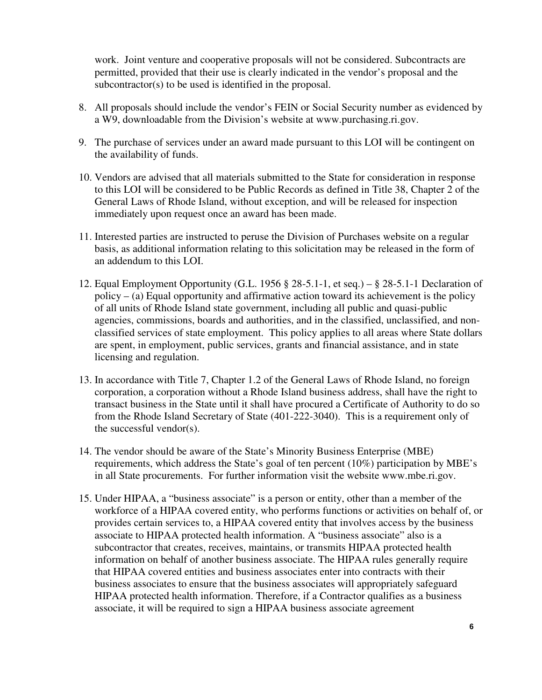work. Joint venture and cooperative proposals will not be considered. Subcontracts are permitted, provided that their use is clearly indicated in the vendor's proposal and the subcontractor(s) to be used is identified in the proposal.

- 8. All proposals should include the vendor's FEIN or Social Security number as evidenced by a W9, downloadable from the Division's website at www.purchasing.ri.gov.
- 9. The purchase of services under an award made pursuant to this LOI will be contingent on the availability of funds.
- 10. Vendors are advised that all materials submitted to the State for consideration in response to this LOI will be considered to be Public Records as defined in Title 38, Chapter 2 of the General Laws of Rhode Island, without exception, and will be released for inspection immediately upon request once an award has been made.
- 11. Interested parties are instructed to peruse the Division of Purchases website on a regular basis, as additional information relating to this solicitation may be released in the form of an addendum to this LOI.
- 12. Equal Employment Opportunity (G.L. 1956 § 28-5.1-1, et seq.) § 28-5.1-1 Declaration of  $policy – (a)$  Equal opportunity and affirmative action toward its achievement is the policy of all units of Rhode Island state government, including all public and quasi-public agencies, commissions, boards and authorities, and in the classified, unclassified, and nonclassified services of state employment. This policy applies to all areas where State dollars are spent, in employment, public services, grants and financial assistance, and in state licensing and regulation.
- 13. In accordance with Title 7, Chapter 1.2 of the General Laws of Rhode Island, no foreign corporation, a corporation without a Rhode Island business address, shall have the right to transact business in the State until it shall have procured a Certificate of Authority to do so from the Rhode Island Secretary of State (401-222-3040). This is a requirement only of the successful vendor(s).
- 14. The vendor should be aware of the State's Minority Business Enterprise (MBE) requirements, which address the State's goal of ten percent (10%) participation by MBE's in all State procurements. For further information visit the website www.mbe.ri.gov.
- 15. Under HIPAA, a "business associate" is a person or entity, other than a member of the workforce of a HIPAA covered entity, who performs functions or activities on behalf of, or provides certain services to, a HIPAA covered entity that involves access by the business associate to HIPAA protected health information. A "business associate" also is a subcontractor that creates, receives, maintains, or transmits HIPAA protected health information on behalf of another business associate. The HIPAA rules generally require that HIPAA covered entities and business associates enter into contracts with their business associates to ensure that the business associates will appropriately safeguard HIPAA protected health information. Therefore, if a Contractor qualifies as a business associate, it will be required to sign a HIPAA business associate agreement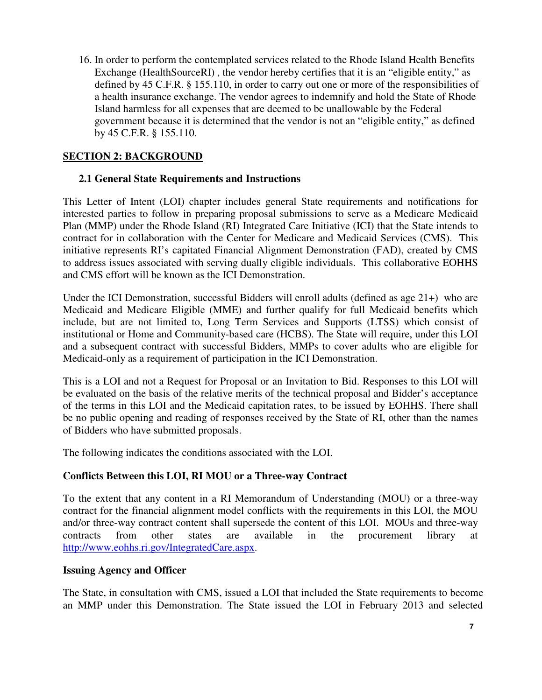16. In order to perform the contemplated services related to the Rhode Island Health Benefits Exchange (HealthSourceRI) , the vendor hereby certifies that it is an "eligible entity," as defined by 45 C.F.R. § 155.110, in order to carry out one or more of the responsibilities of a health insurance exchange. The vendor agrees to indemnify and hold the State of Rhode Island harmless for all expenses that are deemed to be unallowable by the Federal government because it is determined that the vendor is not an "eligible entity," as defined by 45 C.F.R. § 155.110.

### **SECTION 2: BACKGROUND**

### **2.1 General State Requirements and Instructions**

This Letter of Intent (LOI) chapter includes general State requirements and notifications for interested parties to follow in preparing proposal submissions to serve as a Medicare Medicaid Plan (MMP) under the Rhode Island (RI) Integrated Care Initiative (ICI) that the State intends to contract for in collaboration with the Center for Medicare and Medicaid Services (CMS). This initiative represents RI's capitated Financial Alignment Demonstration (FAD), created by CMS to address issues associated with serving dually eligible individuals. This collaborative EOHHS and CMS effort will be known as the ICI Demonstration.

Under the ICI Demonstration, successful Bidders will enroll adults (defined as age 21+) who are Medicaid and Medicare Eligible (MME) and further qualify for full Medicaid benefits which include, but are not limited to, Long Term Services and Supports (LTSS) which consist of institutional or Home and Community-based care (HCBS). The State will require, under this LOI and a subsequent contract with successful Bidders, MMPs to cover adults who are eligible for Medicaid-only as a requirement of participation in the ICI Demonstration.

This is a LOI and not a Request for Proposal or an Invitation to Bid. Responses to this LOI will be evaluated on the basis of the relative merits of the technical proposal and Bidder's acceptance of the terms in this LOI and the Medicaid capitation rates, to be issued by EOHHS. There shall be no public opening and reading of responses received by the State of RI, other than the names of Bidders who have submitted proposals.

The following indicates the conditions associated with the LOI.

### **Conflicts Between this LOI, RI MOU or a Three-way Contract**

To the extent that any content in a RI Memorandum of Understanding (MOU) or a three-way contract for the financial alignment model conflicts with the requirements in this LOI, the MOU and/or three-way contract content shall supersede the content of this LOI. MOUs and three-way contracts from other states are available in the procurement library at http://www.eohhs.ri.gov/IntegratedCare.aspx.

### **Issuing Agency and Officer**

The State, in consultation with CMS, issued a LOI that included the State requirements to become an MMP under this Demonstration. The State issued the LOI in February 2013 and selected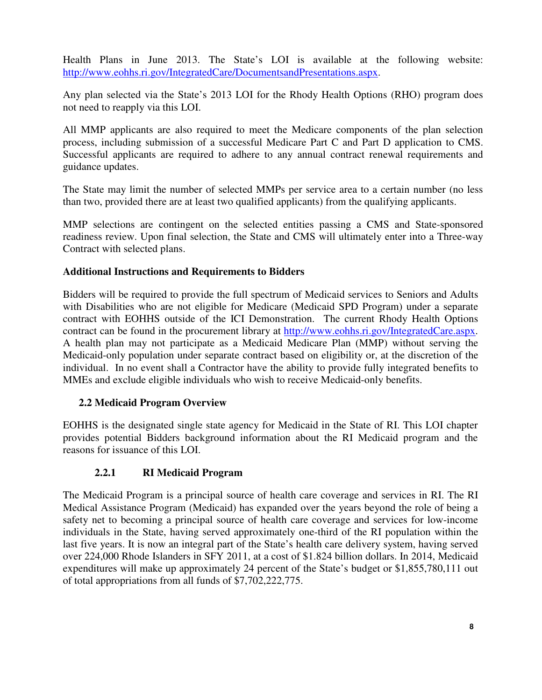Health Plans in June 2013. The State's LOI is available at the following website: http://www.eohhs.ri.gov/IntegratedCare/DocumentsandPresentations.aspx.

Any plan selected via the State's 2013 LOI for the Rhody Health Options (RHO) program does not need to reapply via this LOI.

All MMP applicants are also required to meet the Medicare components of the plan selection process, including submission of a successful Medicare Part C and Part D application to CMS. Successful applicants are required to adhere to any annual contract renewal requirements and guidance updates.

The State may limit the number of selected MMPs per service area to a certain number (no less than two, provided there are at least two qualified applicants) from the qualifying applicants.

MMP selections are contingent on the selected entities passing a CMS and State-sponsored readiness review. Upon final selection, the State and CMS will ultimately enter into a Three-way Contract with selected plans.

### **Additional Instructions and Requirements to Bidders**

Bidders will be required to provide the full spectrum of Medicaid services to Seniors and Adults with Disabilities who are not eligible for Medicare (Medicaid SPD Program) under a separate contract with EOHHS outside of the ICI Demonstration. The current Rhody Health Options contract can be found in the procurement library at http://www.eohhs.ri.gov/IntegratedCare.aspx. A health plan may not participate as a Medicaid Medicare Plan (MMP) without serving the Medicaid-only population under separate contract based on eligibility or, at the discretion of the individual. In no event shall a Contractor have the ability to provide fully integrated benefits to MMEs and exclude eligible individuals who wish to receive Medicaid-only benefits.

### **2.2 Medicaid Program Overview**

EOHHS is the designated single state agency for Medicaid in the State of RI. This LOI chapter provides potential Bidders background information about the RI Medicaid program and the reasons for issuance of this LOI.

#### **2.2.1 RI Medicaid Program**

The Medicaid Program is a principal source of health care coverage and services in RI. The RI Medical Assistance Program (Medicaid) has expanded over the years beyond the role of being a safety net to becoming a principal source of health care coverage and services for low-income individuals in the State, having served approximately one-third of the RI population within the last five years. It is now an integral part of the State's health care delivery system, having served over 224,000 Rhode Islanders in SFY 2011, at a cost of \$1.824 billion dollars. In 2014, Medicaid expenditures will make up approximately 24 percent of the State's budget or \$1,855,780,111 out of total appropriations from all funds of \$7,702,222,775.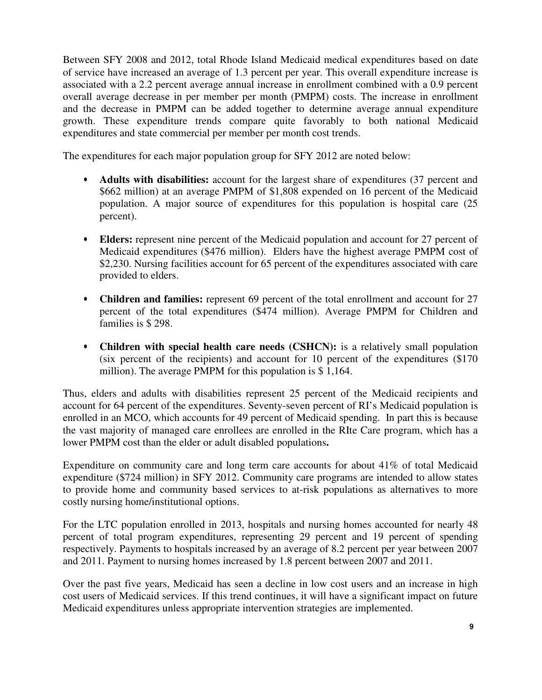Between SFY 2008 and 2012, total Rhode Island Medicaid medical expenditures based on date of service have increased an average of 1.3 percent per year. This overall expenditure increase is associated with a 2.2 percent average annual increase in enrollment combined with a 0.9 percent overall average decrease in per member per month (PMPM) costs. The increase in enrollment and the decrease in PMPM can be added together to determine average annual expenditure growth. These expenditure trends compare quite favorably to both national Medicaid expenditures and state commercial per member per month cost trends.

The expenditures for each major population group for SFY 2012 are noted below:

- **Adults with disabilities:** account for the largest share of expenditures (37 percent and \$662 million) at an average PMPM of \$1,808 expended on 16 percent of the Medicaid population. A major source of expenditures for this population is hospital care (25 percent).
- **Elders:** represent nine percent of the Medicaid population and account for 27 percent of Medicaid expenditures (\$476 million). Elders have the highest average PMPM cost of \$2,230. Nursing facilities account for 65 percent of the expenditures associated with care provided to elders.
- **Children and families:** represent 69 percent of the total enrollment and account for 27 percent of the total expenditures (\$474 million). Average PMPM for Children and families is \$ 298.
- **Children with special health care needs (CSHCN):** is a relatively small population (six percent of the recipients) and account for 10 percent of the expenditures (\$170 million). The average PMPM for this population is \$ 1,164.

Thus, elders and adults with disabilities represent 25 percent of the Medicaid recipients and account for 64 percent of the expenditures. Seventy-seven percent of RI's Medicaid population is enrolled in an MCO, which accounts for 49 percent of Medicaid spending. In part this is because the vast majority of managed care enrollees are enrolled in the RIte Care program, which has a lower PMPM cost than the elder or adult disabled populations**.** 

Expenditure on community care and long term care accounts for about 41% of total Medicaid expenditure (\$724 million) in SFY 2012. Community care programs are intended to allow states to provide home and community based services to at-risk populations as alternatives to more costly nursing home/institutional options.

For the LTC population enrolled in 2013, hospitals and nursing homes accounted for nearly 48 percent of total program expenditures, representing 29 percent and 19 percent of spending respectively. Payments to hospitals increased by an average of 8.2 percent per year between 2007 and 2011. Payment to nursing homes increased by 1.8 percent between 2007 and 2011.

Over the past five years, Medicaid has seen a decline in low cost users and an increase in high cost users of Medicaid services. If this trend continues, it will have a significant impact on future Medicaid expenditures unless appropriate intervention strategies are implemented.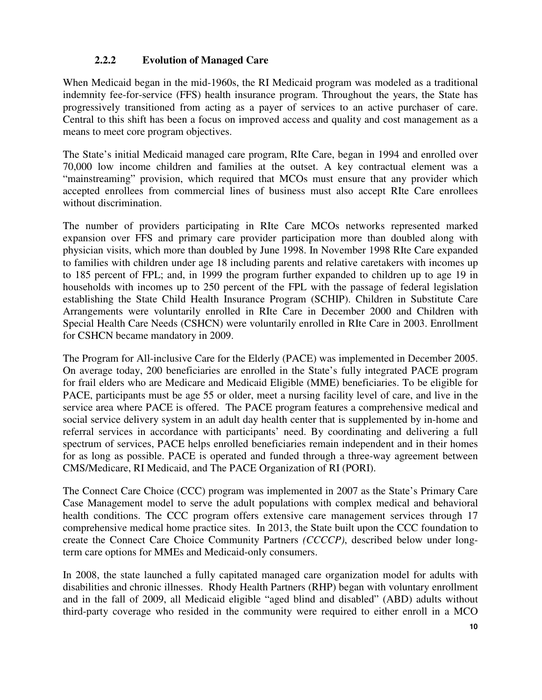### **2.2.2 Evolution of Managed Care**

When Medicaid began in the mid-1960s, the RI Medicaid program was modeled as a traditional indemnity fee-for-service (FFS) health insurance program. Throughout the years, the State has progressively transitioned from acting as a payer of services to an active purchaser of care. Central to this shift has been a focus on improved access and quality and cost management as a means to meet core program objectives.

The State's initial Medicaid managed care program, RIte Care, began in 1994 and enrolled over 70,000 low income children and families at the outset. A key contractual element was a "mainstreaming" provision, which required that MCOs must ensure that any provider which accepted enrollees from commercial lines of business must also accept RIte Care enrollees without discrimination.

The number of providers participating in RIte Care MCOs networks represented marked expansion over FFS and primary care provider participation more than doubled along with physician visits, which more than doubled by June 1998. In November 1998 RIte Care expanded to families with children under age 18 including parents and relative caretakers with incomes up to 185 percent of FPL; and, in 1999 the program further expanded to children up to age 19 in households with incomes up to 250 percent of the FPL with the passage of federal legislation establishing the State Child Health Insurance Program (SCHIP). Children in Substitute Care Arrangements were voluntarily enrolled in RIte Care in December 2000 and Children with Special Health Care Needs (CSHCN) were voluntarily enrolled in RIte Care in 2003. Enrollment for CSHCN became mandatory in 2009.

The Program for All-inclusive Care for the Elderly (PACE) was implemented in December 2005. On average today, 200 beneficiaries are enrolled in the State's fully integrated PACE program for frail elders who are Medicare and Medicaid Eligible (MME) beneficiaries. To be eligible for PACE, participants must be age 55 or older, meet a nursing facility level of care, and live in the service area where PACE is offered. The PACE program features a comprehensive medical and social service delivery system in an adult day health center that is supplemented by in-home and referral services in accordance with participants' need. By coordinating and delivering a full spectrum of services, PACE helps enrolled beneficiaries remain independent and in their homes for as long as possible. PACE is operated and funded through a three-way agreement between CMS/Medicare, RI Medicaid, and The PACE Organization of RI (PORI).

The Connect Care Choice (CCC) program was implemented in 2007 as the State's Primary Care Case Management model to serve the adult populations with complex medical and behavioral health conditions. The CCC program offers extensive care management services through 17 comprehensive medical home practice sites. In 2013, the State built upon the CCC foundation to create the Connect Care Choice Community Partners *(CCCCP)*, described below under longterm care options for MMEs and Medicaid-only consumers.

In 2008, the state launched a fully capitated managed care organization model for adults with disabilities and chronic illnesses. Rhody Health Partners (RHP) began with voluntary enrollment and in the fall of 2009, all Medicaid eligible "aged blind and disabled" (ABD) adults without third-party coverage who resided in the community were required to either enroll in a MCO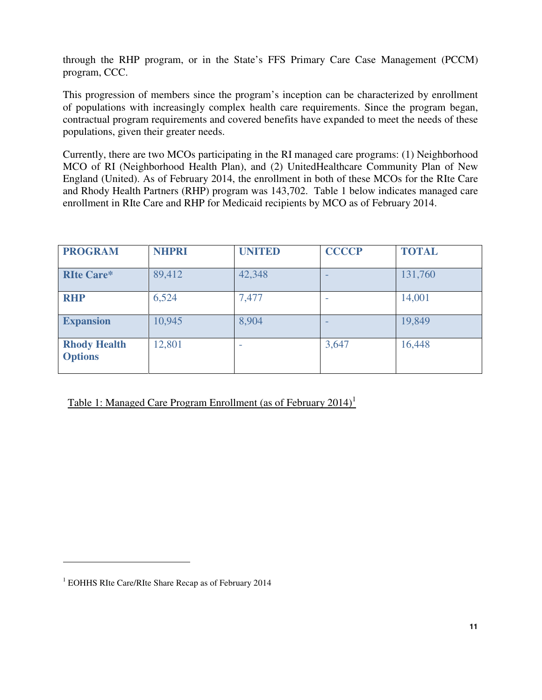through the RHP program, or in the State's FFS Primary Care Case Management (PCCM) program, CCC.

This progression of members since the program's inception can be characterized by enrollment of populations with increasingly complex health care requirements. Since the program began, contractual program requirements and covered benefits have expanded to meet the needs of these populations, given their greater needs.

Currently, there are two MCOs participating in the RI managed care programs: (1) Neighborhood MCO of RI (Neighborhood Health Plan), and (2) UnitedHealthcare Community Plan of New England (United). As of February 2014, the enrollment in both of these MCOs for the RIte Care and Rhody Health Partners (RHP) program was 143,702. Table 1 below indicates managed care enrollment in RIte Care and RHP for Medicaid recipients by MCO as of February 2014.

| <b>PROGRAM</b>                        | <b>NHPRI</b> | <b>UNITED</b> | <b>CCCCP</b> | <b>TOTAL</b> |
|---------------------------------------|--------------|---------------|--------------|--------------|
| <b>RIte Care*</b>                     | 89,412       | 42,348        |              | 131,760      |
| <b>RHP</b>                            | 6,524        | 7,477         |              | 14,001       |
| <b>Expansion</b>                      | 10,945       | 8,904         |              | 19,849       |
| <b>Rhody Health</b><br><b>Options</b> | 12,801       |               | 3,647        | 16,448       |

Table 1: Managed Care Program Enrollment (as of February  $2014$ )<sup>1</sup>

 $\overline{a}$ 

<sup>&</sup>lt;sup>1</sup> EOHHS RIte Care/RIte Share Recap as of February 2014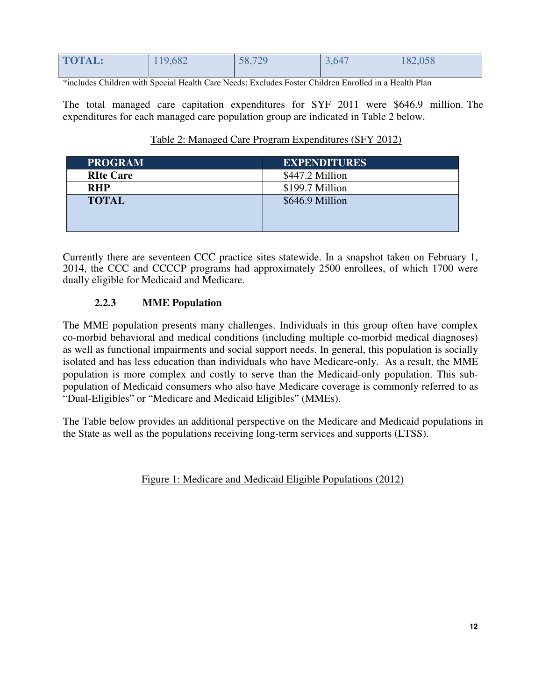| <b>TOTAL:</b> | 19,682 | 58,729 | 3,647 | 182,058 |
|---------------|--------|--------|-------|---------|
|               |        |        |       |         |

\*includes Children with Special Health Care Needs; Excludes Foster Children Enrolled in a Health Plan

The total managed care capitation expenditures for SYF 2011 were \$646.9 million. The expenditures for each managed care population group are indicated in Table 2 below.

| <b>PROGRAM</b>   | <b>EXPENDITURES</b> |
|------------------|---------------------|
| <b>RIte Care</b> | \$447.2 Million     |
| <b>RHP</b>       | \$199.7 Million     |
| <b>TOTAL</b>     | \$646.9 Million     |
|                  |                     |
|                  |                     |

### Table 2: Managed Care Program Expenditures (SFY 2012)

Currently there are seventeen CCC practice sites statewide. In a snapshot taken on February 1, 2014, the CCC and CCCCP programs had approximately 2500 enrollees, of which 1700 were dually eligible for Medicaid and Medicare.

### **2.2.3 MME Population**

The MME population presents many challenges. Individuals in this group often have complex co-morbid behavioral and medical conditions (including multiple co-morbid medical diagnoses) as well as functional impairments and social support needs. In general, this population is socially isolated and has less education than individuals who have Medicare-only. As a result, the MME population is more complex and costly to serve than the Medicaid-only population. This subpopulation of Medicaid consumers who also have Medicare coverage is commonly referred to as "Dual-Eligibles" or "Medicare and Medicaid Eligibles" (MMEs).

The Table below provides an additional perspective on the Medicare and Medicaid populations in the State as well as the populations receiving long-term services and supports (LTSS).

Figure 1: Medicare and Medicaid Eligible Populations (2012)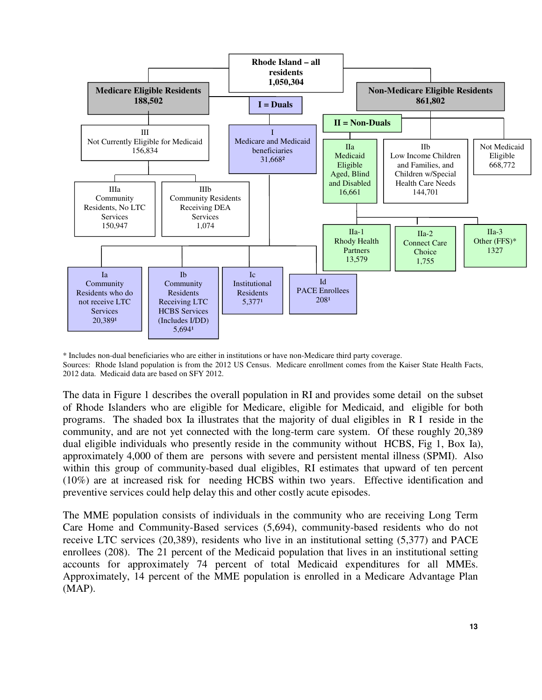

\* Includes non-dual beneficiaries who are either in institutions or have non-Medicare third party coverage. Sources: Rhode Island population is from the 2012 US Census. Medicare enrollment comes from the Kaiser State Health Facts, 2012 data. Medicaid data are based on SFY 2012.

The data in Figure 1 describes the overall population in RI and provides some detail on the subset of Rhode Islanders who are eligible for Medicare, eligible for Medicaid, and eligible for both programs. The shaded box Ia illustrates that the majority of dual eligibles in R I reside in the community, and are not yet connected with the long-term care system. Of these roughly 20,389 dual eligible individuals who presently reside in the community without HCBS, Fig 1, Box Ia), approximately 4,000 of them are persons with severe and persistent mental illness (SPMI). Also within this group of community-based dual eligibles, RI estimates that upward of ten percent (10%) are at increased risk for needing HCBS within two years. Effective identification and preventive services could help delay this and other costly acute episodes.

The MME population consists of individuals in the community who are receiving Long Term Care Home and Community-Based services (5,694), community-based residents who do not receive LTC services (20,389), residents who live in an institutional setting (5,377) and PACE enrollees (208). The 21 percent of the Medicaid population that lives in an institutional setting accounts for approximately 74 percent of total Medicaid expenditures for all MMEs. Approximately, 14 percent of the MME population is enrolled in a Medicare Advantage Plan (MAP).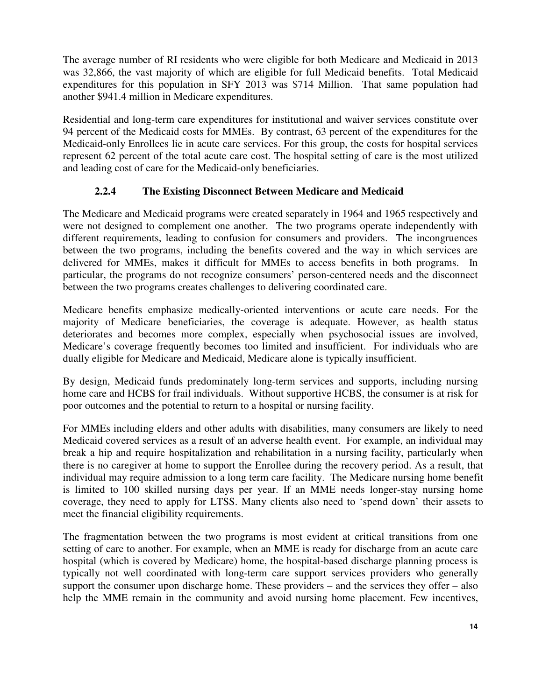The average number of RI residents who were eligible for both Medicare and Medicaid in 2013 was 32,866, the vast majority of which are eligible for full Medicaid benefits. Total Medicaid expenditures for this population in SFY 2013 was \$714 Million. That same population had another \$941.4 million in Medicare expenditures.

Residential and long-term care expenditures for institutional and waiver services constitute over 94 percent of the Medicaid costs for MMEs. By contrast, 63 percent of the expenditures for the Medicaid-only Enrollees lie in acute care services. For this group, the costs for hospital services represent 62 percent of the total acute care cost. The hospital setting of care is the most utilized and leading cost of care for the Medicaid-only beneficiaries.

### **2.2.4 The Existing Disconnect Between Medicare and Medicaid**

The Medicare and Medicaid programs were created separately in 1964 and 1965 respectively and were not designed to complement one another. The two programs operate independently with different requirements, leading to confusion for consumers and providers. The incongruences between the two programs, including the benefits covered and the way in which services are delivered for MMEs, makes it difficult for MMEs to access benefits in both programs. In particular, the programs do not recognize consumers' person-centered needs and the disconnect between the two programs creates challenges to delivering coordinated care.

Medicare benefits emphasize medically-oriented interventions or acute care needs. For the majority of Medicare beneficiaries, the coverage is adequate. However, as health status deteriorates and becomes more complex, especially when psychosocial issues are involved, Medicare's coverage frequently becomes too limited and insufficient. For individuals who are dually eligible for Medicare and Medicaid, Medicare alone is typically insufficient.

By design, Medicaid funds predominately long-term services and supports, including nursing home care and HCBS for frail individuals. Without supportive HCBS, the consumer is at risk for poor outcomes and the potential to return to a hospital or nursing facility.

For MMEs including elders and other adults with disabilities, many consumers are likely to need Medicaid covered services as a result of an adverse health event. For example, an individual may break a hip and require hospitalization and rehabilitation in a nursing facility, particularly when there is no caregiver at home to support the Enrollee during the recovery period. As a result, that individual may require admission to a long term care facility. The Medicare nursing home benefit is limited to 100 skilled nursing days per year. If an MME needs longer-stay nursing home coverage, they need to apply for LTSS. Many clients also need to 'spend down' their assets to meet the financial eligibility requirements.

The fragmentation between the two programs is most evident at critical transitions from one setting of care to another. For example, when an MME is ready for discharge from an acute care hospital (which is covered by Medicare) home, the hospital-based discharge planning process is typically not well coordinated with long-term care support services providers who generally support the consumer upon discharge home. These providers – and the services they offer – also help the MME remain in the community and avoid nursing home placement. Few incentives,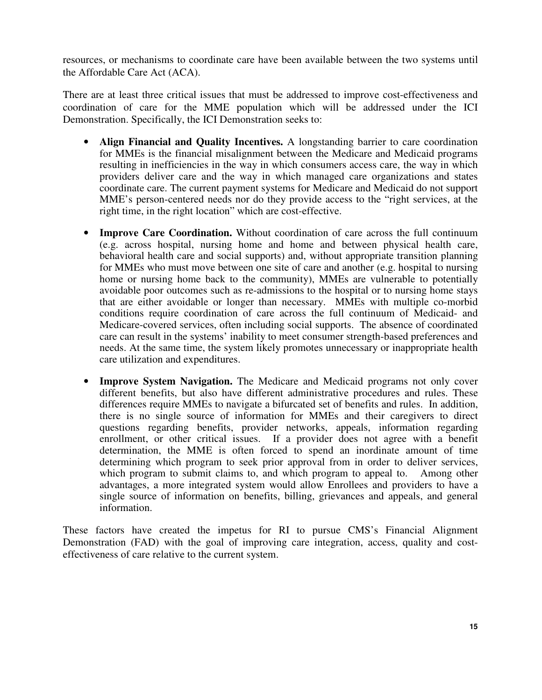resources, or mechanisms to coordinate care have been available between the two systems until the Affordable Care Act (ACA).

There are at least three critical issues that must be addressed to improve cost-effectiveness and coordination of care for the MME population which will be addressed under the ICI Demonstration. Specifically, the ICI Demonstration seeks to:

- **Align Financial and Quality Incentives.** A longstanding barrier to care coordination for MMEs is the financial misalignment between the Medicare and Medicaid programs resulting in inefficiencies in the way in which consumers access care, the way in which providers deliver care and the way in which managed care organizations and states coordinate care. The current payment systems for Medicare and Medicaid do not support MME's person-centered needs nor do they provide access to the "right services, at the right time, in the right location" which are cost-effective.
- **Improve Care Coordination.** Without coordination of care across the full continuum (e.g. across hospital, nursing home and home and between physical health care, behavioral health care and social supports) and, without appropriate transition planning for MMEs who must move between one site of care and another (e.g. hospital to nursing home or nursing home back to the community), MMEs are vulnerable to potentially avoidable poor outcomes such as re-admissions to the hospital or to nursing home stays that are either avoidable or longer than necessary. MMEs with multiple co-morbid conditions require coordination of care across the full continuum of Medicaid- and Medicare-covered services, often including social supports. The absence of coordinated care can result in the systems' inability to meet consumer strength-based preferences and needs. At the same time, the system likely promotes unnecessary or inappropriate health care utilization and expenditures.
- **Improve System Navigation.** The Medicare and Medicaid programs not only cover different benefits, but also have different administrative procedures and rules. These differences require MMEs to navigate a bifurcated set of benefits and rules. In addition, there is no single source of information for MMEs and their caregivers to direct questions regarding benefits, provider networks, appeals, information regarding enrollment, or other critical issues. If a provider does not agree with a benefit determination, the MME is often forced to spend an inordinate amount of time determining which program to seek prior approval from in order to deliver services, which program to submit claims to, and which program to appeal to. Among other advantages, a more integrated system would allow Enrollees and providers to have a single source of information on benefits, billing, grievances and appeals, and general information.

These factors have created the impetus for RI to pursue CMS's Financial Alignment Demonstration (FAD) with the goal of improving care integration, access, quality and costeffectiveness of care relative to the current system.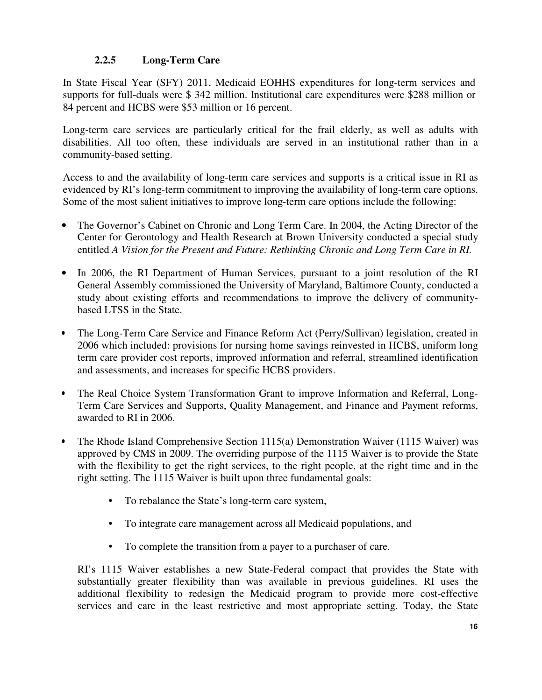## **2.2.5 Long-Term Care**

In State Fiscal Year (SFY) 2011, Medicaid EOHHS expenditures for long-term services and supports for full-duals were \$ 342 million. Institutional care expenditures were \$288 million or 84 percent and HCBS were \$53 million or 16 percent.

Long-term care services are particularly critical for the frail elderly, as well as adults with disabilities. All too often, these individuals are served in an institutional rather than in a community-based setting.

Access to and the availability of long-term care services and supports is a critical issue in RI as evidenced by RI's long-term commitment to improving the availability of long-term care options. Some of the most salient initiatives to improve long-term care options include the following:

- The Governor's Cabinet on Chronic and Long Term Care. In 2004, the Acting Director of the Center for Gerontology and Health Research at Brown University conducted a special study entitled *A Vision for the Present and Future: Rethinking Chronic and Long Term Care in RI.*
- In 2006, the RI Department of Human Services, pursuant to a joint resolution of the RI General Assembly commissioned the University of Maryland, Baltimore County, conducted a study about existing efforts and recommendations to improve the delivery of communitybased LTSS in the State.
- The Long-Term Care Service and Finance Reform Act (Perry/Sullivan) legislation, created in 2006 which included: provisions for nursing home savings reinvested in HCBS, uniform long term care provider cost reports, improved information and referral, streamlined identification and assessments, and increases for specific HCBS providers.
- The Real Choice System Transformation Grant to improve Information and Referral, Long-Term Care Services and Supports, Quality Management, and Finance and Payment reforms, awarded to RI in 2006.
- The Rhode Island Comprehensive Section 1115(a) Demonstration Waiver (1115 Waiver) was approved by CMS in 2009. The overriding purpose of the 1115 Waiver is to provide the State with the flexibility to get the right services, to the right people, at the right time and in the right setting. The 1115 Waiver is built upon three fundamental goals:
	- To rebalance the State's long-term care system,
	- To integrate care management across all Medicaid populations, and
	- To complete the transition from a payer to a purchaser of care.

RI's 1115 Waiver establishes a new State-Federal compact that provides the State with substantially greater flexibility than was available in previous guidelines. RI uses the additional flexibility to redesign the Medicaid program to provide more cost-effective services and care in the least restrictive and most appropriate setting. Today, the State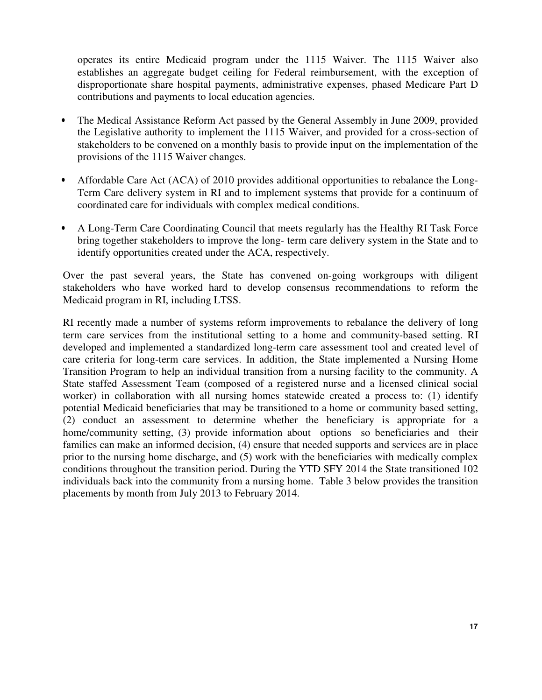operates its entire Medicaid program under the 1115 Waiver. The 1115 Waiver also establishes an aggregate budget ceiling for Federal reimbursement, with the exception of disproportionate share hospital payments, administrative expenses, phased Medicare Part D contributions and payments to local education agencies.

- The Medical Assistance Reform Act passed by the General Assembly in June 2009, provided the Legislative authority to implement the 1115 Waiver, and provided for a cross-section of stakeholders to be convened on a monthly basis to provide input on the implementation of the provisions of the 1115 Waiver changes.
- Affordable Care Act (ACA) of 2010 provides additional opportunities to rebalance the Long-Term Care delivery system in RI and to implement systems that provide for a continuum of coordinated care for individuals with complex medical conditions.
- A Long-Term Care Coordinating Council that meets regularly has the Healthy RI Task Force bring together stakeholders to improve the long- term care delivery system in the State and to identify opportunities created under the ACA, respectively.

Over the past several years, the State has convened on-going workgroups with diligent stakeholders who have worked hard to develop consensus recommendations to reform the Medicaid program in RI, including LTSS.

RI recently made a number of systems reform improvements to rebalance the delivery of long term care services from the institutional setting to a home and community-based setting. RI developed and implemented a standardized long-term care assessment tool and created level of care criteria for long-term care services. In addition, the State implemented a Nursing Home Transition Program to help an individual transition from a nursing facility to the community. A State staffed Assessment Team (composed of a registered nurse and a licensed clinical social worker) in collaboration with all nursing homes statewide created a process to: (1) identify potential Medicaid beneficiaries that may be transitioned to a home or community based setting, (2) conduct an assessment to determine whether the beneficiary is appropriate for a home/community setting, (3) provide information about options so beneficiaries and their families can make an informed decision, (4) ensure that needed supports and services are in place prior to the nursing home discharge, and (5) work with the beneficiaries with medically complex conditions throughout the transition period. During the YTD SFY 2014 the State transitioned 102 individuals back into the community from a nursing home. Table 3 below provides the transition placements by month from July 2013 to February 2014.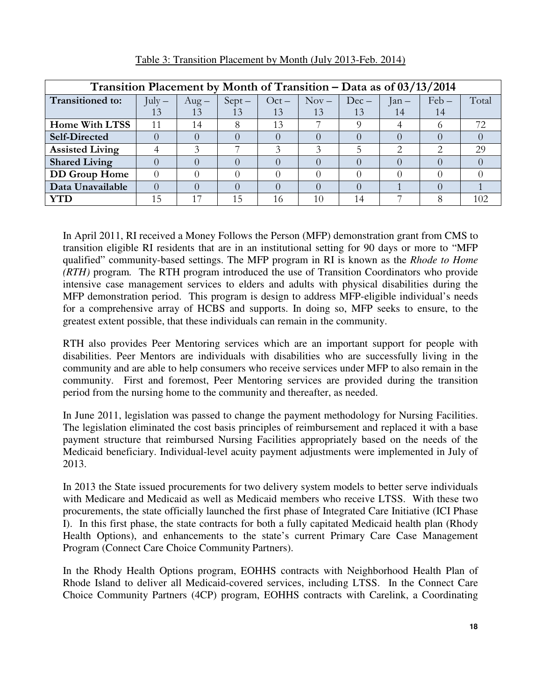| Transition Placement by Month of Transition – Data as of 03/13/2014 |                  |         |         |                  |                           |        |         |         |       |
|---------------------------------------------------------------------|------------------|---------|---------|------------------|---------------------------|--------|---------|---------|-------|
| <b>Transitioned to:</b>                                             | $\mathrm{July-}$ | $Aug -$ | $Sept-$ | $Oct -$          | $\overline{\text{Nov}}$ – | $Dec-$ | $ an -$ | $Feb -$ | Total |
|                                                                     | 13               | 13      | 13      | 13               | 13                        | 13     | 14      | 14      |       |
| Home With LTSS                                                      | 11               | 14      | 8       | 13               |                           |        |         |         | 72.   |
| <b>Self-Directed</b>                                                |                  |         |         |                  |                           |        |         |         |       |
| <b>Assisted Living</b>                                              |                  |         |         |                  |                           |        | ⌒       |         | 29    |
| <b>Shared Living</b>                                                |                  |         |         |                  |                           |        |         |         |       |
| DD Group Home                                                       |                  |         |         | $\left( \right)$ |                           |        |         |         |       |
| Data Unavailable                                                    |                  |         |         |                  |                           |        |         |         |       |
| YTD                                                                 | 15               |         | 15      | 16               | 10                        | 14     |         | 8       | 102   |

Table 3: Transition Placement by Month (July 2013-Feb. 2014)

In April 2011, RI received a Money Follows the Person (MFP) demonstration grant from CMS to transition eligible RI residents that are in an institutional setting for 90 days or more to "MFP qualified" community-based settings. The MFP program in RI is known as the *Rhode to Home (RTH)* program*.* The RTH program introduced the use of Transition Coordinators who provide intensive case management services to elders and adults with physical disabilities during the MFP demonstration period. This program is design to address MFP-eligible individual's needs for a comprehensive array of HCBS and supports. In doing so, MFP seeks to ensure, to the greatest extent possible, that these individuals can remain in the community.

RTH also provides Peer Mentoring services which are an important support for people with disabilities. Peer Mentors are individuals with disabilities who are successfully living in the community and are able to help consumers who receive services under MFP to also remain in the community. First and foremost, Peer Mentoring services are provided during the transition period from the nursing home to the community and thereafter, as needed.

In June 2011, legislation was passed to change the payment methodology for Nursing Facilities. The legislation eliminated the cost basis principles of reimbursement and replaced it with a base payment structure that reimbursed Nursing Facilities appropriately based on the needs of the Medicaid beneficiary. Individual-level acuity payment adjustments were implemented in July of 2013.

In 2013 the State issued procurements for two delivery system models to better serve individuals with Medicare and Medicaid as well as Medicaid members who receive LTSS. With these two procurements, the state officially launched the first phase of Integrated Care Initiative (ICI Phase I). In this first phase, the state contracts for both a fully capitated Medicaid health plan (Rhody Health Options), and enhancements to the state's current Primary Care Case Management Program (Connect Care Choice Community Partners).

In the Rhody Health Options program, EOHHS contracts with Neighborhood Health Plan of Rhode Island to deliver all Medicaid-covered services, including LTSS. In the Connect Care Choice Community Partners (4CP) program, EOHHS contracts with Carelink, a Coordinating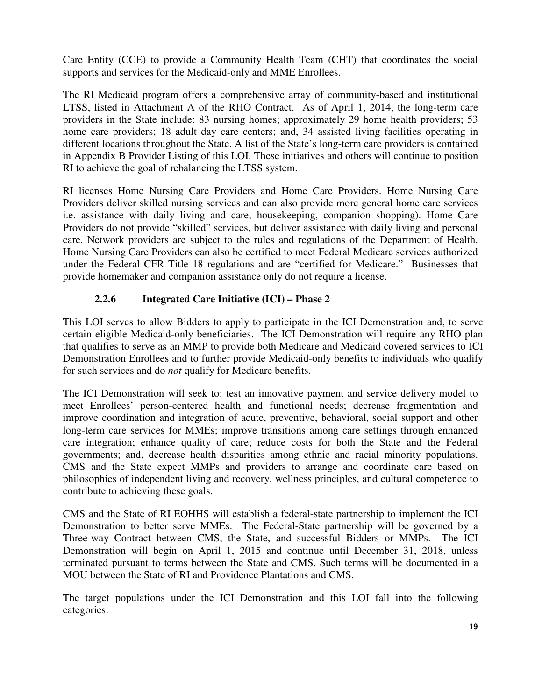Care Entity (CCE) to provide a Community Health Team (CHT) that coordinates the social supports and services for the Medicaid-only and MME Enrollees.

The RI Medicaid program offers a comprehensive array of community-based and institutional LTSS, listed in Attachment A of the RHO Contract. As of April 1, 2014, the long-term care providers in the State include: 83 nursing homes; approximately 29 home health providers; 53 home care providers; 18 adult day care centers; and, 34 assisted living facilities operating in different locations throughout the State. A list of the State's long-term care providers is contained in Appendix B Provider Listing of this LOI. These initiatives and others will continue to position RI to achieve the goal of rebalancing the LTSS system.

RI licenses Home Nursing Care Providers and Home Care Providers. Home Nursing Care Providers deliver skilled nursing services and can also provide more general home care services i.e. assistance with daily living and care, housekeeping, companion shopping). Home Care Providers do not provide "skilled" services, but deliver assistance with daily living and personal care. Network providers are subject to the rules and regulations of the Department of Health. Home Nursing Care Providers can also be certified to meet Federal Medicare services authorized under the Federal CFR Title 18 regulations and are "certified for Medicare." Businesses that provide homemaker and companion assistance only do not require a license.

### **2.2.6 Integrated Care Initiative (ICI) – Phase 2**

This LOI serves to allow Bidders to apply to participate in the ICI Demonstration and, to serve certain eligible Medicaid-only beneficiaries. The ICI Demonstration will require any RHO plan that qualifies to serve as an MMP to provide both Medicare and Medicaid covered services to ICI Demonstration Enrollees and to further provide Medicaid-only benefits to individuals who qualify for such services and do *not* qualify for Medicare benefits.

The ICI Demonstration will seek to: test an innovative payment and service delivery model to meet Enrollees' person-centered health and functional needs; decrease fragmentation and improve coordination and integration of acute, preventive, behavioral, social support and other long-term care services for MMEs; improve transitions among care settings through enhanced care integration; enhance quality of care; reduce costs for both the State and the Federal governments; and, decrease health disparities among ethnic and racial minority populations. CMS and the State expect MMPs and providers to arrange and coordinate care based on philosophies of independent living and recovery, wellness principles, and cultural competence to contribute to achieving these goals.

CMS and the State of RI EOHHS will establish a federal-state partnership to implement the ICI Demonstration to better serve MMEs. The Federal-State partnership will be governed by a Three-way Contract between CMS, the State, and successful Bidders or MMPs. The ICI Demonstration will begin on April 1, 2015 and continue until December 31, 2018, unless terminated pursuant to terms between the State and CMS. Such terms will be documented in a MOU between the State of RI and Providence Plantations and CMS.

The target populations under the ICI Demonstration and this LOI fall into the following categories: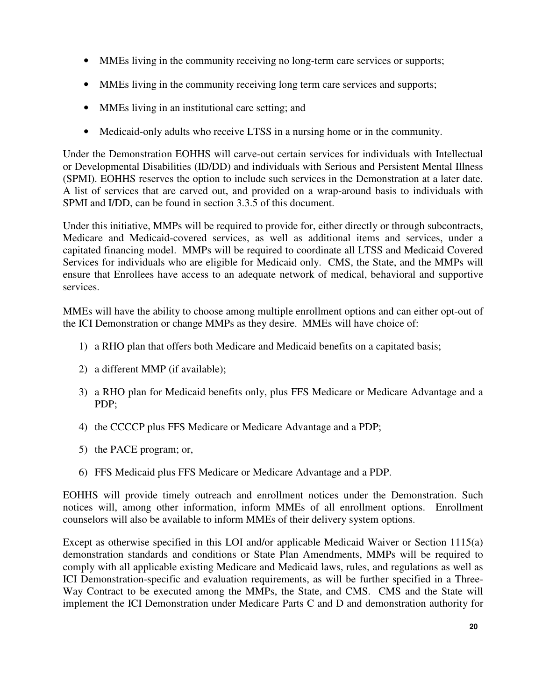- MMEs living in the community receiving no long-term care services or supports;
- MMEs living in the community receiving long term care services and supports;
- MMEs living in an institutional care setting; and
- Medicaid-only adults who receive LTSS in a nursing home or in the community.

Under the Demonstration EOHHS will carve-out certain services for individuals with Intellectual or Developmental Disabilities (ID/DD) and individuals with Serious and Persistent Mental Illness (SPMI). EOHHS reserves the option to include such services in the Demonstration at a later date. A list of services that are carved out, and provided on a wrap-around basis to individuals with SPMI and I/DD, can be found in section 3.3.5 of this document.

Under this initiative, MMPs will be required to provide for, either directly or through subcontracts, Medicare and Medicaid-covered services, as well as additional items and services, under a capitated financing model. MMPs will be required to coordinate all LTSS and Medicaid Covered Services for individuals who are eligible for Medicaid only. CMS, the State, and the MMPs will ensure that Enrollees have access to an adequate network of medical, behavioral and supportive services.

MMEs will have the ability to choose among multiple enrollment options and can either opt-out of the ICI Demonstration or change MMPs as they desire. MMEs will have choice of:

- 1) a RHO plan that offers both Medicare and Medicaid benefits on a capitated basis;
- 2) a different MMP (if available);
- 3) a RHO plan for Medicaid benefits only, plus FFS Medicare or Medicare Advantage and a PDP;
- 4) the CCCCP plus FFS Medicare or Medicare Advantage and a PDP;
- 5) the PACE program; or,
- 6) FFS Medicaid plus FFS Medicare or Medicare Advantage and a PDP.

EOHHS will provide timely outreach and enrollment notices under the Demonstration. Such notices will, among other information, inform MMEs of all enrollment options. Enrollment counselors will also be available to inform MMEs of their delivery system options.

Except as otherwise specified in this LOI and/or applicable Medicaid Waiver or Section 1115(a) demonstration standards and conditions or State Plan Amendments, MMPs will be required to comply with all applicable existing Medicare and Medicaid laws, rules, and regulations as well as ICI Demonstration-specific and evaluation requirements, as will be further specified in a Three-Way Contract to be executed among the MMPs, the State, and CMS. CMS and the State will implement the ICI Demonstration under Medicare Parts C and D and demonstration authority for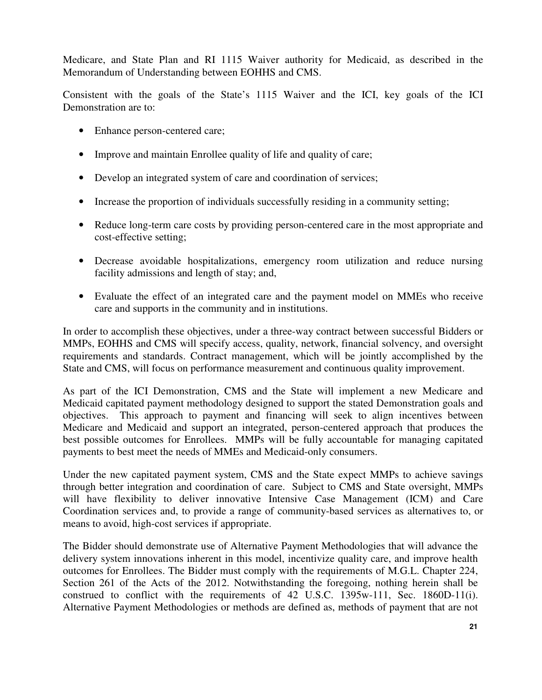Medicare, and State Plan and RI 1115 Waiver authority for Medicaid, as described in the Memorandum of Understanding between EOHHS and CMS.

Consistent with the goals of the State's 1115 Waiver and the ICI, key goals of the ICI Demonstration are to:

- Enhance person-centered care;
- Improve and maintain Enrollee quality of life and quality of care;
- Develop an integrated system of care and coordination of services;
- Increase the proportion of individuals successfully residing in a community setting;
- Reduce long-term care costs by providing person-centered care in the most appropriate and cost-effective setting;
- Decrease avoidable hospitalizations, emergency room utilization and reduce nursing facility admissions and length of stay; and,
- Evaluate the effect of an integrated care and the payment model on MMEs who receive care and supports in the community and in institutions.

In order to accomplish these objectives, under a three-way contract between successful Bidders or MMPs, EOHHS and CMS will specify access, quality, network, financial solvency, and oversight requirements and standards. Contract management, which will be jointly accomplished by the State and CMS, will focus on performance measurement and continuous quality improvement.

As part of the ICI Demonstration, CMS and the State will implement a new Medicare and Medicaid capitated payment methodology designed to support the stated Demonstration goals and objectives. This approach to payment and financing will seek to align incentives between Medicare and Medicaid and support an integrated, person-centered approach that produces the best possible outcomes for Enrollees. MMPs will be fully accountable for managing capitated payments to best meet the needs of MMEs and Medicaid-only consumers.

Under the new capitated payment system, CMS and the State expect MMPs to achieve savings through better integration and coordination of care. Subject to CMS and State oversight, MMPs will have flexibility to deliver innovative Intensive Case Management (ICM) and Care Coordination services and, to provide a range of community-based services as alternatives to, or means to avoid, high-cost services if appropriate.

The Bidder should demonstrate use of Alternative Payment Methodologies that will advance the delivery system innovations inherent in this model, incentivize quality care, and improve health outcomes for Enrollees. The Bidder must comply with the requirements of M.G.L. Chapter 224, Section 261 of the Acts of the 2012. Notwithstanding the foregoing, nothing herein shall be construed to conflict with the requirements of 42 U.S.C. 1395w-111, Sec. 1860D-11(i). Alternative Payment Methodologies or methods are defined as, methods of payment that are not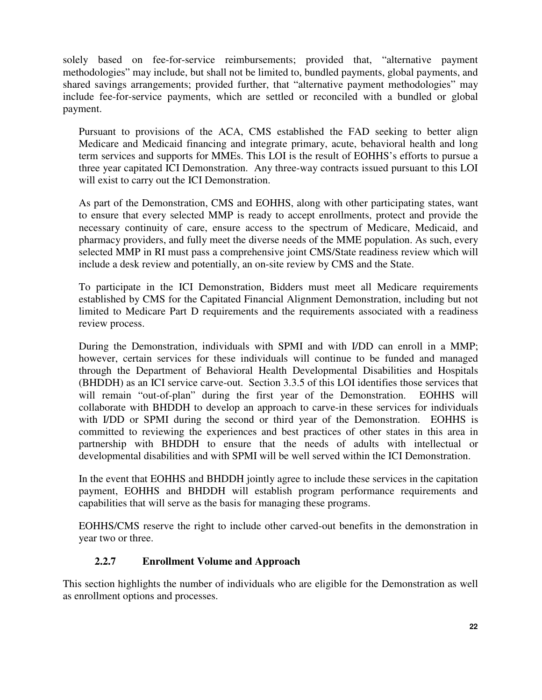solely based on fee-for-service reimbursements; provided that, "alternative payment methodologies" may include, but shall not be limited to, bundled payments, global payments, and shared savings arrangements; provided further, that "alternative payment methodologies" may include fee-for-service payments, which are settled or reconciled with a bundled or global payment.

Pursuant to provisions of the ACA, CMS established the FAD seeking to better align Medicare and Medicaid financing and integrate primary, acute, behavioral health and long term services and supports for MMEs. This LOI is the result of EOHHS's efforts to pursue a three year capitated ICI Demonstration. Any three-way contracts issued pursuant to this LOI will exist to carry out the ICI Demonstration.

As part of the Demonstration, CMS and EOHHS, along with other participating states, want to ensure that every selected MMP is ready to accept enrollments, protect and provide the necessary continuity of care, ensure access to the spectrum of Medicare, Medicaid, and pharmacy providers, and fully meet the diverse needs of the MME population. As such, every selected MMP in RI must pass a comprehensive joint CMS/State readiness review which will include a desk review and potentially, an on-site review by CMS and the State.

To participate in the ICI Demonstration, Bidders must meet all Medicare requirements established by CMS for the Capitated Financial Alignment Demonstration, including but not limited to Medicare Part D requirements and the requirements associated with a readiness review process.

During the Demonstration, individuals with SPMI and with I/DD can enroll in a MMP; however, certain services for these individuals will continue to be funded and managed through the Department of Behavioral Health Developmental Disabilities and Hospitals (BHDDH) as an ICI service carve-out. Section 3.3.5 of this LOI identifies those services that will remain "out-of-plan" during the first year of the Demonstration. EOHHS will collaborate with BHDDH to develop an approach to carve-in these services for individuals with I/DD or SPMI during the second or third year of the Demonstration. EOHHS is committed to reviewing the experiences and best practices of other states in this area in partnership with BHDDH to ensure that the needs of adults with intellectual or developmental disabilities and with SPMI will be well served within the ICI Demonstration.

In the event that EOHHS and BHDDH jointly agree to include these services in the capitation payment, EOHHS and BHDDH will establish program performance requirements and capabilities that will serve as the basis for managing these programs.

EOHHS/CMS reserve the right to include other carved-out benefits in the demonstration in year two or three.

### **2.2.7 Enrollment Volume and Approach**

This section highlights the number of individuals who are eligible for the Demonstration as well as enrollment options and processes.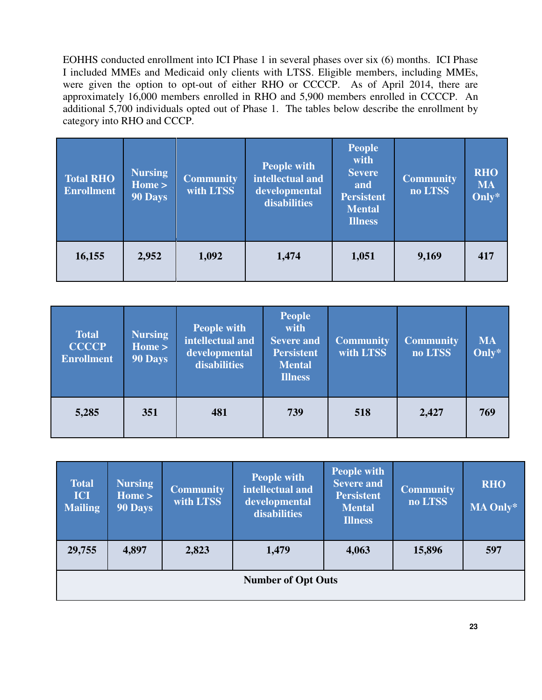EOHHS conducted enrollment into ICI Phase 1 in several phases over six (6) months. ICI Phase I included MMEs and Medicaid only clients with LTSS. Eligible members, including MMEs, were given the option to opt-out of either RHO or CCCCP. As of April 2014, there are approximately 16,000 members enrolled in RHO and 5,900 members enrolled in CCCCP. An additional 5,700 individuals opted out of Phase 1. The tables below describe the enrollment by category into RHO and CCCP.

| <b>Total RHO</b><br><b>Enrollment</b> | <b>Nursing</b><br>Home ><br>90 Days | <b>Community</b><br>with LTSS | <b>People with</b><br>intellectual and<br>developmental<br>disabilities | <b>People</b><br>with<br><b>Severe</b><br>and<br><b>Persistent</b><br><b>Mental</b><br><b>Illness</b> | <b>Community</b><br>no LTSS | <b>RHO</b><br><b>MA</b><br>Only* |
|---------------------------------------|-------------------------------------|-------------------------------|-------------------------------------------------------------------------|-------------------------------------------------------------------------------------------------------|-----------------------------|----------------------------------|
| 16,155                                | 2,952                               | 1,092                         | 1,474                                                                   | 1,051                                                                                                 | 9,169                       | 417                              |

| <b>Total</b><br><b>CCCCP</b><br><b>Enrollment</b> | <b>Nursing</b><br>Home ><br>90 Days | <b>People with</b><br>intellectual and<br>developmental<br>disabilities | <b>People</b><br>with<br><b>Severe and</b><br><b>Persistent</b><br><b>Mental</b><br><b>Illness</b> | <b>Community</b><br>with LTSS | <b>Community</b><br>no LTSS | <b>MA</b><br>Only* |
|---------------------------------------------------|-------------------------------------|-------------------------------------------------------------------------|----------------------------------------------------------------------------------------------------|-------------------------------|-----------------------------|--------------------|
| 5,285                                             | 351                                 | 481                                                                     | 739                                                                                                | 518                           | 2,427                       | 769                |

| <b>Total</b><br>ICI<br><b>Mailing</b> | <b>Nursing</b><br>Home<br>90 Days | <b>Community</b><br>with LTSS | <b>People with</b><br>intellectual and<br>developmental<br>disabilities | <b>People with</b><br><b>Severe and</b><br><b>Persistent</b><br><b>Mental</b><br><b>Illness</b> | <b>Community</b><br>no LTSS | <b>RHO</b><br>MA Only* |
|---------------------------------------|-----------------------------------|-------------------------------|-------------------------------------------------------------------------|-------------------------------------------------------------------------------------------------|-----------------------------|------------------------|
| 29,755                                | 4,897                             | 2,823                         | 1,479                                                                   | 4,063                                                                                           | 15,896                      | 597                    |
| <b>Number of Opt Outs</b>             |                                   |                               |                                                                         |                                                                                                 |                             |                        |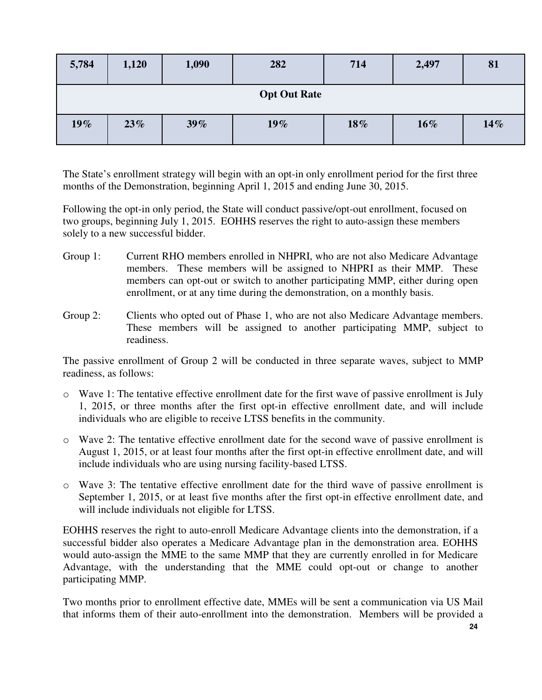| 5,784               | 1,120 | 1,090 | 282    | 714 | 2,497  | 81  |
|---------------------|-------|-------|--------|-----|--------|-----|
| <b>Opt Out Rate</b> |       |       |        |     |        |     |
| $19\%$              | 23%   | 39%   | $19\%$ | 18% | $16\%$ | 14% |

The State's enrollment strategy will begin with an opt-in only enrollment period for the first three months of the Demonstration, beginning April 1, 2015 and ending June 30, 2015.

Following the opt-in only period, the State will conduct passive/opt-out enrollment, focused on two groups, beginning July 1, 2015. EOHHS reserves the right to auto-assign these members solely to a new successful bidder.

- Group 1: Current RHO members enrolled in NHPRI, who are not also Medicare Advantage members. These members will be assigned to NHPRI as their MMP. These members can opt-out or switch to another participating MMP, either during open enrollment, or at any time during the demonstration, on a monthly basis.
- Group 2: Clients who opted out of Phase 1, who are not also Medicare Advantage members. These members will be assigned to another participating MMP, subject to readiness.

The passive enrollment of Group 2 will be conducted in three separate waves, subject to MMP readiness, as follows:

- $\circ$  Wave 1: The tentative effective enrollment date for the first wave of passive enrollment is July 1, 2015, or three months after the first opt-in effective enrollment date, and will include individuals who are eligible to receive LTSS benefits in the community.
- o Wave 2: The tentative effective enrollment date for the second wave of passive enrollment is August 1, 2015, or at least four months after the first opt-in effective enrollment date, and will include individuals who are using nursing facility-based LTSS.
- o Wave 3: The tentative effective enrollment date for the third wave of passive enrollment is September 1, 2015, or at least five months after the first opt-in effective enrollment date, and will include individuals not eligible for LTSS.

EOHHS reserves the right to auto-enroll Medicare Advantage clients into the demonstration, if a successful bidder also operates a Medicare Advantage plan in the demonstration area. EOHHS would auto-assign the MME to the same MMP that they are currently enrolled in for Medicare Advantage, with the understanding that the MME could opt-out or change to another participating MMP.

Two months prior to enrollment effective date, MMEs will be sent a communication via US Mail that informs them of their auto-enrollment into the demonstration. Members will be provided a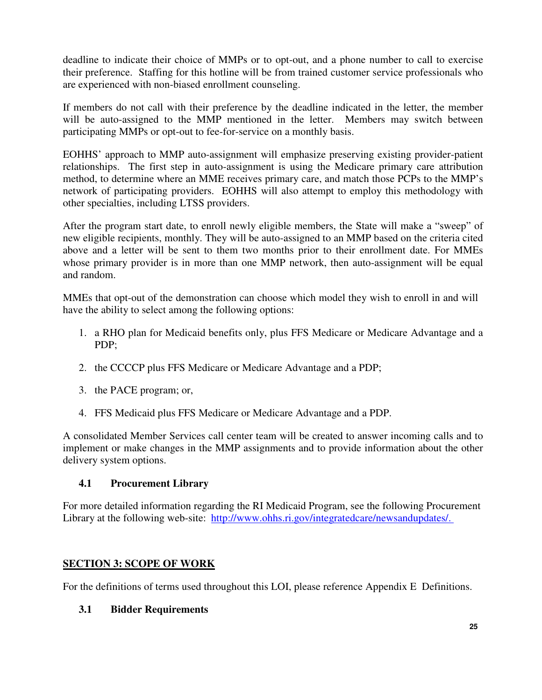deadline to indicate their choice of MMPs or to opt-out, and a phone number to call to exercise their preference. Staffing for this hotline will be from trained customer service professionals who are experienced with non-biased enrollment counseling.

If members do not call with their preference by the deadline indicated in the letter, the member will be auto-assigned to the MMP mentioned in the letter. Members may switch between participating MMPs or opt-out to fee-for-service on a monthly basis.

EOHHS' approach to MMP auto-assignment will emphasize preserving existing provider-patient relationships. The first step in auto-assignment is using the Medicare primary care attribution method, to determine where an MME receives primary care, and match those PCPs to the MMP's network of participating providers. EOHHS will also attempt to employ this methodology with other specialties, including LTSS providers.

After the program start date, to enroll newly eligible members, the State will make a "sweep" of new eligible recipients, monthly. They will be auto-assigned to an MMP based on the criteria cited above and a letter will be sent to them two months prior to their enrollment date. For MMEs whose primary provider is in more than one MMP network, then auto-assignment will be equal and random.

MMEs that opt-out of the demonstration can choose which model they wish to enroll in and will have the ability to select among the following options:

- 1. a RHO plan for Medicaid benefits only, plus FFS Medicare or Medicare Advantage and a PDP;
- 2. the CCCCP plus FFS Medicare or Medicare Advantage and a PDP;
- 3. the PACE program; or,
- 4. FFS Medicaid plus FFS Medicare or Medicare Advantage and a PDP.

A consolidated Member Services call center team will be created to answer incoming calls and to implement or make changes in the MMP assignments and to provide information about the other delivery system options.

#### **4.1 Procurement Library**

For more detailed information regarding the RI Medicaid Program, see the following Procurement Library at the following web-site: http://www.ohhs.ri.gov/integratedcare/newsandupdates/.

### **SECTION 3: SCOPE OF WORK**

For the definitions of terms used throughout this LOI, please reference Appendix E Definitions.

#### **3.1 Bidder Requirements**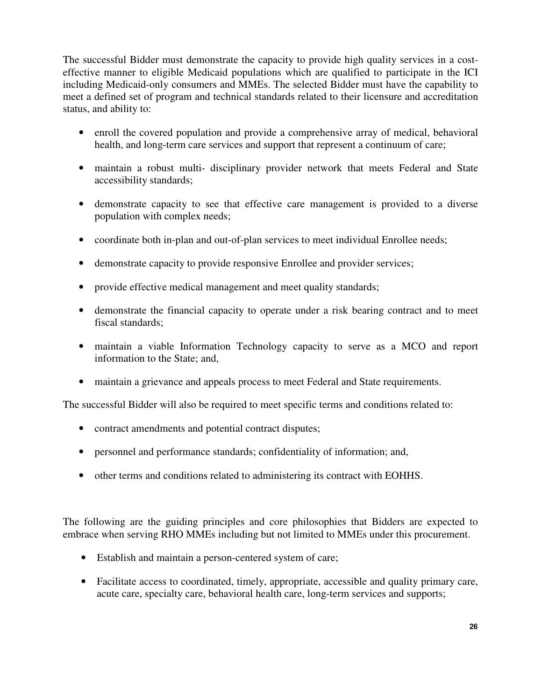The successful Bidder must demonstrate the capacity to provide high quality services in a costeffective manner to eligible Medicaid populations which are qualified to participate in the ICI including Medicaid-only consumers and MMEs. The selected Bidder must have the capability to meet a defined set of program and technical standards related to their licensure and accreditation status, and ability to:

- enroll the covered population and provide a comprehensive array of medical, behavioral health, and long-term care services and support that represent a continuum of care;
- maintain a robust multi- disciplinary provider network that meets Federal and State accessibility standards;
- demonstrate capacity to see that effective care management is provided to a diverse population with complex needs;
- coordinate both in-plan and out-of-plan services to meet individual Enrollee needs;
- demonstrate capacity to provide responsive Enrollee and provider services;
- provide effective medical management and meet quality standards;
- demonstrate the financial capacity to operate under a risk bearing contract and to meet fiscal standards;
- maintain a viable Information Technology capacity to serve as a MCO and report information to the State; and,
- maintain a grievance and appeals process to meet Federal and State requirements.

The successful Bidder will also be required to meet specific terms and conditions related to:

- contract amendments and potential contract disputes;
- personnel and performance standards; confidentiality of information; and,
- other terms and conditions related to administering its contract with EOHHS.

The following are the guiding principles and core philosophies that Bidders are expected to embrace when serving RHO MMEs including but not limited to MMEs under this procurement.

- Establish and maintain a person-centered system of care;
- Facilitate access to coordinated, timely, appropriate, accessible and quality primary care, acute care, specialty care, behavioral health care, long-term services and supports;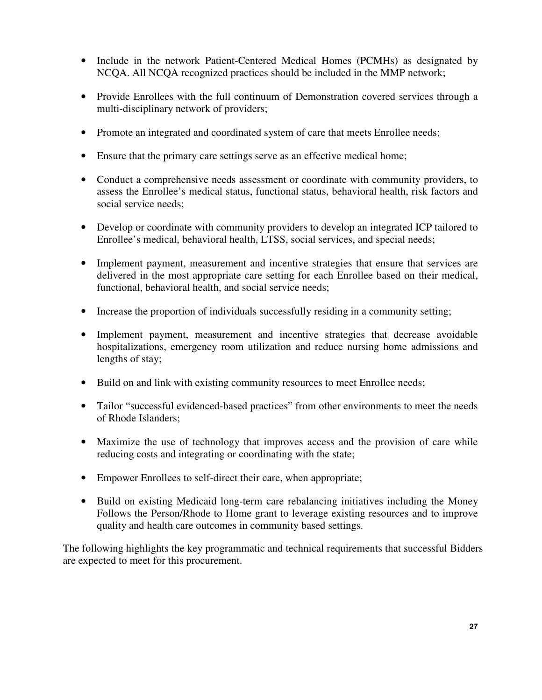- Include in the network Patient-Centered Medical Homes (PCMHs) as designated by NCQA. All NCQA recognized practices should be included in the MMP network;
- Provide Enrollees with the full continuum of Demonstration covered services through a multi-disciplinary network of providers;
- Promote an integrated and coordinated system of care that meets Enrollee needs;
- Ensure that the primary care settings serve as an effective medical home;
- Conduct a comprehensive needs assessment or coordinate with community providers, to assess the Enrollee's medical status, functional status, behavioral health, risk factors and social service needs;
- Develop or coordinate with community providers to develop an integrated ICP tailored to Enrollee's medical, behavioral health, LTSS, social services, and special needs;
- Implement payment, measurement and incentive strategies that ensure that services are delivered in the most appropriate care setting for each Enrollee based on their medical, functional, behavioral health, and social service needs;
- Increase the proportion of individuals successfully residing in a community setting;
- Implement payment, measurement and incentive strategies that decrease avoidable hospitalizations, emergency room utilization and reduce nursing home admissions and lengths of stay;
- Build on and link with existing community resources to meet Enrollee needs;
- Tailor "successful evidenced-based practices" from other environments to meet the needs of Rhode Islanders;
- Maximize the use of technology that improves access and the provision of care while reducing costs and integrating or coordinating with the state;
- Empower Enrollees to self-direct their care, when appropriate;
- Build on existing Medicaid long-term care rebalancing initiatives including the Money Follows the Person/Rhode to Home grant to leverage existing resources and to improve quality and health care outcomes in community based settings.

The following highlights the key programmatic and technical requirements that successful Bidders are expected to meet for this procurement.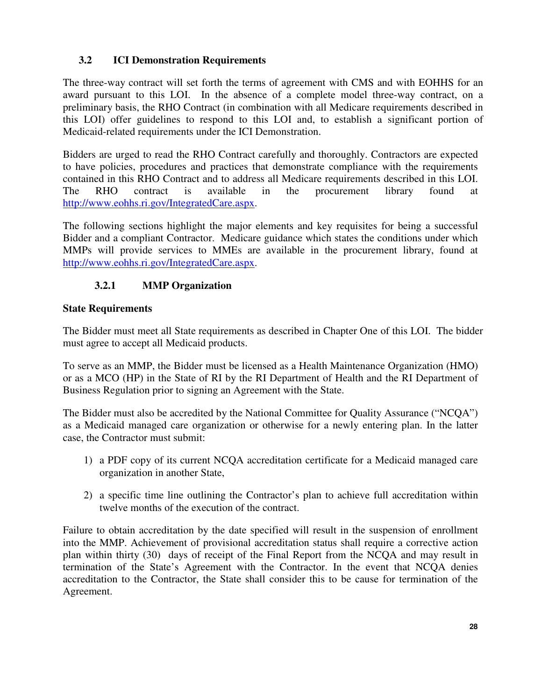## **3.2 ICI Demonstration Requirements**

The three-way contract will set forth the terms of agreement with CMS and with EOHHS for an award pursuant to this LOI. In the absence of a complete model three-way contract, on a preliminary basis, the RHO Contract (in combination with all Medicare requirements described in this LOI) offer guidelines to respond to this LOI and, to establish a significant portion of Medicaid-related requirements under the ICI Demonstration.

Bidders are urged to read the RHO Contract carefully and thoroughly. Contractors are expected to have policies, procedures and practices that demonstrate compliance with the requirements contained in this RHO Contract and to address all Medicare requirements described in this LOI. The RHO contract is available in the procurement library found at http://www.eohhs.ri.gov/IntegratedCare.aspx.

The following sections highlight the major elements and key requisites for being a successful Bidder and a compliant Contractor. Medicare guidance which states the conditions under which MMPs will provide services to MMEs are available in the procurement library, found at http://www.eohhs.ri.gov/IntegratedCare.aspx.

# **3.2.1 MMP Organization**

## **State Requirements**

The Bidder must meet all State requirements as described in Chapter One of this LOI. The bidder must agree to accept all Medicaid products.

To serve as an MMP, the Bidder must be licensed as a Health Maintenance Organization (HMO) or as a MCO (HP) in the State of RI by the RI Department of Health and the RI Department of Business Regulation prior to signing an Agreement with the State.

The Bidder must also be accredited by the National Committee for Quality Assurance ("NCQA") as a Medicaid managed care organization or otherwise for a newly entering plan. In the latter case, the Contractor must submit:

- 1) a PDF copy of its current NCQA accreditation certificate for a Medicaid managed care organization in another State,
- 2) a specific time line outlining the Contractor's plan to achieve full accreditation within twelve months of the execution of the contract.

Failure to obtain accreditation by the date specified will result in the suspension of enrollment into the MMP. Achievement of provisional accreditation status shall require a corrective action plan within thirty (30) days of receipt of the Final Report from the NCQA and may result in termination of the State's Agreement with the Contractor. In the event that NCQA denies accreditation to the Contractor, the State shall consider this to be cause for termination of the Agreement.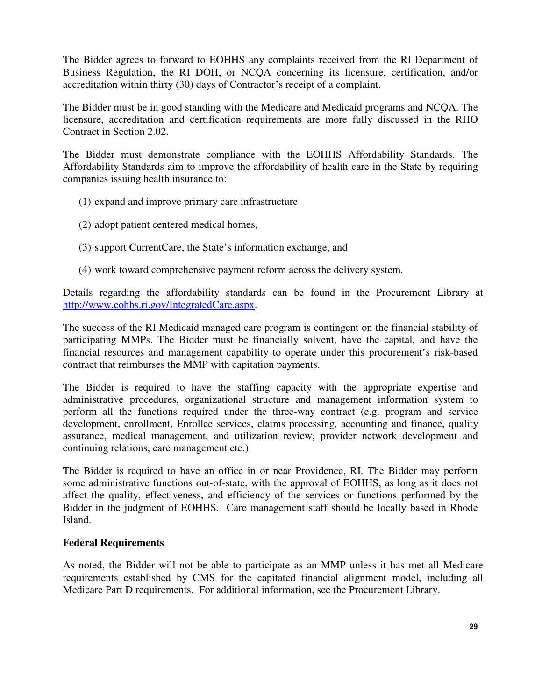The Bidder agrees to forward to EOHHS any complaints received from the RI Department of Business Regulation, the RI DOH, or NCQA concerning its licensure, certification, and/or accreditation within thirty (30) days of Contractor's receipt of a complaint.

The Bidder must be in good standing with the Medicare and Medicaid programs and NCQA. The licensure, accreditation and certification requirements are more fully discussed in the RHO Contract in Section 2.02.

The Bidder must demonstrate compliance with the EOHHS Affordability Standards. The Affordability Standards aim to improve the affordability of health care in the State by requiring companies issuing health insurance to:

- (1) expand and improve primary care infrastructure
- (2) adopt patient centered medical homes,
- (3) support CurrentCare, the State's information exchange, and
- (4) work toward comprehensive payment reform across the delivery system.

Details regarding the affordability standards can be found in the Procurement Library at http://www.eohhs.ri.gov/IntegratedCare.aspx.

The success of the RI Medicaid managed care program is contingent on the financial stability of participating MMPs. The Bidder must be financially solvent, have the capital, and have the financial resources and management capability to operate under this procurement's risk-based contract that reimburses the MMP with capitation payments.

The Bidder is required to have the staffing capacity with the appropriate expertise and administrative procedures, organizational structure and management information system to perform all the functions required under the three-way contract (e.g. program and service development, enrollment, Enrollee services, claims processing, accounting and finance, quality assurance, medical management, and utilization review, provider network development and continuing relations, care management etc.).

The Bidder is required to have an office in or near Providence, RI. The Bidder may perform some administrative functions out-of-state, with the approval of EOHHS, as long as it does not affect the quality, effectiveness, and efficiency of the services or functions performed by the Bidder in the judgment of EOHHS. Care management staff should be locally based in Rhode Island.

#### **Federal Requirements**

As noted, the Bidder will not be able to participate as an MMP unless it has met all Medicare requirements established by CMS for the capitated financial alignment model, including all Medicare Part D requirements. For additional information, see the Procurement Library.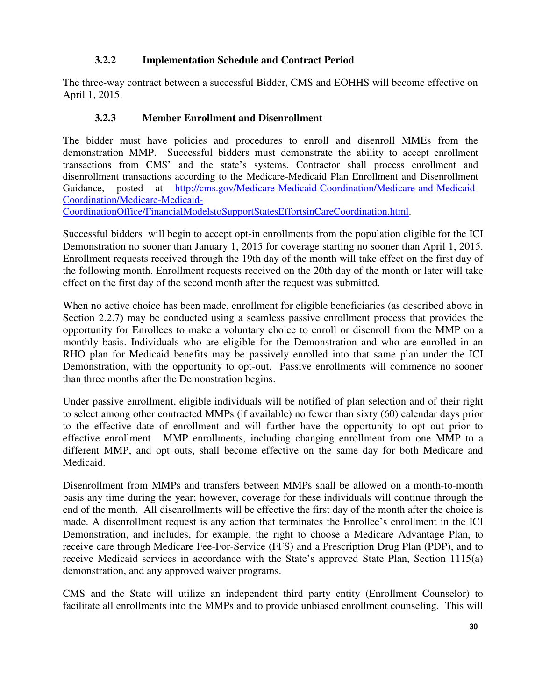### **3.2.2 Implementation Schedule and Contract Period**

The three-way contract between a successful Bidder, CMS and EOHHS will become effective on April 1, 2015.

### **3.2.3 Member Enrollment and Disenrollment**

The bidder must have policies and procedures to enroll and disenroll MMEs from the demonstration MMP. Successful bidders must demonstrate the ability to accept enrollment transactions from CMS' and the state's systems. Contractor shall process enrollment and disenrollment transactions according to the Medicare-Medicaid Plan Enrollment and Disenrollment Guidance, posted at http://cms.gov/Medicare-Medicaid-Coordination/Medicare-and-Medicaid-Coordination/Medicare-Medicaid-CoordinationOffice/FinancialModelstoSupportStatesEffortsinCareCoordination.html.

Successful bidders will begin to accept opt-in enrollments from the population eligible for the ICI Demonstration no sooner than January 1, 2015 for coverage starting no sooner than April 1, 2015. Enrollment requests received through the 19th day of the month will take effect on the first day of the following month. Enrollment requests received on the 20th day of the month or later will take effect on the first day of the second month after the request was submitted.

When no active choice has been made, enrollment for eligible beneficiaries (as described above in Section 2.2.7) may be conducted using a seamless passive enrollment process that provides the opportunity for Enrollees to make a voluntary choice to enroll or disenroll from the MMP on a monthly basis. Individuals who are eligible for the Demonstration and who are enrolled in an RHO plan for Medicaid benefits may be passively enrolled into that same plan under the ICI Demonstration, with the opportunity to opt-out. Passive enrollments will commence no sooner than three months after the Demonstration begins.

Under passive enrollment, eligible individuals will be notified of plan selection and of their right to select among other contracted MMPs (if available) no fewer than sixty (60) calendar days prior to the effective date of enrollment and will further have the opportunity to opt out prior to effective enrollment. MMP enrollments, including changing enrollment from one MMP to a different MMP, and opt outs, shall become effective on the same day for both Medicare and Medicaid.

Disenrollment from MMPs and transfers between MMPs shall be allowed on a month-to-month basis any time during the year; however, coverage for these individuals will continue through the end of the month. All disenrollments will be effective the first day of the month after the choice is made. A disenrollment request is any action that terminates the Enrollee's enrollment in the ICI Demonstration, and includes, for example, the right to choose a Medicare Advantage Plan, to receive care through Medicare Fee-For-Service (FFS) and a Prescription Drug Plan (PDP), and to receive Medicaid services in accordance with the State's approved State Plan, Section 1115(a) demonstration, and any approved waiver programs.

CMS and the State will utilize an independent third party entity (Enrollment Counselor) to facilitate all enrollments into the MMPs and to provide unbiased enrollment counseling. This will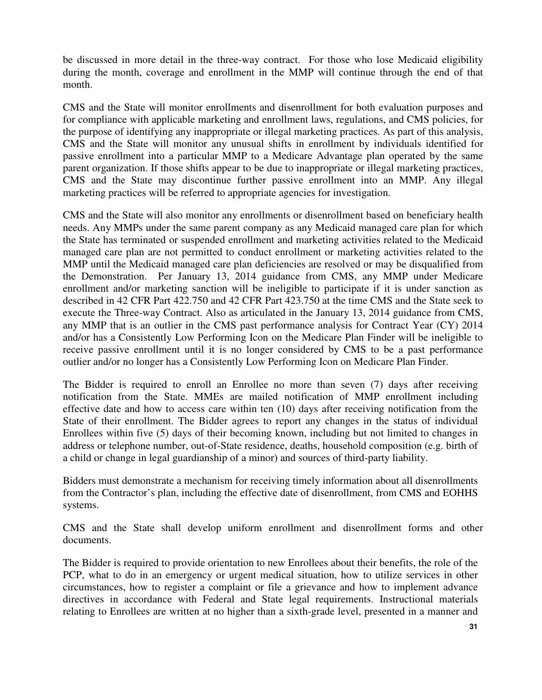be discussed in more detail in the three-way contract. For those who lose Medicaid eligibility during the month, coverage and enrollment in the MMP will continue through the end of that month.

CMS and the State will monitor enrollments and disenrollment for both evaluation purposes and for compliance with applicable marketing and enrollment laws, regulations, and CMS policies, for the purpose of identifying any inappropriate or illegal marketing practices. As part of this analysis, CMS and the State will monitor any unusual shifts in enrollment by individuals identified for passive enrollment into a particular MMP to a Medicare Advantage plan operated by the same parent organization. If those shifts appear to be due to inappropriate or illegal marketing practices, CMS and the State may discontinue further passive enrollment into an MMP. Any illegal marketing practices will be referred to appropriate agencies for investigation.

CMS and the State will also monitor any enrollments or disenrollment based on beneficiary health needs. Any MMPs under the same parent company as any Medicaid managed care plan for which the State has terminated or suspended enrollment and marketing activities related to the Medicaid managed care plan are not permitted to conduct enrollment or marketing activities related to the MMP until the Medicaid managed care plan deficiencies are resolved or may be disqualified from the Demonstration. Per January 13, 2014 guidance from CMS, any MMP under Medicare enrollment and/or marketing sanction will be ineligible to participate if it is under sanction as described in 42 CFR Part 422.750 and 42 CFR Part 423.750 at the time CMS and the State seek to execute the Three-way Contract. Also as articulated in the January 13, 2014 guidance from CMS, any MMP that is an outlier in the CMS past performance analysis for Contract Year (CY) 2014 and/or has a Consistently Low Performing Icon on the Medicare Plan Finder will be ineligible to receive passive enrollment until it is no longer considered by CMS to be a past performance outlier and/or no longer has a Consistently Low Performing Icon on Medicare Plan Finder.

The Bidder is required to enroll an Enrollee no more than seven (7) days after receiving notification from the State. MMEs are mailed notification of MMP enrollment including effective date and how to access care within ten (10) days after receiving notification from the State of their enrollment. The Bidder agrees to report any changes in the status of individual Enrollees within five (5) days of their becoming known, including but not limited to changes in address or telephone number, out-of-State residence, deaths, household composition (e.g. birth of a child or change in legal guardianship of a minor) and sources of third-party liability.

Bidders must demonstrate a mechanism for receiving timely information about all disenrollments from the Contractor's plan, including the effective date of disenrollment, from CMS and EOHHS systems.

CMS and the State shall develop uniform enrollment and disenrollment forms and other documents.

The Bidder is required to provide orientation to new Enrollees about their benefits, the role of the PCP, what to do in an emergency or urgent medical situation, how to utilize services in other circumstances, how to register a complaint or file a grievance and how to implement advance directives in accordance with Federal and State legal requirements. Instructional materials relating to Enrollees are written at no higher than a sixth-grade level, presented in a manner and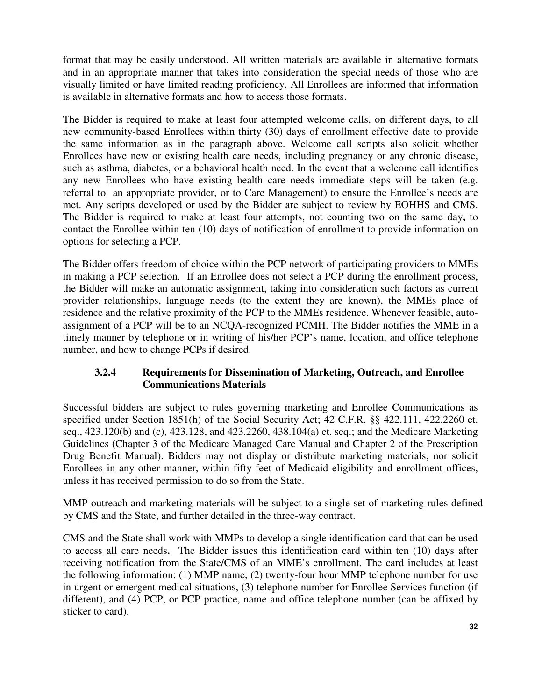format that may be easily understood. All written materials are available in alternative formats and in an appropriate manner that takes into consideration the special needs of those who are visually limited or have limited reading proficiency. All Enrollees are informed that information is available in alternative formats and how to access those formats.

The Bidder is required to make at least four attempted welcome calls, on different days, to all new community-based Enrollees within thirty (30) days of enrollment effective date to provide the same information as in the paragraph above. Welcome call scripts also solicit whether Enrollees have new or existing health care needs, including pregnancy or any chronic disease, such as asthma, diabetes, or a behavioral health need. In the event that a welcome call identifies any new Enrollees who have existing health care needs immediate steps will be taken (e.g. referral to an appropriate provider, or to Care Management) to ensure the Enrollee's needs are met. Any scripts developed or used by the Bidder are subject to review by EOHHS and CMS. The Bidder is required to make at least four attempts, not counting two on the same day**,** to contact the Enrollee within ten (10) days of notification of enrollment to provide information on options for selecting a PCP.

The Bidder offers freedom of choice within the PCP network of participating providers to MMEs in making a PCP selection. If an Enrollee does not select a PCP during the enrollment process, the Bidder will make an automatic assignment, taking into consideration such factors as current provider relationships, language needs (to the extent they are known), the MMEs place of residence and the relative proximity of the PCP to the MMEs residence. Whenever feasible, autoassignment of a PCP will be to an NCQA-recognized PCMH. The Bidder notifies the MME in a timely manner by telephone or in writing of his/her PCP's name, location, and office telephone number, and how to change PCPs if desired.

### **3.2.4 Requirements for Dissemination of Marketing, Outreach, and Enrollee Communications Materials**

Successful bidders are subject to rules governing marketing and Enrollee Communications as specified under Section 1851(h) of the Social Security Act; 42 C.F.R. §§ 422.111, 422.2260 et. seq., 423.120(b) and (c), 423.128, and 423.2260, 438.104(a) et. seq.; and the Medicare Marketing Guidelines (Chapter 3 of the Medicare Managed Care Manual and Chapter 2 of the Prescription Drug Benefit Manual). Bidders may not display or distribute marketing materials, nor solicit Enrollees in any other manner, within fifty feet of Medicaid eligibility and enrollment offices, unless it has received permission to do so from the State.

MMP outreach and marketing materials will be subject to a single set of marketing rules defined by CMS and the State, and further detailed in the three-way contract.

CMS and the State shall work with MMPs to develop a single identification card that can be used to access all care needs**.** The Bidder issues this identification card within ten (10) days after receiving notification from the State/CMS of an MME's enrollment. The card includes at least the following information: (1) MMP name, (2) twenty-four hour MMP telephone number for use in urgent or emergent medical situations, (3) telephone number for Enrollee Services function (if different), and (4) PCP, or PCP practice, name and office telephone number (can be affixed by sticker to card).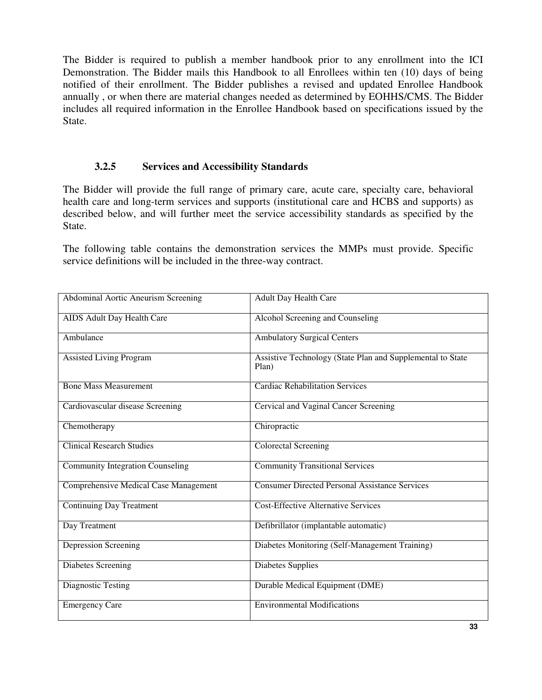The Bidder is required to publish a member handbook prior to any enrollment into the ICI Demonstration. The Bidder mails this Handbook to all Enrollees within ten (10) days of being notified of their enrollment. The Bidder publishes a revised and updated Enrollee Handbook annually , or when there are material changes needed as determined by EOHHS/CMS. The Bidder includes all required information in the Enrollee Handbook based on specifications issued by the State.

### **3.2.5 Services and Accessibility Standards**

The Bidder will provide the full range of primary care, acute care, specialty care, behavioral health care and long-term services and supports (institutional care and HCBS and supports) as described below, and will further meet the service accessibility standards as specified by the State.

The following table contains the demonstration services the MMPs must provide. Specific service definitions will be included in the three-way contract.

| Abdominal Aortic Aneurism Screening          | <b>Adult Day Health Care</b>                                        |
|----------------------------------------------|---------------------------------------------------------------------|
| AIDS Adult Day Health Care                   | Alcohol Screening and Counseling                                    |
| Ambulance                                    | <b>Ambulatory Surgical Centers</b>                                  |
| <b>Assisted Living Program</b>               | Assistive Technology (State Plan and Supplemental to State<br>Plan) |
| <b>Bone Mass Measurement</b>                 | <b>Cardiac Rehabilitation Services</b>                              |
| Cardiovascular disease Screening             | Cervical and Vaginal Cancer Screening                               |
| Chemotherapy                                 | Chiropractic                                                        |
| <b>Clinical Research Studies</b>             | <b>Colorectal Screening</b>                                         |
| <b>Community Integration Counseling</b>      | <b>Community Transitional Services</b>                              |
| <b>Comprehensive Medical Case Management</b> | <b>Consumer Directed Personal Assistance Services</b>               |
| <b>Continuing Day Treatment</b>              | <b>Cost-Effective Alternative Services</b>                          |
| Day Treatment                                | Defibrillator (implantable automatic)                               |
| <b>Depression Screening</b>                  | Diabetes Monitoring (Self-Management Training)                      |
| <b>Diabetes Screening</b>                    | <b>Diabetes Supplies</b>                                            |
| <b>Diagnostic Testing</b>                    | Durable Medical Equipment (DME)                                     |
| <b>Emergency Care</b>                        | <b>Environmental Modifications</b>                                  |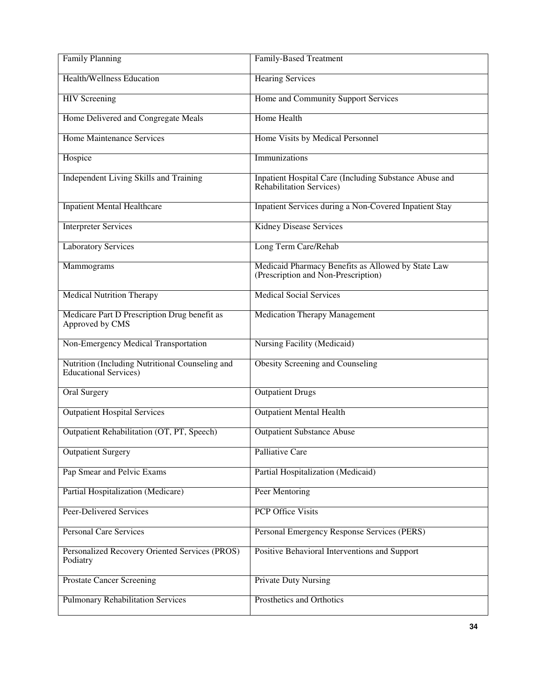| <b>Family Planning</b>                                                           | <b>Family-Based Treatment</b>                                                             |
|----------------------------------------------------------------------------------|-------------------------------------------------------------------------------------------|
| <b>Health/Wellness Education</b>                                                 | <b>Hearing Services</b>                                                                   |
| <b>HIV</b> Screening                                                             | Home and Community Support Services                                                       |
| Home Delivered and Congregate Meals                                              | Home Health                                                                               |
| <b>Home Maintenance Services</b>                                                 | Home Visits by Medical Personnel                                                          |
| Hospice                                                                          | Immunizations                                                                             |
| <b>Independent Living Skills and Training</b>                                    | Inpatient Hospital Care (Including Substance Abuse and<br>Rehabilitation Services)        |
| <b>Inpatient Mental Healthcare</b>                                               | Inpatient Services during a Non-Covered Inpatient Stay                                    |
| <b>Interpreter Services</b>                                                      | <b>Kidney Disease Services</b>                                                            |
| <b>Laboratory Services</b>                                                       | Long Term Care/Rehab                                                                      |
| Mammograms                                                                       | Medicaid Pharmacy Benefits as Allowed by State Law<br>(Prescription and Non-Prescription) |
| <b>Medical Nutrition Therapy</b>                                                 | <b>Medical Social Services</b>                                                            |
| Medicare Part D Prescription Drug benefit as<br>Approved by CMS                  | <b>Medication Therapy Management</b>                                                      |
| Non-Emergency Medical Transportation                                             | <b>Nursing Facility (Medicaid)</b>                                                        |
| Nutrition (Including Nutritional Counseling and<br><b>Educational Services</b> ) | <b>Obesity Screening and Counseling</b>                                                   |
| <b>Oral Surgery</b>                                                              | <b>Outpatient Drugs</b>                                                                   |
| <b>Outpatient Hospital Services</b>                                              | <b>Outpatient Mental Health</b>                                                           |
| Outpatient Rehabilitation (OT, PT, Speech)                                       | <b>Outpatient Substance Abuse</b>                                                         |
| <b>Outpatient Surgery</b>                                                        | <b>Palliative Care</b>                                                                    |
| Pap Smear and Pelvic Exams                                                       | Partial Hospitalization (Medicaid)                                                        |
| Partial Hospitalization (Medicare)                                               | Peer Mentoring                                                                            |
| <b>Peer-Delivered Services</b>                                                   | <b>PCP Office Visits</b>                                                                  |
| <b>Personal Care Services</b>                                                    | Personal Emergency Response Services (PERS)                                               |
| Personalized Recovery Oriented Services (PROS)<br>Podiatry                       | Positive Behavioral Interventions and Support                                             |
| <b>Prostate Cancer Screening</b>                                                 | <b>Private Duty Nursing</b>                                                               |
| <b>Pulmonary Rehabilitation Services</b>                                         | Prosthetics and Orthotics                                                                 |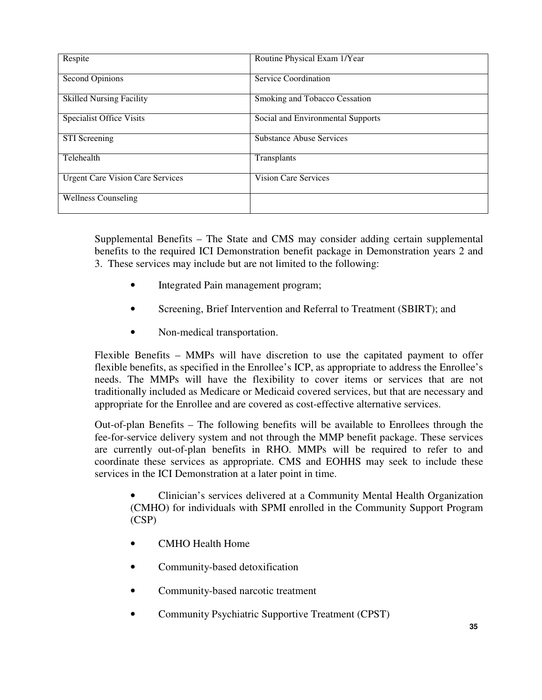| Respite                                 | Routine Physical Exam 1/Year      |
|-----------------------------------------|-----------------------------------|
| <b>Second Opinions</b>                  | Service Coordination              |
| <b>Skilled Nursing Facility</b>         | Smoking and Tobacco Cessation     |
| <b>Specialist Office Visits</b>         | Social and Environmental Supports |
| <b>STI</b> Screening                    | <b>Substance Abuse Services</b>   |
| Telehealth                              | Transplants                       |
| <b>Urgent Care Vision Care Services</b> | <b>Vision Care Services</b>       |
| <b>Wellness Counseling</b>              |                                   |

Supplemental Benefits – The State and CMS may consider adding certain supplemental benefits to the required ICI Demonstration benefit package in Demonstration years 2 and 3. These services may include but are not limited to the following:

- Integrated Pain management program;
- Screening, Brief Intervention and Referral to Treatment (SBIRT); and
- Non-medical transportation.

Flexible Benefits – MMPs will have discretion to use the capitated payment to offer flexible benefits, as specified in the Enrollee's ICP, as appropriate to address the Enrollee's needs. The MMPs will have the flexibility to cover items or services that are not traditionally included as Medicare or Medicaid covered services, but that are necessary and appropriate for the Enrollee and are covered as cost-effective alternative services.

Out-of-plan Benefits – The following benefits will be available to Enrollees through the fee-for-service delivery system and not through the MMP benefit package. These services are currently out-of-plan benefits in RHO. MMPs will be required to refer to and coordinate these services as appropriate. CMS and EOHHS may seek to include these services in the ICI Demonstration at a later point in time.

• Clinician's services delivered at a Community Mental Health Organization (CMHO) for individuals with SPMI enrolled in the Community Support Program (CSP)

- CMHO Health Home
- Community-based detoxification
- Community-based narcotic treatment
- Community Psychiatric Supportive Treatment (CPST)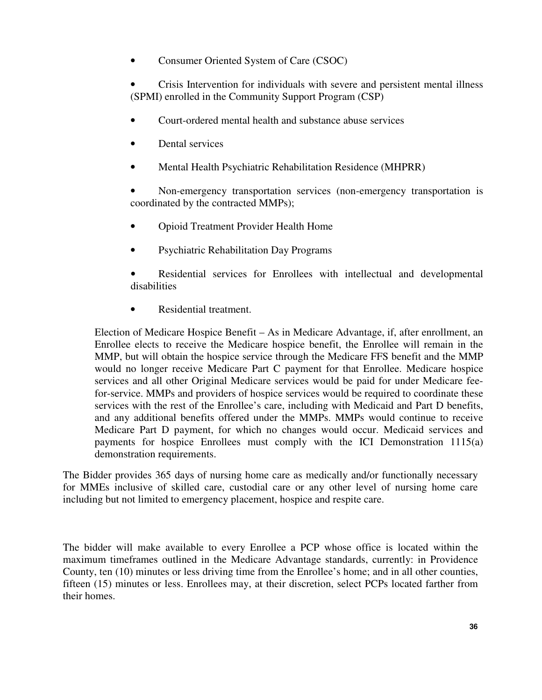• Consumer Oriented System of Care (CSOC)

• Crisis Intervention for individuals with severe and persistent mental illness (SPMI) enrolled in the Community Support Program (CSP)

- Court-ordered mental health and substance abuse services
- Dental services
- Mental Health Psychiatric Rehabilitation Residence (MHPRR)

• Non-emergency transportation services (non-emergency transportation is coordinated by the contracted MMPs);

- Opioid Treatment Provider Health Home
- Psychiatric Rehabilitation Day Programs
- Residential services for Enrollees with intellectual and developmental disabilities
- Residential treatment.

Election of Medicare Hospice Benefit – As in Medicare Advantage, if, after enrollment, an Enrollee elects to receive the Medicare hospice benefit, the Enrollee will remain in the MMP, but will obtain the hospice service through the Medicare FFS benefit and the MMP would no longer receive Medicare Part C payment for that Enrollee. Medicare hospice services and all other Original Medicare services would be paid for under Medicare feefor-service. MMPs and providers of hospice services would be required to coordinate these services with the rest of the Enrollee's care, including with Medicaid and Part D benefits, and any additional benefits offered under the MMPs. MMPs would continue to receive Medicare Part D payment, for which no changes would occur. Medicaid services and payments for hospice Enrollees must comply with the ICI Demonstration 1115(a) demonstration requirements.

The Bidder provides 365 days of nursing home care as medically and/or functionally necessary for MMEs inclusive of skilled care, custodial care or any other level of nursing home care including but not limited to emergency placement, hospice and respite care.

The bidder will make available to every Enrollee a PCP whose office is located within the maximum timeframes outlined in the Medicare Advantage standards, currently: in Providence County, ten (10) minutes or less driving time from the Enrollee's home; and in all other counties, fifteen (15) minutes or less. Enrollees may, at their discretion, select PCPs located farther from their homes.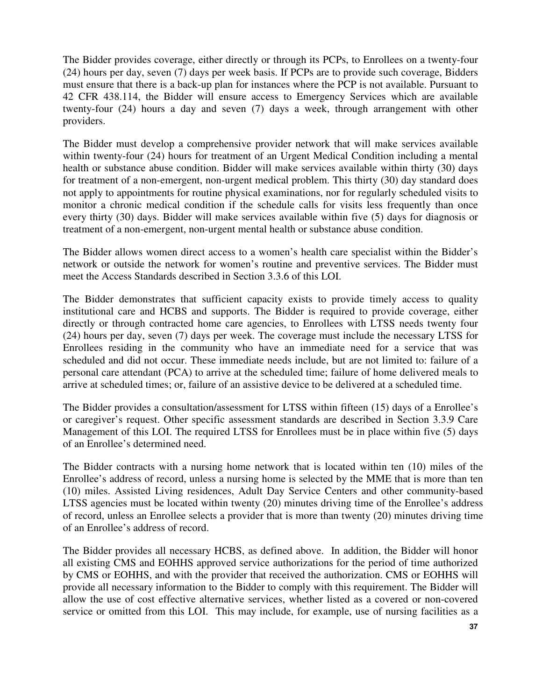The Bidder provides coverage, either directly or through its PCPs, to Enrollees on a twenty-four (24) hours per day, seven (7) days per week basis. If PCPs are to provide such coverage, Bidders must ensure that there is a back-up plan for instances where the PCP is not available. Pursuant to 42 CFR 438.114, the Bidder will ensure access to Emergency Services which are available twenty-four (24) hours a day and seven (7) days a week, through arrangement with other providers.

The Bidder must develop a comprehensive provider network that will make services available within twenty-four (24) hours for treatment of an Urgent Medical Condition including a mental health or substance abuse condition. Bidder will make services available within thirty (30) days for treatment of a non-emergent, non-urgent medical problem. This thirty (30) day standard does not apply to appointments for routine physical examinations, nor for regularly scheduled visits to monitor a chronic medical condition if the schedule calls for visits less frequently than once every thirty (30) days. Bidder will make services available within five (5) days for diagnosis or treatment of a non-emergent, non-urgent mental health or substance abuse condition.

The Bidder allows women direct access to a women's health care specialist within the Bidder's network or outside the network for women's routine and preventive services. The Bidder must meet the Access Standards described in Section 3.3.6 of this LOI.

The Bidder demonstrates that sufficient capacity exists to provide timely access to quality institutional care and HCBS and supports. The Bidder is required to provide coverage, either directly or through contracted home care agencies, to Enrollees with LTSS needs twenty four (24) hours per day, seven (7) days per week. The coverage must include the necessary LTSS for Enrollees residing in the community who have an immediate need for a service that was scheduled and did not occur. These immediate needs include, but are not limited to: failure of a personal care attendant (PCA) to arrive at the scheduled time; failure of home delivered meals to arrive at scheduled times; or, failure of an assistive device to be delivered at a scheduled time.

The Bidder provides a consultation/assessment for LTSS within fifteen (15) days of a Enrollee's or caregiver's request. Other specific assessment standards are described in Section 3.3.9 Care Management of this LOI. The required LTSS for Enrollees must be in place within five (5) days of an Enrollee's determined need.

The Bidder contracts with a nursing home network that is located within ten (10) miles of the Enrollee's address of record, unless a nursing home is selected by the MME that is more than ten (10) miles. Assisted Living residences, Adult Day Service Centers and other community-based LTSS agencies must be located within twenty (20) minutes driving time of the Enrollee's address of record, unless an Enrollee selects a provider that is more than twenty (20) minutes driving time of an Enrollee's address of record.

The Bidder provides all necessary HCBS, as defined above. In addition, the Bidder will honor all existing CMS and EOHHS approved service authorizations for the period of time authorized by CMS or EOHHS, and with the provider that received the authorization. CMS or EOHHS will provide all necessary information to the Bidder to comply with this requirement. The Bidder will allow the use of cost effective alternative services, whether listed as a covered or non-covered service or omitted from this LOI. This may include, for example, use of nursing facilities as a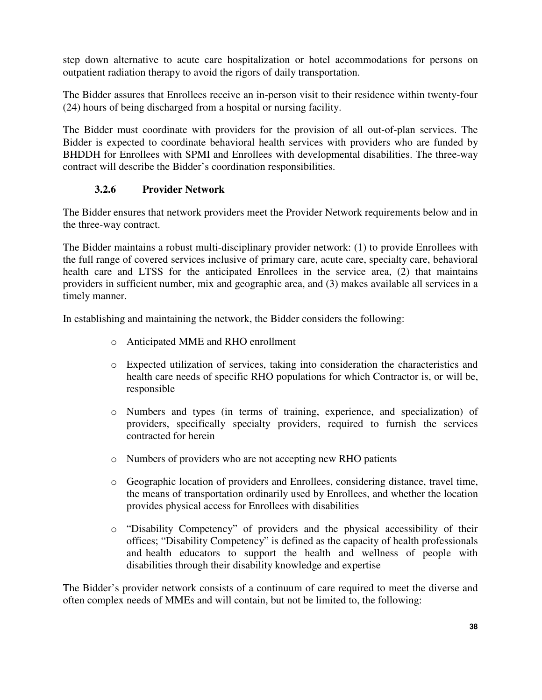step down alternative to acute care hospitalization or hotel accommodations for persons on outpatient radiation therapy to avoid the rigors of daily transportation.

The Bidder assures that Enrollees receive an in-person visit to their residence within twenty-four (24) hours of being discharged from a hospital or nursing facility.

The Bidder must coordinate with providers for the provision of all out-of-plan services. The Bidder is expected to coordinate behavioral health services with providers who are funded by BHDDH for Enrollees with SPMI and Enrollees with developmental disabilities. The three-way contract will describe the Bidder's coordination responsibilities.

# **3.2.6 Provider Network**

The Bidder ensures that network providers meet the Provider Network requirements below and in the three-way contract.

The Bidder maintains a robust multi-disciplinary provider network: (1) to provide Enrollees with the full range of covered services inclusive of primary care, acute care, specialty care, behavioral health care and LTSS for the anticipated Enrollees in the service area, (2) that maintains providers in sufficient number, mix and geographic area, and (3) makes available all services in a timely manner.

In establishing and maintaining the network, the Bidder considers the following:

- o Anticipated MME and RHO enrollment
- o Expected utilization of services, taking into consideration the characteristics and health care needs of specific RHO populations for which Contractor is, or will be, responsible
- o Numbers and types (in terms of training, experience, and specialization) of providers, specifically specialty providers, required to furnish the services contracted for herein
- o Numbers of providers who are not accepting new RHO patients
- o Geographic location of providers and Enrollees, considering distance, travel time, the means of transportation ordinarily used by Enrollees, and whether the location provides physical access for Enrollees with disabilities
- o "Disability Competency" of providers and the physical accessibility of their offices; "Disability Competency" is defined as the capacity of health professionals and health educators to support the health and wellness of people with disabilities through their disability knowledge and expertise

The Bidder's provider network consists of a continuum of care required to meet the diverse and often complex needs of MMEs and will contain, but not be limited to, the following: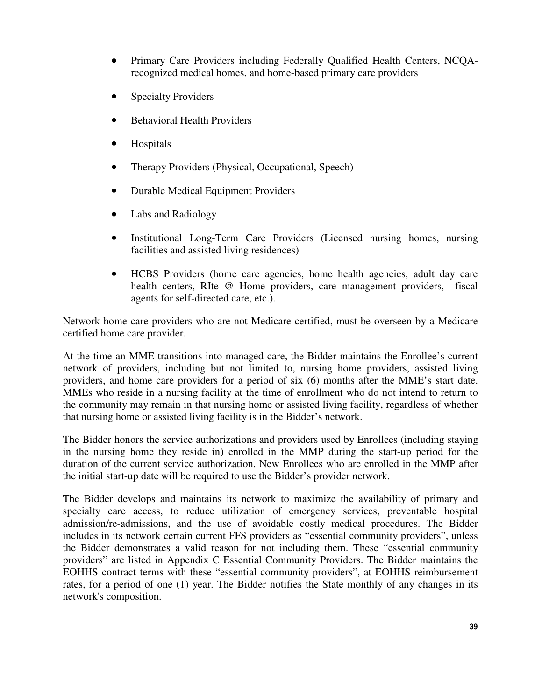- Primary Care Providers including Federally Qualified Health Centers, NCQArecognized medical homes, and home-based primary care providers
- **Specialty Providers**
- Behavioral Health Providers
- Hospitals
- Therapy Providers (Physical, Occupational, Speech)
- Durable Medical Equipment Providers
- Labs and Radiology
- Institutional Long-Term Care Providers (Licensed nursing homes, nursing facilities and assisted living residences)
- HCBS Providers (home care agencies, home health agencies, adult day care health centers, RIte @ Home providers, care management providers, fiscal agents for self-directed care, etc.).

Network home care providers who are not Medicare-certified, must be overseen by a Medicare certified home care provider.

At the time an MME transitions into managed care, the Bidder maintains the Enrollee's current network of providers, including but not limited to, nursing home providers, assisted living providers, and home care providers for a period of six (6) months after the MME's start date. MMEs who reside in a nursing facility at the time of enrollment who do not intend to return to the community may remain in that nursing home or assisted living facility, regardless of whether that nursing home or assisted living facility is in the Bidder's network.

The Bidder honors the service authorizations and providers used by Enrollees (including staying in the nursing home they reside in) enrolled in the MMP during the start-up period for the duration of the current service authorization. New Enrollees who are enrolled in the MMP after the initial start-up date will be required to use the Bidder's provider network.

The Bidder develops and maintains its network to maximize the availability of primary and specialty care access, to reduce utilization of emergency services, preventable hospital admission/re-admissions, and the use of avoidable costly medical procedures. The Bidder includes in its network certain current FFS providers as "essential community providers", unless the Bidder demonstrates a valid reason for not including them. These "essential community providers" are listed in Appendix C Essential Community Providers. The Bidder maintains the EOHHS contract terms with these "essential community providers", at EOHHS reimbursement rates, for a period of one (1) year. The Bidder notifies the State monthly of any changes in its network's composition.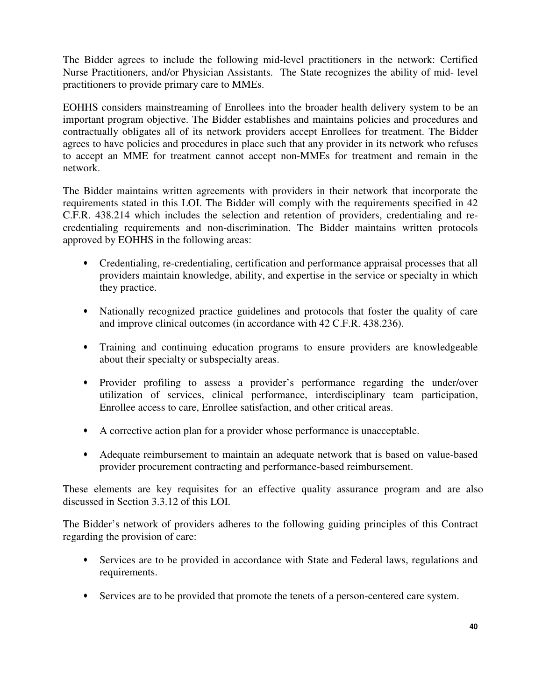The Bidder agrees to include the following mid-level practitioners in the network: Certified Nurse Practitioners, and/or Physician Assistants. The State recognizes the ability of mid- level practitioners to provide primary care to MMEs.

EOHHS considers mainstreaming of Enrollees into the broader health delivery system to be an important program objective. The Bidder establishes and maintains policies and procedures and contractually obligates all of its network providers accept Enrollees for treatment. The Bidder agrees to have policies and procedures in place such that any provider in its network who refuses to accept an MME for treatment cannot accept non-MMEs for treatment and remain in the network.

The Bidder maintains written agreements with providers in their network that incorporate the requirements stated in this LOI. The Bidder will comply with the requirements specified in 42 C.F.R. 438.214 which includes the selection and retention of providers, credentialing and recredentialing requirements and non-discrimination. The Bidder maintains written protocols approved by EOHHS in the following areas:

- Credentialing, re-credentialing, certification and performance appraisal processes that all providers maintain knowledge, ability, and expertise in the service or specialty in which they practice.
- Nationally recognized practice guidelines and protocols that foster the quality of care and improve clinical outcomes (in accordance with 42 C.F.R. 438.236).
- Training and continuing education programs to ensure providers are knowledgeable about their specialty or subspecialty areas.
- Provider profiling to assess a provider's performance regarding the under/over utilization of services, clinical performance, interdisciplinary team participation, Enrollee access to care, Enrollee satisfaction, and other critical areas.
- A corrective action plan for a provider whose performance is unacceptable.
- Adequate reimbursement to maintain an adequate network that is based on value-based provider procurement contracting and performance-based reimbursement.

These elements are key requisites for an effective quality assurance program and are also discussed in Section 3.3.12 of this LOI.

The Bidder's network of providers adheres to the following guiding principles of this Contract regarding the provision of care:

- Services are to be provided in accordance with State and Federal laws, regulations and requirements.
- Services are to be provided that promote the tenets of a person-centered care system.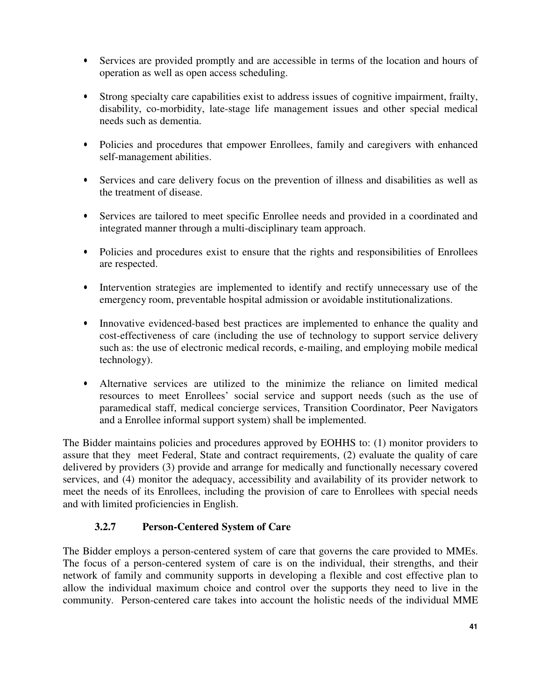- Services are provided promptly and are accessible in terms of the location and hours of operation as well as open access scheduling.
- Strong specialty care capabilities exist to address issues of cognitive impairment, frailty, disability, co-morbidity, late-stage life management issues and other special medical needs such as dementia.
- Policies and procedures that empower Enrollees, family and caregivers with enhanced self-management abilities.
- Services and care delivery focus on the prevention of illness and disabilities as well as the treatment of disease.
- Services are tailored to meet specific Enrollee needs and provided in a coordinated and integrated manner through a multi-disciplinary team approach.
- Policies and procedures exist to ensure that the rights and responsibilities of Enrollees are respected.
- Intervention strategies are implemented to identify and rectify unnecessary use of the emergency room, preventable hospital admission or avoidable institutionalizations.
- Innovative evidenced-based best practices are implemented to enhance the quality and cost-effectiveness of care (including the use of technology to support service delivery such as: the use of electronic medical records, e-mailing, and employing mobile medical technology).
- Alternative services are utilized to the minimize the reliance on limited medical resources to meet Enrollees' social service and support needs (such as the use of paramedical staff, medical concierge services, Transition Coordinator, Peer Navigators and a Enrollee informal support system) shall be implemented.

The Bidder maintains policies and procedures approved by EOHHS to: (1) monitor providers to assure that they meet Federal, State and contract requirements, (2) evaluate the quality of care delivered by providers (3) provide and arrange for medically and functionally necessary covered services, and (4) monitor the adequacy, accessibility and availability of its provider network to meet the needs of its Enrollees, including the provision of care to Enrollees with special needs and with limited proficiencies in English.

## **3.2.7 Person-Centered System of Care**

The Bidder employs a person-centered system of care that governs the care provided to MMEs. The focus of a person-centered system of care is on the individual, their strengths, and their network of family and community supports in developing a flexible and cost effective plan to allow the individual maximum choice and control over the supports they need to live in the community. Person-centered care takes into account the holistic needs of the individual MME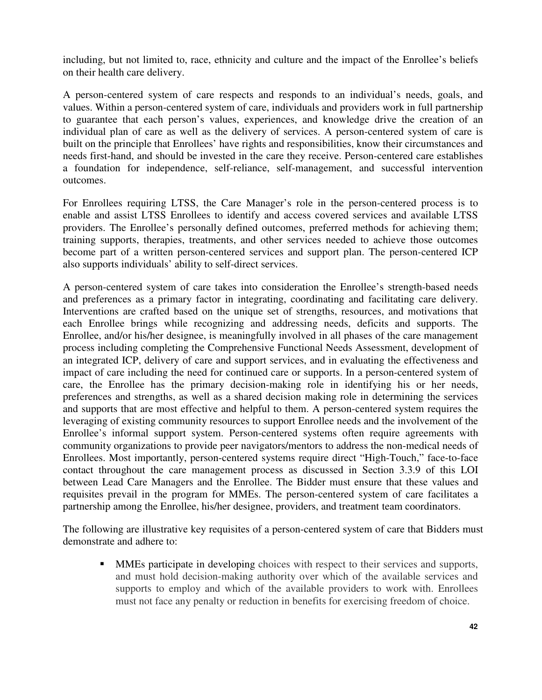including, but not limited to, race, ethnicity and culture and the impact of the Enrollee's beliefs on their health care delivery.

A person-centered system of care respects and responds to an individual's needs, goals, and values. Within a person-centered system of care, individuals and providers work in full partnership to guarantee that each person's values, experiences, and knowledge drive the creation of an individual plan of care as well as the delivery of services. A person-centered system of care is built on the principle that Enrollees' have rights and responsibilities, know their circumstances and needs first-hand, and should be invested in the care they receive. Person-centered care establishes a foundation for independence, self-reliance, self-management, and successful intervention outcomes.

For Enrollees requiring LTSS, the Care Manager's role in the person-centered process is to enable and assist LTSS Enrollees to identify and access covered services and available LTSS providers. The Enrollee's personally defined outcomes, preferred methods for achieving them; training supports, therapies, treatments, and other services needed to achieve those outcomes become part of a written person-centered services and support plan. The person-centered ICP also supports individuals' ability to self-direct services.

A person-centered system of care takes into consideration the Enrollee's strength-based needs and preferences as a primary factor in integrating, coordinating and facilitating care delivery. Interventions are crafted based on the unique set of strengths, resources, and motivations that each Enrollee brings while recognizing and addressing needs, deficits and supports. The Enrollee, and/or his/her designee, is meaningfully involved in all phases of the care management process including completing the Comprehensive Functional Needs Assessment, development of an integrated ICP, delivery of care and support services, and in evaluating the effectiveness and impact of care including the need for continued care or supports. In a person-centered system of care, the Enrollee has the primary decision-making role in identifying his or her needs, preferences and strengths, as well as a shared decision making role in determining the services and supports that are most effective and helpful to them. A person-centered system requires the leveraging of existing community resources to support Enrollee needs and the involvement of the Enrollee's informal support system. Person-centered systems often require agreements with community organizations to provide peer navigators/mentors to address the non-medical needs of Enrollees. Most importantly, person-centered systems require direct "High-Touch," face-to-face contact throughout the care management process as discussed in Section 3.3.9 of this LOI between Lead Care Managers and the Enrollee. The Bidder must ensure that these values and requisites prevail in the program for MMEs. The person-centered system of care facilitates a partnership among the Enrollee, his/her designee, providers, and treatment team coordinators.

The following are illustrative key requisites of a person-centered system of care that Bidders must demonstrate and adhere to:

 MMEs participate in developing choices with respect to their services and supports, and must hold decision-making authority over which of the available services and supports to employ and which of the available providers to work with. Enrollees must not face any penalty or reduction in benefits for exercising freedom of choice.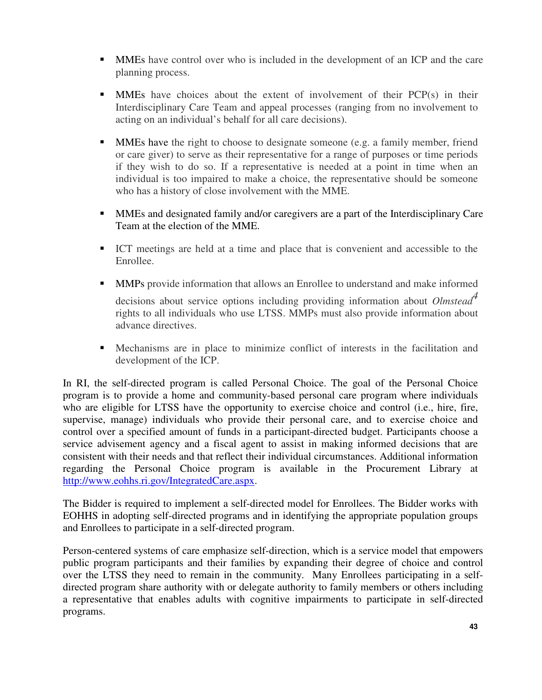- MMEs have control over who is included in the development of an ICP and the care planning process.
- MMEs have choices about the extent of involvement of their PCP(s) in their Interdisciplinary Care Team and appeal processes (ranging from no involvement to acting on an individual's behalf for all care decisions).
- MMEs have the right to choose to designate someone (e.g. a family member, friend or care giver) to serve as their representative for a range of purposes or time periods if they wish to do so. If a representative is needed at a point in time when an individual is too impaired to make a choice, the representative should be someone who has a history of close involvement with the MME.
- MMEs and designated family and/or caregivers are a part of the Interdisciplinary Care Team at the election of the MME.
- ICT meetings are held at a time and place that is convenient and accessible to the Enrollee.
- MMPs provide information that allows an Enrollee to understand and make informed decisions about service options including providing information about *Olmstead<sup>4</sup>* rights to all individuals who use LTSS. MMPs must also provide information about advance directives.
- Mechanisms are in place to minimize conflict of interests in the facilitation and development of the ICP.

In RI, the self-directed program is called Personal Choice. The goal of the Personal Choice program is to provide a home and community-based personal care program where individuals who are eligible for LTSS have the opportunity to exercise choice and control (i.e., hire, fire, supervise, manage) individuals who provide their personal care, and to exercise choice and control over a specified amount of funds in a participant-directed budget. Participants choose a service advisement agency and a fiscal agent to assist in making informed decisions that are consistent with their needs and that reflect their individual circumstances. Additional information regarding the Personal Choice program is available in the Procurement Library at http://www.eohhs.ri.gov/IntegratedCare.aspx.

The Bidder is required to implement a self-directed model for Enrollees. The Bidder works with EOHHS in adopting self-directed programs and in identifying the appropriate population groups and Enrollees to participate in a self-directed program.

Person-centered systems of care emphasize self-direction, which is a service model that empowers public program participants and their families by expanding their degree of choice and control over the LTSS they need to remain in the community. Many Enrollees participating in a selfdirected program share authority with or delegate authority to family members or others including a representative that enables adults with cognitive impairments to participate in self-directed programs.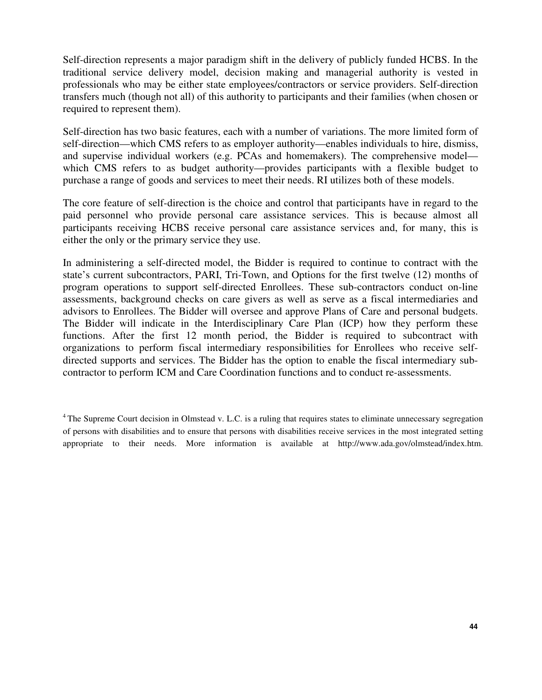Self-direction represents a major paradigm shift in the delivery of publicly funded HCBS. In the traditional service delivery model, decision making and managerial authority is vested in professionals who may be either state employees/contractors or service providers. Self-direction transfers much (though not all) of this authority to participants and their families (when chosen or required to represent them).

Self-direction has two basic features, each with a number of variations. The more limited form of self-direction—which CMS refers to as employer authority—enables individuals to hire, dismiss, and supervise individual workers (e.g. PCAs and homemakers). The comprehensive model which CMS refers to as budget authority—provides participants with a flexible budget to purchase a range of goods and services to meet their needs. RI utilizes both of these models.

The core feature of self-direction is the choice and control that participants have in regard to the paid personnel who provide personal care assistance services. This is because almost all participants receiving HCBS receive personal care assistance services and, for many, this is either the only or the primary service they use.

In administering a self-directed model, the Bidder is required to continue to contract with the state's current subcontractors, PARI, Tri-Town, and Options for the first twelve (12) months of program operations to support self-directed Enrollees. These sub-contractors conduct on-line assessments, background checks on care givers as well as serve as a fiscal intermediaries and advisors to Enrollees. The Bidder will oversee and approve Plans of Care and personal budgets. The Bidder will indicate in the Interdisciplinary Care Plan (ICP) how they perform these functions. After the first 12 month period, the Bidder is required to subcontract with organizations to perform fiscal intermediary responsibilities for Enrollees who receive selfdirected supports and services. The Bidder has the option to enable the fiscal intermediary subcontractor to perform ICM and Care Coordination functions and to conduct re-assessments.

<sup>&</sup>lt;sup>4</sup> The Supreme Court decision in Olmstead v. L.C. is a ruling that requires states to eliminate unnecessary segregation of persons with disabilities and to ensure that persons with disabilities receive services in the most integrated setting appropriate to their needs. More information is available at http://www.ada.gov/olmstead/index.htm.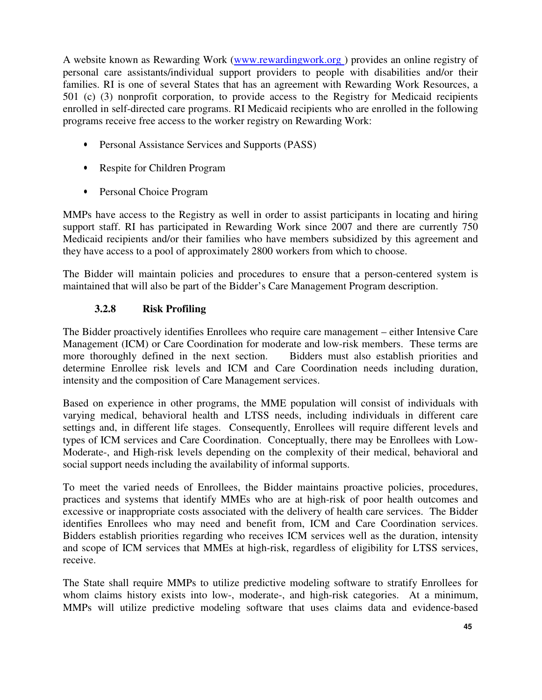A website known as Rewarding Work (www.rewardingwork.org ) provides an online registry of personal care assistants/individual support providers to people with disabilities and/or their families. RI is one of several States that has an agreement with Rewarding Work Resources, a 501 (c) (3) nonprofit corporation, to provide access to the Registry for Medicaid recipients enrolled in self-directed care programs. RI Medicaid recipients who are enrolled in the following programs receive free access to the worker registry on Rewarding Work:

- Personal Assistance Services and Supports (PASS)
- Respite for Children Program
- Personal Choice Program

MMPs have access to the Registry as well in order to assist participants in locating and hiring support staff. RI has participated in Rewarding Work since 2007 and there are currently 750 Medicaid recipients and/or their families who have members subsidized by this agreement and they have access to a pool of approximately 2800 workers from which to choose.

The Bidder will maintain policies and procedures to ensure that a person-centered system is maintained that will also be part of the Bidder's Care Management Program description.

## **3.2.8 Risk Profiling**

The Bidder proactively identifies Enrollees who require care management – either Intensive Care Management (ICM) or Care Coordination for moderate and low-risk members. These terms are more thoroughly defined in the next section. Bidders must also establish priorities and determine Enrollee risk levels and ICM and Care Coordination needs including duration, intensity and the composition of Care Management services.

Based on experience in other programs, the MME population will consist of individuals with varying medical, behavioral health and LTSS needs, including individuals in different care settings and, in different life stages. Consequently, Enrollees will require different levels and types of ICM services and Care Coordination. Conceptually, there may be Enrollees with Low-Moderate-, and High-risk levels depending on the complexity of their medical, behavioral and social support needs including the availability of informal supports.

To meet the varied needs of Enrollees, the Bidder maintains proactive policies, procedures, practices and systems that identify MMEs who are at high-risk of poor health outcomes and excessive or inappropriate costs associated with the delivery of health care services. The Bidder identifies Enrollees who may need and benefit from, ICM and Care Coordination services. Bidders establish priorities regarding who receives ICM services well as the duration, intensity and scope of ICM services that MMEs at high-risk, regardless of eligibility for LTSS services, receive.

The State shall require MMPs to utilize predictive modeling software to stratify Enrollees for whom claims history exists into low-, moderate-, and high-risk categories. At a minimum, MMPs will utilize predictive modeling software that uses claims data and evidence-based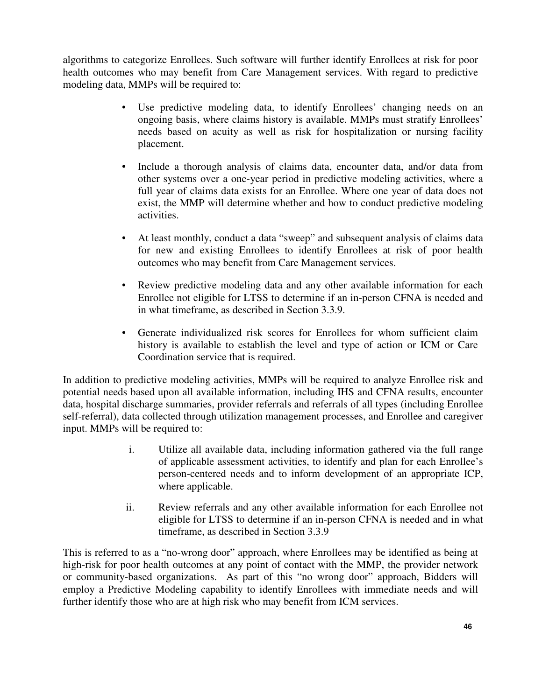algorithms to categorize Enrollees. Such software will further identify Enrollees at risk for poor health outcomes who may benefit from Care Management services. With regard to predictive modeling data, MMPs will be required to:

- Use predictive modeling data, to identify Enrollees' changing needs on an ongoing basis, where claims history is available. MMPs must stratify Enrollees' needs based on acuity as well as risk for hospitalization or nursing facility placement.
- Include a thorough analysis of claims data, encounter data, and/or data from other systems over a one-year period in predictive modeling activities, where a full year of claims data exists for an Enrollee. Where one year of data does not exist, the MMP will determine whether and how to conduct predictive modeling activities.
- At least monthly, conduct a data "sweep" and subsequent analysis of claims data for new and existing Enrollees to identify Enrollees at risk of poor health outcomes who may benefit from Care Management services.
- Review predictive modeling data and any other available information for each Enrollee not eligible for LTSS to determine if an in-person CFNA is needed and in what timeframe, as described in Section 3.3.9.
- Generate individualized risk scores for Enrollees for whom sufficient claim history is available to establish the level and type of action or ICM or Care Coordination service that is required.

In addition to predictive modeling activities, MMPs will be required to analyze Enrollee risk and potential needs based upon all available information, including IHS and CFNA results, encounter data, hospital discharge summaries, provider referrals and referrals of all types (including Enrollee self-referral), data collected through utilization management processes, and Enrollee and caregiver input. MMPs will be required to:

- i. Utilize all available data, including information gathered via the full range of applicable assessment activities, to identify and plan for each Enrollee's person-centered needs and to inform development of an appropriate ICP, where applicable.
- ii. Review referrals and any other available information for each Enrollee not eligible for LTSS to determine if an in-person CFNA is needed and in what timeframe, as described in Section 3.3.9

This is referred to as a "no-wrong door" approach, where Enrollees may be identified as being at high-risk for poor health outcomes at any point of contact with the MMP, the provider network or community-based organizations. As part of this "no wrong door" approach, Bidders will employ a Predictive Modeling capability to identify Enrollees with immediate needs and will further identify those who are at high risk who may benefit from ICM services.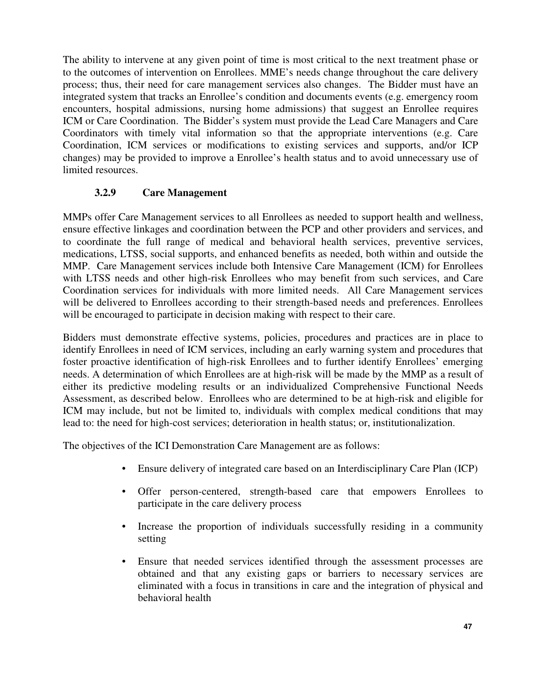The ability to intervene at any given point of time is most critical to the next treatment phase or to the outcomes of intervention on Enrollees. MME's needs change throughout the care delivery process; thus, their need for care management services also changes. The Bidder must have an integrated system that tracks an Enrollee's condition and documents events (e.g. emergency room encounters, hospital admissions, nursing home admissions) that suggest an Enrollee requires ICM or Care Coordination. The Bidder's system must provide the Lead Care Managers and Care Coordinators with timely vital information so that the appropriate interventions (e.g. Care Coordination, ICM services or modifications to existing services and supports, and/or ICP changes) may be provided to improve a Enrollee's health status and to avoid unnecessary use of limited resources.

## **3.2.9 Care Management**

MMPs offer Care Management services to all Enrollees as needed to support health and wellness, ensure effective linkages and coordination between the PCP and other providers and services, and to coordinate the full range of medical and behavioral health services, preventive services, medications, LTSS, social supports, and enhanced benefits as needed, both within and outside the MMP. Care Management services include both Intensive Care Management (ICM) for Enrollees with LTSS needs and other high-risk Enrollees who may benefit from such services, and Care Coordination services for individuals with more limited needs. All Care Management services will be delivered to Enrollees according to their strength-based needs and preferences. Enrollees will be encouraged to participate in decision making with respect to their care.

Bidders must demonstrate effective systems, policies, procedures and practices are in place to identify Enrollees in need of ICM services, including an early warning system and procedures that foster proactive identification of high-risk Enrollees and to further identify Enrollees' emerging needs. A determination of which Enrollees are at high-risk will be made by the MMP as a result of either its predictive modeling results or an individualized Comprehensive Functional Needs Assessment, as described below. Enrollees who are determined to be at high-risk and eligible for ICM may include, but not be limited to, individuals with complex medical conditions that may lead to: the need for high-cost services; deterioration in health status; or, institutionalization.

The objectives of the ICI Demonstration Care Management are as follows:

- Ensure delivery of integrated care based on an Interdisciplinary Care Plan (ICP)
- Offer person-centered, strength-based care that empowers Enrollees to participate in the care delivery process
- Increase the proportion of individuals successfully residing in a community setting
- Ensure that needed services identified through the assessment processes are obtained and that any existing gaps or barriers to necessary services are eliminated with a focus in transitions in care and the integration of physical and behavioral health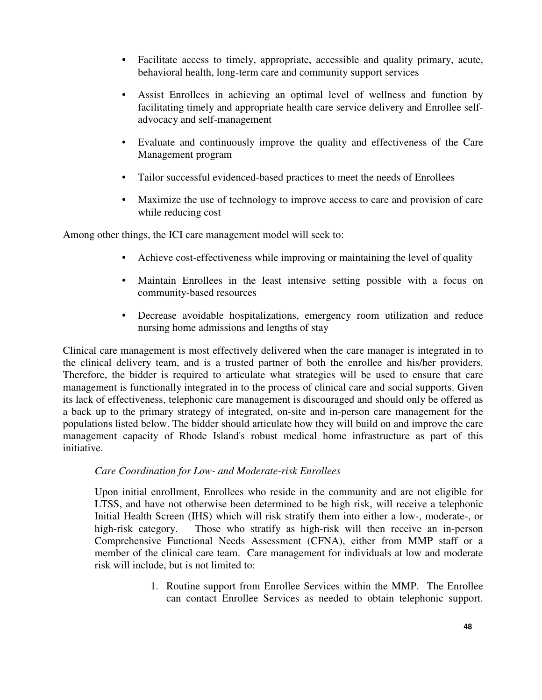- Facilitate access to timely, appropriate, accessible and quality primary, acute, behavioral health, long-term care and community support services
- Assist Enrollees in achieving an optimal level of wellness and function by facilitating timely and appropriate health care service delivery and Enrollee selfadvocacy and self-management
- Evaluate and continuously improve the quality and effectiveness of the Care Management program
- Tailor successful evidenced-based practices to meet the needs of Enrollees
- Maximize the use of technology to improve access to care and provision of care while reducing cost

Among other things, the ICI care management model will seek to:

- Achieve cost-effectiveness while improving or maintaining the level of quality
- Maintain Enrollees in the least intensive setting possible with a focus on community-based resources
- Decrease avoidable hospitalizations, emergency room utilization and reduce nursing home admissions and lengths of stay

Clinical care management is most effectively delivered when the care manager is integrated in to the clinical delivery team, and is a trusted partner of both the enrollee and his/her providers. Therefore, the bidder is required to articulate what strategies will be used to ensure that care management is functionally integrated in to the process of clinical care and social supports. Given its lack of effectiveness, telephonic care management is discouraged and should only be offered as a back up to the primary strategy of integrated, on-site and in-person care management for the populations listed below. The bidder should articulate how they will build on and improve the care management capacity of Rhode Island's robust medical home infrastructure as part of this initiative.

### *Care Coordination for Low- and Moderate-risk Enrollees*

Upon initial enrollment, Enrollees who reside in the community and are not eligible for LTSS, and have not otherwise been determined to be high risk, will receive a telephonic Initial Health Screen (IHS) which will risk stratify them into either a low-, moderate-, or high-risk category. Those who stratify as high-risk will then receive an in-person Comprehensive Functional Needs Assessment (CFNA), either from MMP staff or a member of the clinical care team. Care management for individuals at low and moderate risk will include, but is not limited to:

> 1. Routine support from Enrollee Services within the MMP. The Enrollee can contact Enrollee Services as needed to obtain telephonic support.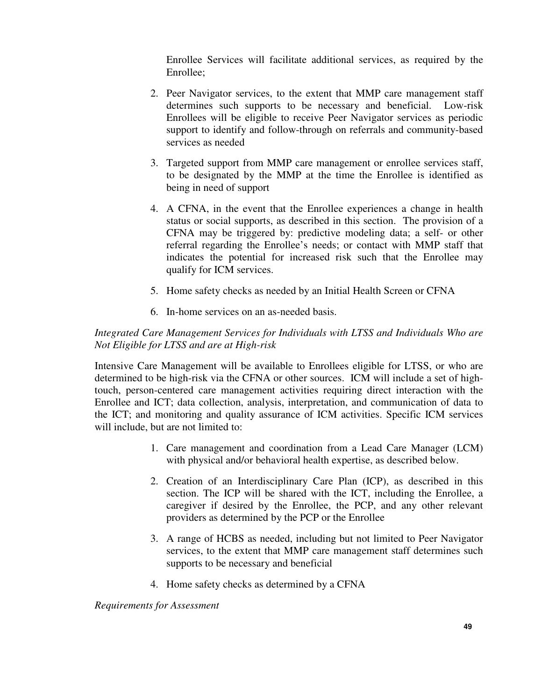Enrollee Services will facilitate additional services, as required by the Enrollee;

- 2. Peer Navigator services, to the extent that MMP care management staff determines such supports to be necessary and beneficial. Low-risk Enrollees will be eligible to receive Peer Navigator services as periodic support to identify and follow-through on referrals and community-based services as needed
- 3. Targeted support from MMP care management or enrollee services staff, to be designated by the MMP at the time the Enrollee is identified as being in need of support
- 4. A CFNA, in the event that the Enrollee experiences a change in health status or social supports, as described in this section. The provision of a CFNA may be triggered by: predictive modeling data; a self- or other referral regarding the Enrollee's needs; or contact with MMP staff that indicates the potential for increased risk such that the Enrollee may qualify for ICM services.
- 5. Home safety checks as needed by an Initial Health Screen or CFNA
- 6. In-home services on an as-needed basis.

## *Integrated Care Management Services for Individuals with LTSS and Individuals Who are Not Eligible for LTSS and are at High-risk*

Intensive Care Management will be available to Enrollees eligible for LTSS, or who are determined to be high-risk via the CFNA or other sources. ICM will include a set of hightouch, person-centered care management activities requiring direct interaction with the Enrollee and ICT; data collection, analysis, interpretation, and communication of data to the ICT; and monitoring and quality assurance of ICM activities. Specific ICM services will include, but are not limited to:

- 1. Care management and coordination from a Lead Care Manager (LCM) with physical and/or behavioral health expertise, as described below.
- 2. Creation of an Interdisciplinary Care Plan (ICP), as described in this section. The ICP will be shared with the ICT, including the Enrollee, a caregiver if desired by the Enrollee, the PCP, and any other relevant providers as determined by the PCP or the Enrollee
- 3. A range of HCBS as needed, including but not limited to Peer Navigator services, to the extent that MMP care management staff determines such supports to be necessary and beneficial
- 4. Home safety checks as determined by a CFNA

#### *Requirements for Assessment*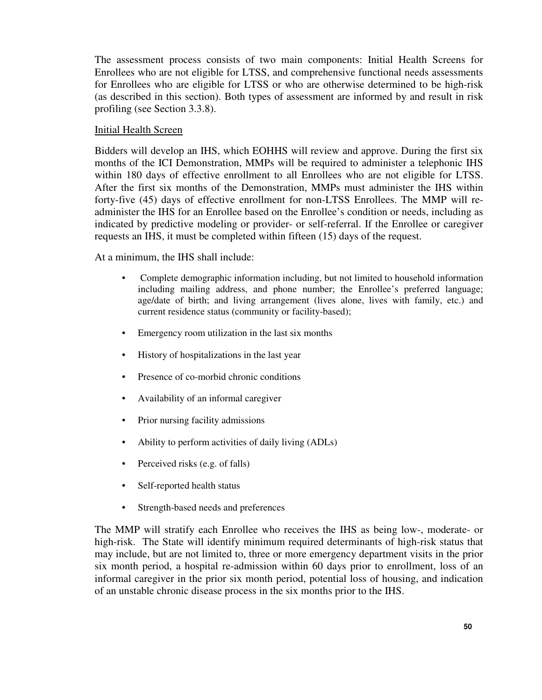The assessment process consists of two main components: Initial Health Screens for Enrollees who are not eligible for LTSS, and comprehensive functional needs assessments for Enrollees who are eligible for LTSS or who are otherwise determined to be high-risk (as described in this section). Both types of assessment are informed by and result in risk profiling (see Section 3.3.8).

#### Initial Health Screen

Bidders will develop an IHS, which EOHHS will review and approve. During the first six months of the ICI Demonstration, MMPs will be required to administer a telephonic IHS within 180 days of effective enrollment to all Enrollees who are not eligible for LTSS. After the first six months of the Demonstration, MMPs must administer the IHS within forty-five (45) days of effective enrollment for non-LTSS Enrollees. The MMP will readminister the IHS for an Enrollee based on the Enrollee's condition or needs, including as indicated by predictive modeling or provider- or self-referral. If the Enrollee or caregiver requests an IHS, it must be completed within fifteen (15) days of the request.

At a minimum, the IHS shall include:

- Complete demographic information including, but not limited to household information including mailing address, and phone number; the Enrollee's preferred language; age/date of birth; and living arrangement (lives alone, lives with family, etc.) and current residence status (community or facility-based);
- Emergency room utilization in the last six months
- History of hospitalizations in the last year
- Presence of co-morbid chronic conditions
- Availability of an informal caregiver
- Prior nursing facility admissions
- Ability to perform activities of daily living (ADLs)
- Perceived risks (e.g. of falls)
- Self-reported health status
- Strength-based needs and preferences

The MMP will stratify each Enrollee who receives the IHS as being low-, moderate- or high-risk. The State will identify minimum required determinants of high-risk status that may include, but are not limited to, three or more emergency department visits in the prior six month period, a hospital re-admission within 60 days prior to enrollment, loss of an informal caregiver in the prior six month period, potential loss of housing, and indication of an unstable chronic disease process in the six months prior to the IHS.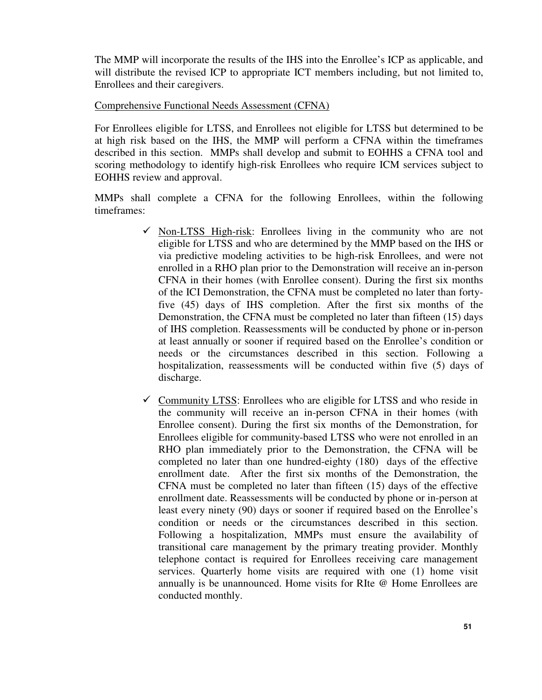The MMP will incorporate the results of the IHS into the Enrollee's ICP as applicable, and will distribute the revised ICP to appropriate ICT members including, but not limited to, Enrollees and their caregivers.

#### Comprehensive Functional Needs Assessment (CFNA)

For Enrollees eligible for LTSS, and Enrollees not eligible for LTSS but determined to be at high risk based on the IHS, the MMP will perform a CFNA within the timeframes described in this section. MMPs shall develop and submit to EOHHS a CFNA tool and scoring methodology to identify high-risk Enrollees who require ICM services subject to EOHHS review and approval.

MMPs shall complete a CFNA for the following Enrollees, within the following timeframes:

- $\checkmark$  Non-LTSS High-risk: Enrollees living in the community who are not eligible for LTSS and who are determined by the MMP based on the IHS or via predictive modeling activities to be high-risk Enrollees, and were not enrolled in a RHO plan prior to the Demonstration will receive an in-person CFNA in their homes (with Enrollee consent). During the first six months of the ICI Demonstration, the CFNA must be completed no later than fortyfive (45) days of IHS completion. After the first six months of the Demonstration, the CFNA must be completed no later than fifteen (15) days of IHS completion. Reassessments will be conducted by phone or in-person at least annually or sooner if required based on the Enrollee's condition or needs or the circumstances described in this section. Following a hospitalization, reassessments will be conducted within five (5) days of discharge.
- Community LTSS: Enrollees who are eligible for LTSS and who reside in the community will receive an in-person CFNA in their homes (with Enrollee consent). During the first six months of the Demonstration, for Enrollees eligible for community-based LTSS who were not enrolled in an RHO plan immediately prior to the Demonstration, the CFNA will be completed no later than one hundred-eighty (180) days of the effective enrollment date. After the first six months of the Demonstration, the CFNA must be completed no later than fifteen (15) days of the effective enrollment date. Reassessments will be conducted by phone or in-person at least every ninety (90) days or sooner if required based on the Enrollee's condition or needs or the circumstances described in this section. Following a hospitalization, MMPs must ensure the availability of transitional care management by the primary treating provider. Monthly telephone contact is required for Enrollees receiving care management services. Quarterly home visits are required with one (1) home visit annually is be unannounced. Home visits for RIte @ Home Enrollees are conducted monthly.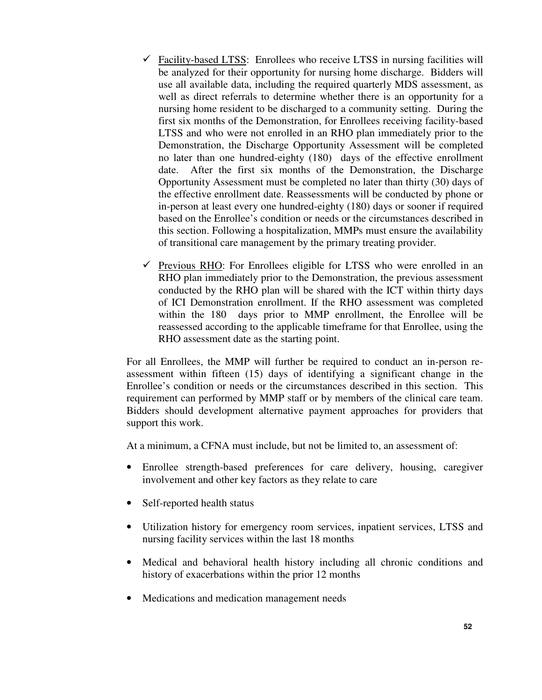- Facility-based LTSS: Enrollees who receive LTSS in nursing facilities will be analyzed for their opportunity for nursing home discharge. Bidders will use all available data, including the required quarterly MDS assessment, as well as direct referrals to determine whether there is an opportunity for a nursing home resident to be discharged to a community setting. During the first six months of the Demonstration, for Enrollees receiving facility-based LTSS and who were not enrolled in an RHO plan immediately prior to the Demonstration, the Discharge Opportunity Assessment will be completed no later than one hundred-eighty (180) days of the effective enrollment date. After the first six months of the Demonstration, the Discharge Opportunity Assessment must be completed no later than thirty (30) days of the effective enrollment date. Reassessments will be conducted by phone or in-person at least every one hundred-eighty (180) days or sooner if required based on the Enrollee's condition or needs or the circumstances described in this section. Following a hospitalization, MMPs must ensure the availability of transitional care management by the primary treating provider.
- Previous RHO: For Enrollees eligible for LTSS who were enrolled in an RHO plan immediately prior to the Demonstration, the previous assessment conducted by the RHO plan will be shared with the ICT within thirty days of ICI Demonstration enrollment. If the RHO assessment was completed within the 180 days prior to MMP enrollment, the Enrollee will be reassessed according to the applicable timeframe for that Enrollee, using the RHO assessment date as the starting point.

For all Enrollees, the MMP will further be required to conduct an in-person reassessment within fifteen (15) days of identifying a significant change in the Enrollee's condition or needs or the circumstances described in this section. This requirement can performed by MMP staff or by members of the clinical care team. Bidders should development alternative payment approaches for providers that support this work.

At a minimum, a CFNA must include, but not be limited to, an assessment of:

- Enrollee strength-based preferences for care delivery, housing, caregiver involvement and other key factors as they relate to care
- Self-reported health status
- Utilization history for emergency room services, inpatient services, LTSS and nursing facility services within the last 18 months
- Medical and behavioral health history including all chronic conditions and history of exacerbations within the prior 12 months
- Medications and medication management needs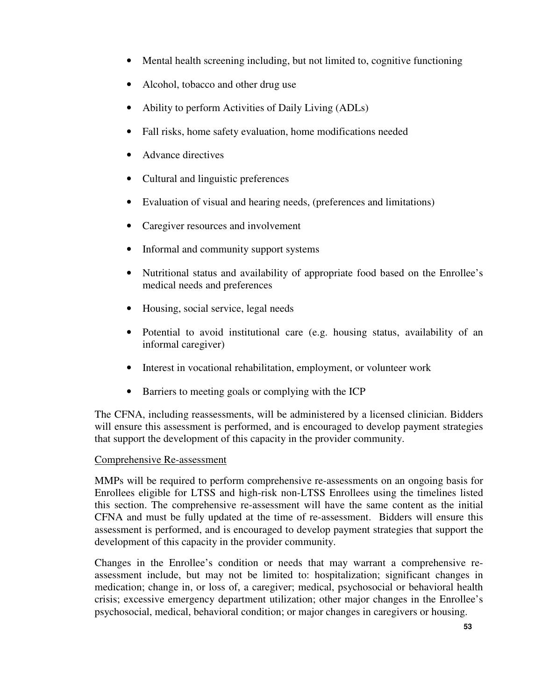- Mental health screening including, but not limited to, cognitive functioning
- Alcohol, tobacco and other drug use
- Ability to perform Activities of Daily Living (ADLs)
- Fall risks, home safety evaluation, home modifications needed
- Advance directives
- Cultural and linguistic preferences
- Evaluation of visual and hearing needs, (preferences and limitations)
- Caregiver resources and involvement
- Informal and community support systems
- Nutritional status and availability of appropriate food based on the Enrollee's medical needs and preferences
- Housing, social service, legal needs
- Potential to avoid institutional care (e.g. housing status, availability of an informal caregiver)
- Interest in vocational rehabilitation, employment, or volunteer work
- Barriers to meeting goals or complying with the ICP

The CFNA, including reassessments, will be administered by a licensed clinician. Bidders will ensure this assessment is performed, and is encouraged to develop payment strategies that support the development of this capacity in the provider community.

### Comprehensive Re-assessment

MMPs will be required to perform comprehensive re-assessments on an ongoing basis for Enrollees eligible for LTSS and high-risk non-LTSS Enrollees using the timelines listed this section. The comprehensive re-assessment will have the same content as the initial CFNA and must be fully updated at the time of re-assessment. Bidders will ensure this assessment is performed, and is encouraged to develop payment strategies that support the development of this capacity in the provider community.

Changes in the Enrollee's condition or needs that may warrant a comprehensive reassessment include, but may not be limited to: hospitalization; significant changes in medication; change in, or loss of, a caregiver; medical, psychosocial or behavioral health crisis; excessive emergency department utilization; other major changes in the Enrollee's psychosocial, medical, behavioral condition; or major changes in caregivers or housing.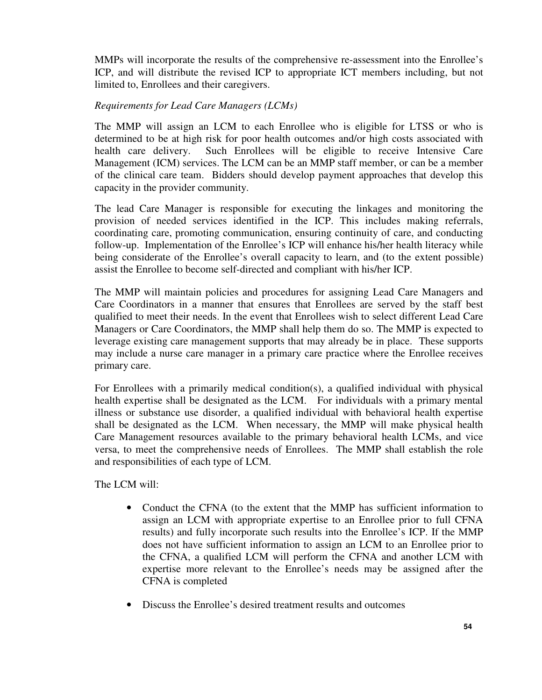MMPs will incorporate the results of the comprehensive re-assessment into the Enrollee's ICP, and will distribute the revised ICP to appropriate ICT members including, but not limited to, Enrollees and their caregivers.

### *Requirements for Lead Care Managers (LCMs)*

The MMP will assign an LCM to each Enrollee who is eligible for LTSS or who is determined to be at high risk for poor health outcomes and/or high costs associated with health care delivery. Such Enrollees will be eligible to receive Intensive Care Management (ICM) services. The LCM can be an MMP staff member, or can be a member of the clinical care team. Bidders should develop payment approaches that develop this capacity in the provider community.

The lead Care Manager is responsible for executing the linkages and monitoring the provision of needed services identified in the ICP. This includes making referrals, coordinating care, promoting communication, ensuring continuity of care, and conducting follow-up. Implementation of the Enrollee's ICP will enhance his/her health literacy while being considerate of the Enrollee's overall capacity to learn, and (to the extent possible) assist the Enrollee to become self-directed and compliant with his/her ICP.

The MMP will maintain policies and procedures for assigning Lead Care Managers and Care Coordinators in a manner that ensures that Enrollees are served by the staff best qualified to meet their needs. In the event that Enrollees wish to select different Lead Care Managers or Care Coordinators, the MMP shall help them do so. The MMP is expected to leverage existing care management supports that may already be in place. These supports may include a nurse care manager in a primary care practice where the Enrollee receives primary care.

For Enrollees with a primarily medical condition(s), a qualified individual with physical health expertise shall be designated as the LCM. For individuals with a primary mental illness or substance use disorder, a qualified individual with behavioral health expertise shall be designated as the LCM. When necessary, the MMP will make physical health Care Management resources available to the primary behavioral health LCMs, and vice versa, to meet the comprehensive needs of Enrollees. The MMP shall establish the role and responsibilities of each type of LCM.

The LCM will:

- Conduct the CFNA (to the extent that the MMP has sufficient information to assign an LCM with appropriate expertise to an Enrollee prior to full CFNA results) and fully incorporate such results into the Enrollee's ICP. If the MMP does not have sufficient information to assign an LCM to an Enrollee prior to the CFNA, a qualified LCM will perform the CFNA and another LCM with expertise more relevant to the Enrollee's needs may be assigned after the CFNA is completed
- Discuss the Enrollee's desired treatment results and outcomes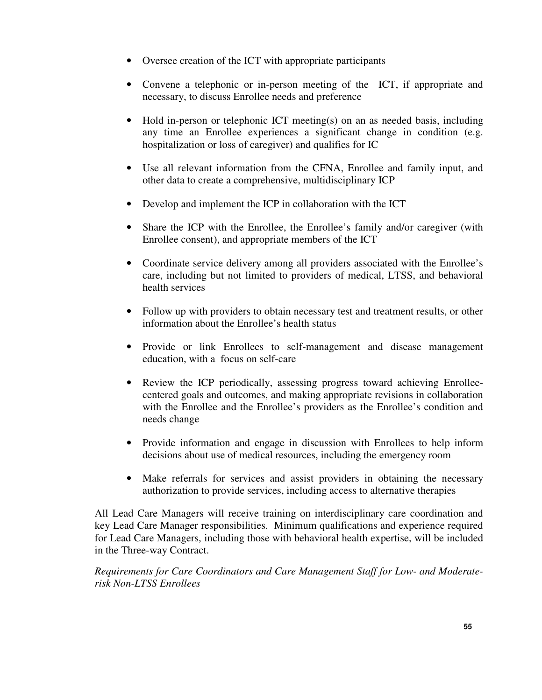- Oversee creation of the ICT with appropriate participants
- Convene a telephonic or in-person meeting of the ICT, if appropriate and necessary, to discuss Enrollee needs and preference
- Hold in-person or telephonic ICT meeting(s) on an as needed basis, including any time an Enrollee experiences a significant change in condition (e.g. hospitalization or loss of caregiver) and qualifies for IC
- Use all relevant information from the CFNA, Enrollee and family input, and other data to create a comprehensive, multidisciplinary ICP
- Develop and implement the ICP in collaboration with the ICT
- Share the ICP with the Enrollee, the Enrollee's family and/or caregiver (with Enrollee consent), and appropriate members of the ICT
- Coordinate service delivery among all providers associated with the Enrollee's care, including but not limited to providers of medical, LTSS, and behavioral health services
- Follow up with providers to obtain necessary test and treatment results, or other information about the Enrollee's health status
- Provide or link Enrollees to self-management and disease management education, with a focus on self-care
- Review the ICP periodically, assessing progress toward achieving Enrolleecentered goals and outcomes, and making appropriate revisions in collaboration with the Enrollee and the Enrollee's providers as the Enrollee's condition and needs change
- Provide information and engage in discussion with Enrollees to help inform decisions about use of medical resources, including the emergency room
- Make referrals for services and assist providers in obtaining the necessary authorization to provide services, including access to alternative therapies

All Lead Care Managers will receive training on interdisciplinary care coordination and key Lead Care Manager responsibilities. Minimum qualifications and experience required for Lead Care Managers, including those with behavioral health expertise, will be included in the Three-way Contract.

*Requirements for Care Coordinators and Care Management Staff for Low- and Moderaterisk Non-LTSS Enrollees*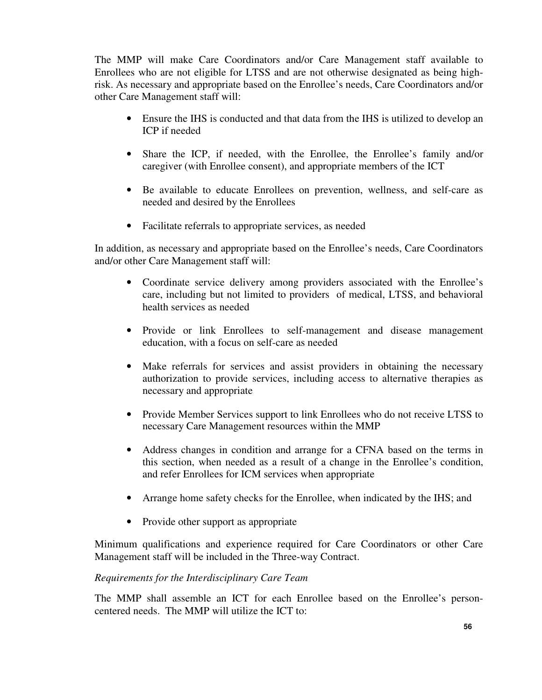The MMP will make Care Coordinators and/or Care Management staff available to Enrollees who are not eligible for LTSS and are not otherwise designated as being highrisk. As necessary and appropriate based on the Enrollee's needs, Care Coordinators and/or other Care Management staff will:

- Ensure the IHS is conducted and that data from the IHS is utilized to develop an ICP if needed
- Share the ICP, if needed, with the Enrollee, the Enrollee's family and/or caregiver (with Enrollee consent), and appropriate members of the ICT
- Be available to educate Enrollees on prevention, wellness, and self-care as needed and desired by the Enrollees
- Facilitate referrals to appropriate services, as needed

In addition, as necessary and appropriate based on the Enrollee's needs, Care Coordinators and/or other Care Management staff will:

- Coordinate service delivery among providers associated with the Enrollee's care, including but not limited to providers of medical, LTSS, and behavioral health services as needed
- Provide or link Enrollees to self-management and disease management education, with a focus on self-care as needed
- Make referrals for services and assist providers in obtaining the necessary authorization to provide services, including access to alternative therapies as necessary and appropriate
- Provide Member Services support to link Enrollees who do not receive LTSS to necessary Care Management resources within the MMP
- Address changes in condition and arrange for a CFNA based on the terms in this section, when needed as a result of a change in the Enrollee's condition, and refer Enrollees for ICM services when appropriate
- Arrange home safety checks for the Enrollee, when indicated by the IHS; and
- Provide other support as appropriate

Minimum qualifications and experience required for Care Coordinators or other Care Management staff will be included in the Three-way Contract.

### *Requirements for the Interdisciplinary Care Team*

The MMP shall assemble an ICT for each Enrollee based on the Enrollee's personcentered needs. The MMP will utilize the ICT to: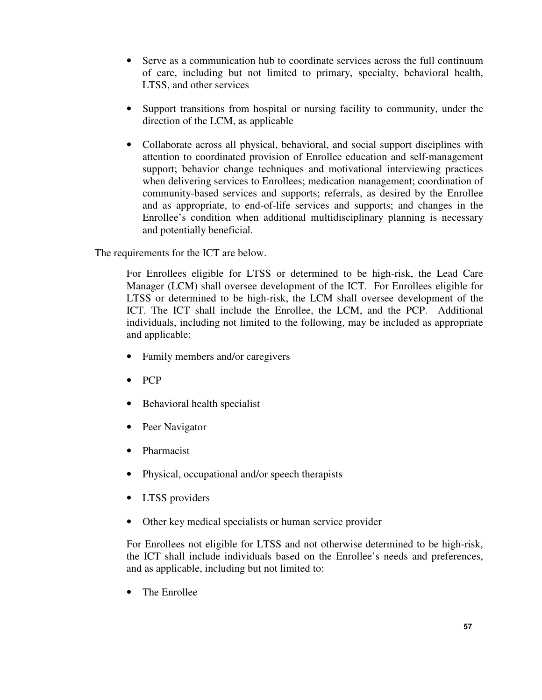- Serve as a communication hub to coordinate services across the full continuum of care, including but not limited to primary, specialty, behavioral health, LTSS, and other services
- Support transitions from hospital or nursing facility to community, under the direction of the LCM, as applicable
- Collaborate across all physical, behavioral, and social support disciplines with attention to coordinated provision of Enrollee education and self-management support; behavior change techniques and motivational interviewing practices when delivering services to Enrollees; medication management; coordination of community-based services and supports; referrals, as desired by the Enrollee and as appropriate, to end-of-life services and supports; and changes in the Enrollee's condition when additional multidisciplinary planning is necessary and potentially beneficial.

The requirements for the ICT are below.

For Enrollees eligible for LTSS or determined to be high-risk, the Lead Care Manager (LCM) shall oversee development of the ICT. For Enrollees eligible for LTSS or determined to be high-risk, the LCM shall oversee development of the ICT. The ICT shall include the Enrollee, the LCM, and the PCP. Additional individuals, including not limited to the following, may be included as appropriate and applicable:

- Family members and/or caregivers
- PCP
- Behavioral health specialist
- Peer Navigator
- Pharmacist
- Physical, occupational and/or speech therapists
- LTSS providers
- Other key medical specialists or human service provider

For Enrollees not eligible for LTSS and not otherwise determined to be high-risk, the ICT shall include individuals based on the Enrollee's needs and preferences, and as applicable, including but not limited to:

• The Enrollee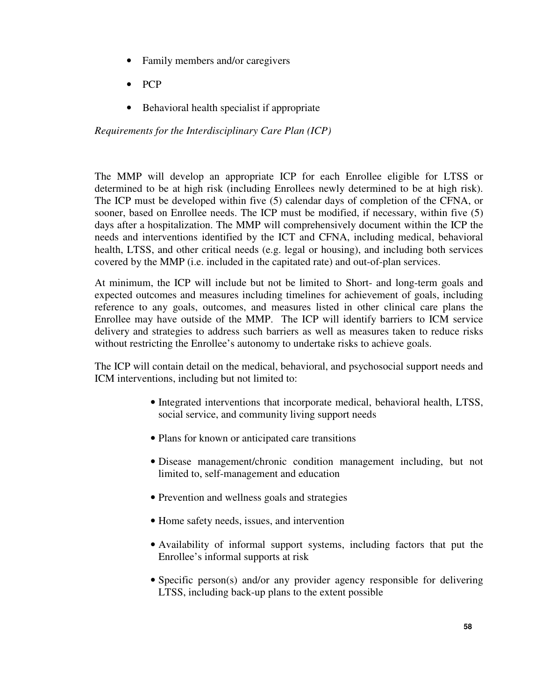- Family members and/or caregivers
- PCP
- Behavioral health specialist if appropriate

*Requirements for the Interdisciplinary Care Plan (ICP)* 

The MMP will develop an appropriate ICP for each Enrollee eligible for LTSS or determined to be at high risk (including Enrollees newly determined to be at high risk). The ICP must be developed within five (5) calendar days of completion of the CFNA, or sooner, based on Enrollee needs. The ICP must be modified, if necessary, within five (5) days after a hospitalization. The MMP will comprehensively document within the ICP the needs and interventions identified by the ICT and CFNA, including medical, behavioral health, LTSS, and other critical needs (e.g. legal or housing), and including both services covered by the MMP (i.e. included in the capitated rate) and out-of-plan services.

At minimum, the ICP will include but not be limited to Short- and long-term goals and expected outcomes and measures including timelines for achievement of goals, including reference to any goals, outcomes, and measures listed in other clinical care plans the Enrollee may have outside of the MMP. The ICP will identify barriers to ICM service delivery and strategies to address such barriers as well as measures taken to reduce risks without restricting the Enrollee's autonomy to undertake risks to achieve goals.

The ICP will contain detail on the medical, behavioral, and psychosocial support needs and ICM interventions, including but not limited to:

- Integrated interventions that incorporate medical, behavioral health, LTSS, social service, and community living support needs
- Plans for known or anticipated care transitions
- Disease management/chronic condition management including, but not limited to, self-management and education
- Prevention and wellness goals and strategies
- Home safety needs, issues, and intervention
- Availability of informal support systems, including factors that put the Enrollee's informal supports at risk
- Specific person(s) and/or any provider agency responsible for delivering LTSS, including back-up plans to the extent possible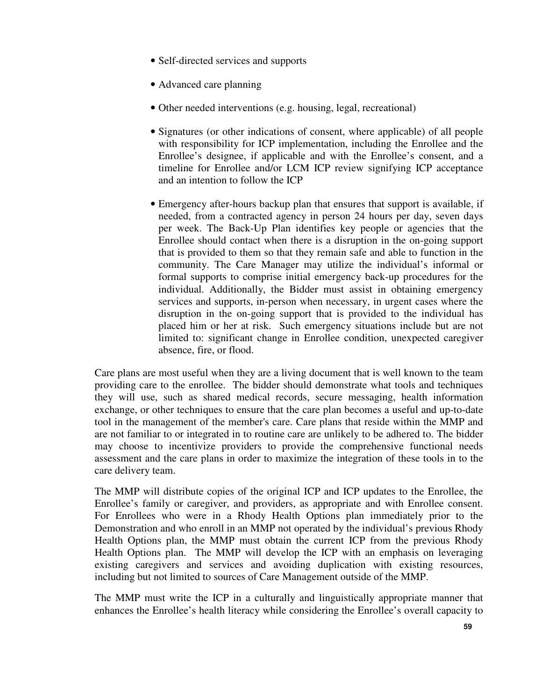- Self-directed services and supports
- Advanced care planning
- Other needed interventions (e.g. housing, legal, recreational)
- Signatures (or other indications of consent, where applicable) of all people with responsibility for ICP implementation, including the Enrollee and the Enrollee's designee, if applicable and with the Enrollee's consent, and a timeline for Enrollee and/or LCM ICP review signifying ICP acceptance and an intention to follow the ICP
- Emergency after-hours backup plan that ensures that support is available, if needed, from a contracted agency in person 24 hours per day, seven days per week. The Back-Up Plan identifies key people or agencies that the Enrollee should contact when there is a disruption in the on-going support that is provided to them so that they remain safe and able to function in the community. The Care Manager may utilize the individual's informal or formal supports to comprise initial emergency back-up procedures for the individual. Additionally, the Bidder must assist in obtaining emergency services and supports, in-person when necessary, in urgent cases where the disruption in the on-going support that is provided to the individual has placed him or her at risk. Such emergency situations include but are not limited to: significant change in Enrollee condition, unexpected caregiver absence, fire, or flood.

Care plans are most useful when they are a living document that is well known to the team providing care to the enrollee. The bidder should demonstrate what tools and techniques they will use, such as shared medical records, secure messaging, health information exchange, or other techniques to ensure that the care plan becomes a useful and up-to-date tool in the management of the member's care. Care plans that reside within the MMP and are not familiar to or integrated in to routine care are unlikely to be adhered to. The bidder may choose to incentivize providers to provide the comprehensive functional needs assessment and the care plans in order to maximize the integration of these tools in to the care delivery team.

The MMP will distribute copies of the original ICP and ICP updates to the Enrollee, the Enrollee's family or caregiver, and providers, as appropriate and with Enrollee consent. For Enrollees who were in a Rhody Health Options plan immediately prior to the Demonstration and who enroll in an MMP not operated by the individual's previous Rhody Health Options plan, the MMP must obtain the current ICP from the previous Rhody Health Options plan. The MMP will develop the ICP with an emphasis on leveraging existing caregivers and services and avoiding duplication with existing resources, including but not limited to sources of Care Management outside of the MMP.

The MMP must write the ICP in a culturally and linguistically appropriate manner that enhances the Enrollee's health literacy while considering the Enrollee's overall capacity to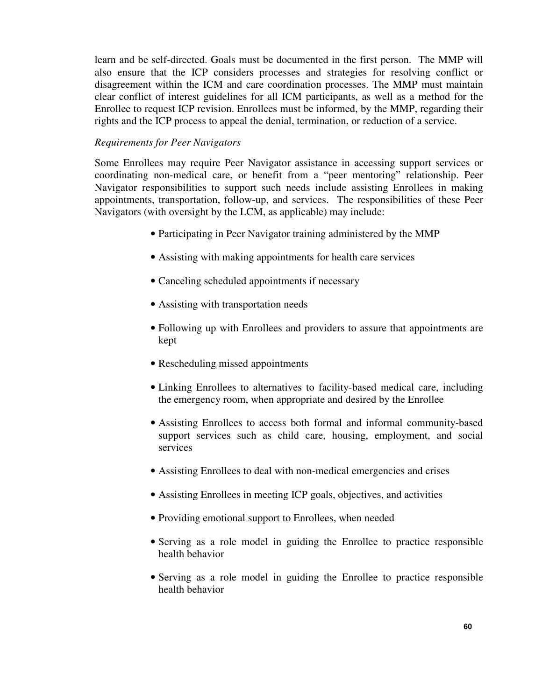learn and be self-directed. Goals must be documented in the first person. The MMP will also ensure that the ICP considers processes and strategies for resolving conflict or disagreement within the ICM and care coordination processes. The MMP must maintain clear conflict of interest guidelines for all ICM participants, as well as a method for the Enrollee to request ICP revision. Enrollees must be informed, by the MMP, regarding their rights and the ICP process to appeal the denial, termination, or reduction of a service.

#### *Requirements for Peer Navigators*

Some Enrollees may require Peer Navigator assistance in accessing support services or coordinating non-medical care, or benefit from a "peer mentoring" relationship. Peer Navigator responsibilities to support such needs include assisting Enrollees in making appointments, transportation, follow-up, and services. The responsibilities of these Peer Navigators (with oversight by the LCM, as applicable) may include:

- Participating in Peer Navigator training administered by the MMP
- Assisting with making appointments for health care services
- Canceling scheduled appointments if necessary
- Assisting with transportation needs
- Following up with Enrollees and providers to assure that appointments are kept
- Rescheduling missed appointments
- Linking Enrollees to alternatives to facility-based medical care, including the emergency room, when appropriate and desired by the Enrollee
- Assisting Enrollees to access both formal and informal community-based support services such as child care, housing, employment, and social services
- Assisting Enrollees to deal with non-medical emergencies and crises
- Assisting Enrollees in meeting ICP goals, objectives, and activities
- Providing emotional support to Enrollees, when needed
- Serving as a role model in guiding the Enrollee to practice responsible health behavior
- Serving as a role model in guiding the Enrollee to practice responsible health behavior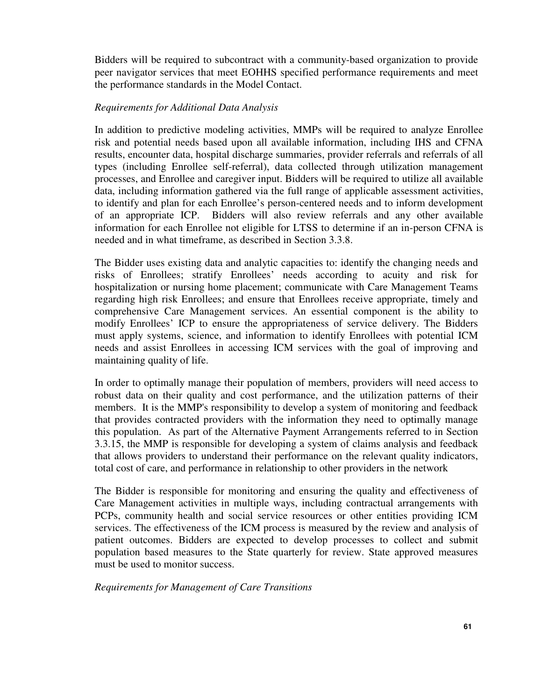Bidders will be required to subcontract with a community-based organization to provide peer navigator services that meet EOHHS specified performance requirements and meet the performance standards in the Model Contact.

### *Requirements for Additional Data Analysis*

In addition to predictive modeling activities, MMPs will be required to analyze Enrollee risk and potential needs based upon all available information, including IHS and CFNA results, encounter data, hospital discharge summaries, provider referrals and referrals of all types (including Enrollee self-referral), data collected through utilization management processes, and Enrollee and caregiver input. Bidders will be required to utilize all available data, including information gathered via the full range of applicable assessment activities, to identify and plan for each Enrollee's person-centered needs and to inform development of an appropriate ICP. Bidders will also review referrals and any other available information for each Enrollee not eligible for LTSS to determine if an in-person CFNA is needed and in what timeframe, as described in Section 3.3.8.

The Bidder uses existing data and analytic capacities to: identify the changing needs and risks of Enrollees; stratify Enrollees' needs according to acuity and risk for hospitalization or nursing home placement; communicate with Care Management Teams regarding high risk Enrollees; and ensure that Enrollees receive appropriate, timely and comprehensive Care Management services. An essential component is the ability to modify Enrollees' ICP to ensure the appropriateness of service delivery. The Bidders must apply systems, science, and information to identify Enrollees with potential ICM needs and assist Enrollees in accessing ICM services with the goal of improving and maintaining quality of life.

In order to optimally manage their population of members, providers will need access to robust data on their quality and cost performance, and the utilization patterns of their members. It is the MMP's responsibility to develop a system of monitoring and feedback that provides contracted providers with the information they need to optimally manage this population. As part of the Alternative Payment Arrangements referred to in Section 3.3.15, the MMP is responsible for developing a system of claims analysis and feedback that allows providers to understand their performance on the relevant quality indicators, total cost of care, and performance in relationship to other providers in the network

The Bidder is responsible for monitoring and ensuring the quality and effectiveness of Care Management activities in multiple ways, including contractual arrangements with PCPs, community health and social service resources or other entities providing ICM services. The effectiveness of the ICM process is measured by the review and analysis of patient outcomes. Bidders are expected to develop processes to collect and submit population based measures to the State quarterly for review. State approved measures must be used to monitor success.

### *Requirements for Management of Care Transitions*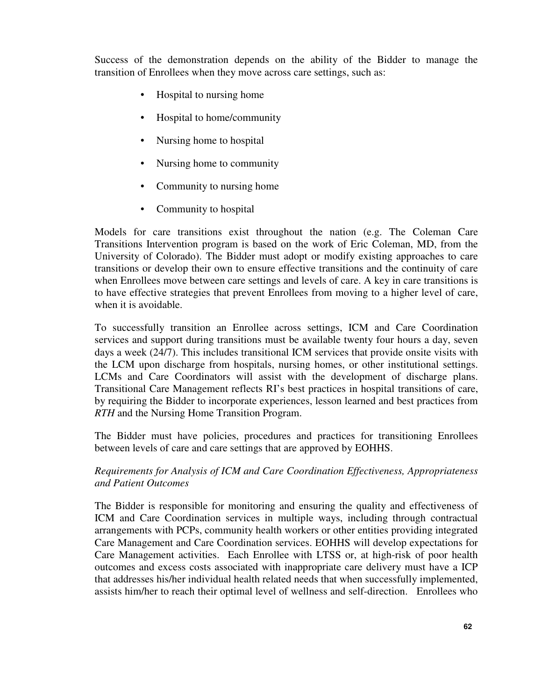Success of the demonstration depends on the ability of the Bidder to manage the transition of Enrollees when they move across care settings, such as:

- Hospital to nursing home
- Hospital to home/community
- Nursing home to hospital
- Nursing home to community
- Community to nursing home
- Community to hospital

Models for care transitions exist throughout the nation (e.g. The Coleman Care Transitions Intervention program is based on the work of Eric Coleman, MD, from the University of Colorado). The Bidder must adopt or modify existing approaches to care transitions or develop their own to ensure effective transitions and the continuity of care when Enrollees move between care settings and levels of care. A key in care transitions is to have effective strategies that prevent Enrollees from moving to a higher level of care, when it is avoidable.

To successfully transition an Enrollee across settings, ICM and Care Coordination services and support during transitions must be available twenty four hours a day, seven days a week (24/7). This includes transitional ICM services that provide onsite visits with the LCM upon discharge from hospitals, nursing homes, or other institutional settings. LCMs and Care Coordinators will assist with the development of discharge plans. Transitional Care Management reflects RI's best practices in hospital transitions of care, by requiring the Bidder to incorporate experiences, lesson learned and best practices from *RTH* and the Nursing Home Transition Program.

The Bidder must have policies, procedures and practices for transitioning Enrollees between levels of care and care settings that are approved by EOHHS.

### *Requirements for Analysis of ICM and Care Coordination Effectiveness, Appropriateness and Patient Outcomes*

The Bidder is responsible for monitoring and ensuring the quality and effectiveness of ICM and Care Coordination services in multiple ways, including through contractual arrangements with PCPs, community health workers or other entities providing integrated Care Management and Care Coordination services. EOHHS will develop expectations for Care Management activities. Each Enrollee with LTSS or, at high-risk of poor health outcomes and excess costs associated with inappropriate care delivery must have a ICP that addresses his/her individual health related needs that when successfully implemented, assists him/her to reach their optimal level of wellness and self-direction. Enrollees who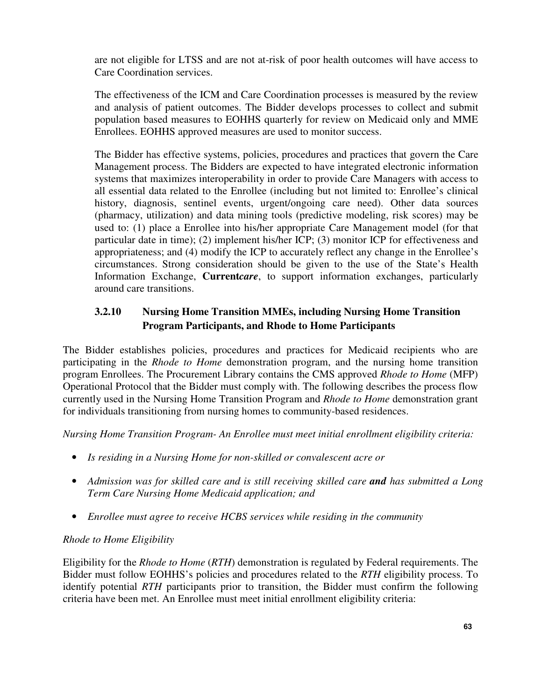are not eligible for LTSS and are not at-risk of poor health outcomes will have access to Care Coordination services.

The effectiveness of the ICM and Care Coordination processes is measured by the review and analysis of patient outcomes. The Bidder develops processes to collect and submit population based measures to EOHHS quarterly for review on Medicaid only and MME Enrollees. EOHHS approved measures are used to monitor success.

The Bidder has effective systems, policies, procedures and practices that govern the Care Management process. The Bidders are expected to have integrated electronic information systems that maximizes interoperability in order to provide Care Managers with access to all essential data related to the Enrollee (including but not limited to: Enrollee's clinical history, diagnosis, sentinel events, urgent/ongoing care need). Other data sources (pharmacy, utilization) and data mining tools (predictive modeling, risk scores) may be used to: (1) place a Enrollee into his/her appropriate Care Management model (for that particular date in time); (2) implement his/her ICP; (3) monitor ICP for effectiveness and appropriateness; and (4) modify the ICP to accurately reflect any change in the Enrollee's circumstances. Strong consideration should be given to the use of the State's Health Information Exchange, **Current***care*, to support information exchanges, particularly around care transitions.

# **3.2.10 Nursing Home Transition MMEs, including Nursing Home Transition Program Participants, and Rhode to Home Participants**

The Bidder establishes policies, procedures and practices for Medicaid recipients who are participating in the *Rhode to Home* demonstration program, and the nursing home transition program Enrollees. The Procurement Library contains the CMS approved *Rhode to Home* (MFP) Operational Protocol that the Bidder must comply with. The following describes the process flow currently used in the Nursing Home Transition Program and *Rhode to Home* demonstration grant for individuals transitioning from nursing homes to community-based residences.

*Nursing Home Transition Program- An Enrollee must meet initial enrollment eligibility criteria:* 

- *Is residing in a Nursing Home for non-skilled or convalescent acre or*
- *Admission was for skilled care and is still receiving skilled care and has submitted a Long Term Care Nursing Home Medicaid application; and*
- *Enrollee must agree to receive HCBS services while residing in the community*

## *Rhode to Home Eligibility*

Eligibility for the *Rhode to Home* (*RTH*) demonstration is regulated by Federal requirements. The Bidder must follow EOHHS's policies and procedures related to the *RTH* eligibility process. To identify potential *RTH* participants prior to transition, the Bidder must confirm the following criteria have been met. An Enrollee must meet initial enrollment eligibility criteria: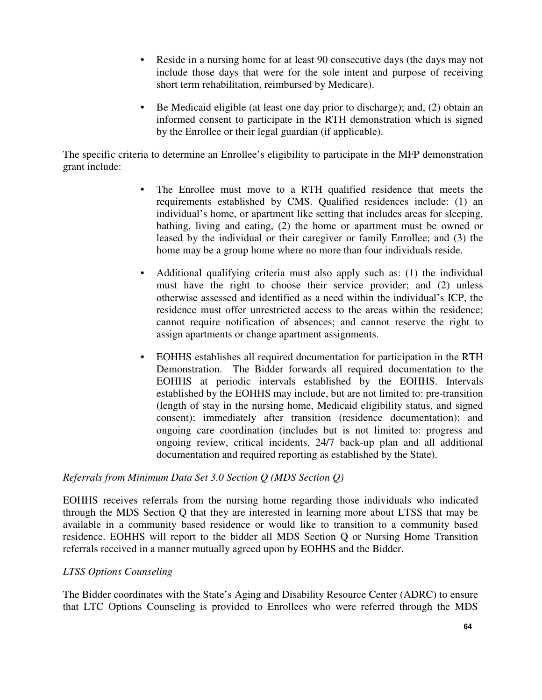- Reside in a nursing home for at least 90 consecutive days (the days may not include those days that were for the sole intent and purpose of receiving short term rehabilitation, reimbursed by Medicare).
- Be Medicaid eligible (at least one day prior to discharge); and, (2) obtain an informed consent to participate in the RTH demonstration which is signed by the Enrollee or their legal guardian (if applicable).

The specific criteria to determine an Enrollee's eligibility to participate in the MFP demonstration grant include:

- The Enrollee must move to a RTH qualified residence that meets the requirements established by CMS. Qualified residences include: (1) an individual's home, or apartment like setting that includes areas for sleeping, bathing, living and eating, (2) the home or apartment must be owned or leased by the individual or their caregiver or family Enrollee; and (3) the home may be a group home where no more than four individuals reside.
- Additional qualifying criteria must also apply such as: (1) the individual must have the right to choose their service provider; and (2) unless otherwise assessed and identified as a need within the individual's ICP, the residence must offer unrestricted access to the areas within the residence; cannot require notification of absences; and cannot reserve the right to assign apartments or change apartment assignments.
- EOHHS establishes all required documentation for participation in the RTH Demonstration. The Bidder forwards all required documentation to the EOHHS at periodic intervals established by the EOHHS. Intervals established by the EOHHS may include, but are not limited to: pre-transition (length of stay in the nursing home, Medicaid eligibility status, and signed consent); immediately after transition (residence documentation); and ongoing care coordination (includes but is not limited to: progress and ongoing review, critical incidents, 24/7 back-up plan and all additional documentation and required reporting as established by the State).

### *Referrals from Minimum Data Set 3.0 Section Q (MDS Section Q)*

EOHHS receives referrals from the nursing home regarding those individuals who indicated through the MDS Section Q that they are interested in learning more about LTSS that may be available in a community based residence or would like to transition to a community based residence. EOHHS will report to the bidder all MDS Section Q or Nursing Home Transition referrals received in a manner mutually agreed upon by EOHHS and the Bidder.

#### *LTSS Options Counseling*

The Bidder coordinates with the State's Aging and Disability Resource Center (ADRC) to ensure that LTC Options Counseling is provided to Enrollees who were referred through the MDS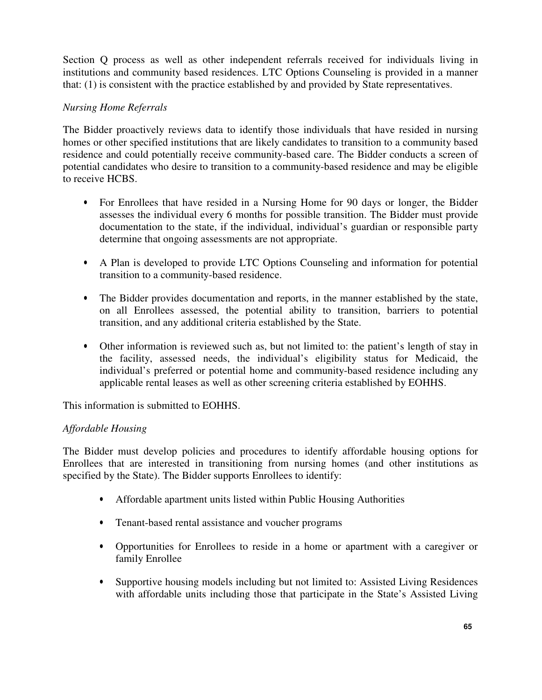Section Q process as well as other independent referrals received for individuals living in institutions and community based residences. LTC Options Counseling is provided in a manner that: (1) is consistent with the practice established by and provided by State representatives.

### *Nursing Home Referrals*

The Bidder proactively reviews data to identify those individuals that have resided in nursing homes or other specified institutions that are likely candidates to transition to a community based residence and could potentially receive community-based care. The Bidder conducts a screen of potential candidates who desire to transition to a community-based residence and may be eligible to receive HCBS.

- For Enrollees that have resided in a Nursing Home for 90 days or longer, the Bidder assesses the individual every 6 months for possible transition. The Bidder must provide documentation to the state, if the individual, individual's guardian or responsible party determine that ongoing assessments are not appropriate.
- A Plan is developed to provide LTC Options Counseling and information for potential transition to a community-based residence.
- The Bidder provides documentation and reports, in the manner established by the state, on all Enrollees assessed, the potential ability to transition, barriers to potential transition, and any additional criteria established by the State.
- Other information is reviewed such as, but not limited to: the patient's length of stay in the facility, assessed needs, the individual's eligibility status for Medicaid, the individual's preferred or potential home and community-based residence including any applicable rental leases as well as other screening criteria established by EOHHS.

This information is submitted to EOHHS.

### *Affordable Housing*

The Bidder must develop policies and procedures to identify affordable housing options for Enrollees that are interested in transitioning from nursing homes (and other institutions as specified by the State). The Bidder supports Enrollees to identify:

- Affordable apartment units listed within Public Housing Authorities
- Tenant-based rental assistance and voucher programs
- Opportunities for Enrollees to reside in a home or apartment with a caregiver or family Enrollee
- Supportive housing models including but not limited to: Assisted Living Residences with affordable units including those that participate in the State's Assisted Living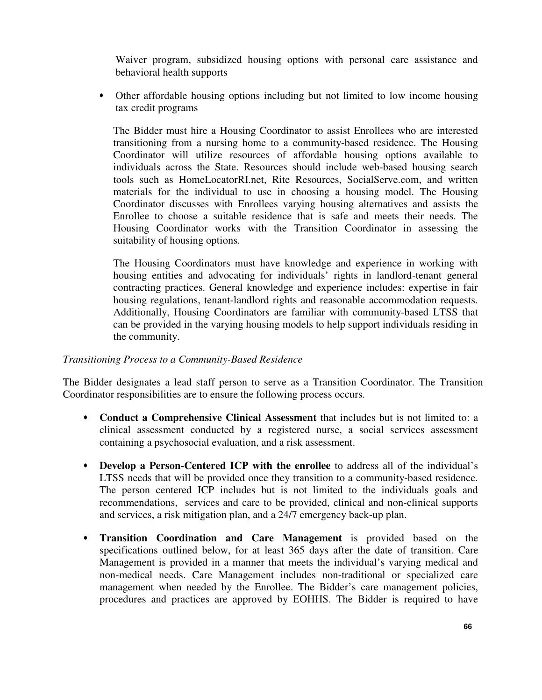Waiver program, subsidized housing options with personal care assistance and behavioral health supports

• Other affordable housing options including but not limited to low income housing tax credit programs

The Bidder must hire a Housing Coordinator to assist Enrollees who are interested transitioning from a nursing home to a community-based residence. The Housing Coordinator will utilize resources of affordable housing options available to individuals across the State. Resources should include web-based housing search tools such as HomeLocatorRI.net, Rite Resources, SocialServe.com, and written materials for the individual to use in choosing a housing model. The Housing Coordinator discusses with Enrollees varying housing alternatives and assists the Enrollee to choose a suitable residence that is safe and meets their needs. The Housing Coordinator works with the Transition Coordinator in assessing the suitability of housing options.

The Housing Coordinators must have knowledge and experience in working with housing entities and advocating for individuals' rights in landlord-tenant general contracting practices. General knowledge and experience includes: expertise in fair housing regulations, tenant-landlord rights and reasonable accommodation requests. Additionally, Housing Coordinators are familiar with community-based LTSS that can be provided in the varying housing models to help support individuals residing in the community.

#### *Transitioning Process to a Community-Based Residence*

The Bidder designates a lead staff person to serve as a Transition Coordinator. The Transition Coordinator responsibilities are to ensure the following process occurs.

- **Conduct a Comprehensive Clinical Assessment** that includes but is not limited to: a clinical assessment conducted by a registered nurse, a social services assessment containing a psychosocial evaluation, and a risk assessment.
- **Develop a Person-Centered ICP with the enrollee** to address all of the individual's LTSS needs that will be provided once they transition to a community-based residence. The person centered ICP includes but is not limited to the individuals goals and recommendations, services and care to be provided, clinical and non-clinical supports and services, a risk mitigation plan, and a 24/7 emergency back-up plan.
- **Transition Coordination and Care Management** is provided based on the specifications outlined below, for at least 365 days after the date of transition. Care Management is provided in a manner that meets the individual's varying medical and non-medical needs. Care Management includes non-traditional or specialized care management when needed by the Enrollee. The Bidder's care management policies, procedures and practices are approved by EOHHS. The Bidder is required to have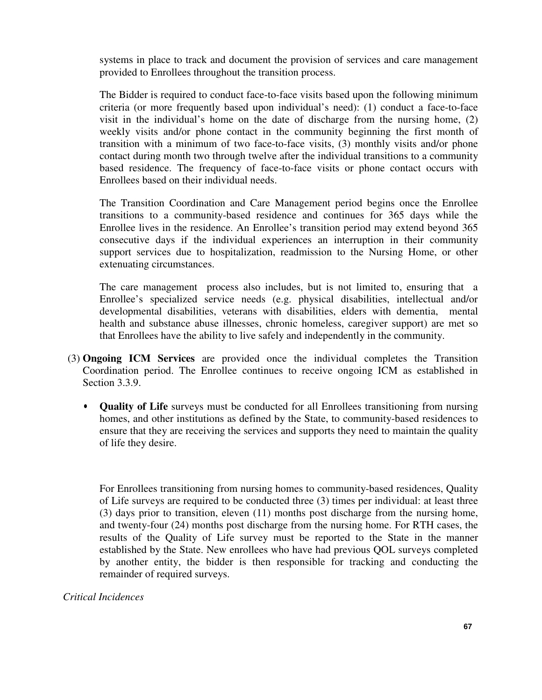systems in place to track and document the provision of services and care management provided to Enrollees throughout the transition process.

The Bidder is required to conduct face-to-face visits based upon the following minimum criteria (or more frequently based upon individual's need): (1) conduct a face-to-face visit in the individual's home on the date of discharge from the nursing home, (2) weekly visits and/or phone contact in the community beginning the first month of transition with a minimum of two face-to-face visits, (3) monthly visits and/or phone contact during month two through twelve after the individual transitions to a community based residence. The frequency of face-to-face visits or phone contact occurs with Enrollees based on their individual needs.

The Transition Coordination and Care Management period begins once the Enrollee transitions to a community-based residence and continues for 365 days while the Enrollee lives in the residence. An Enrollee's transition period may extend beyond 365 consecutive days if the individual experiences an interruption in their community support services due to hospitalization, readmission to the Nursing Home, or other extenuating circumstances.

The care management process also includes, but is not limited to, ensuring that a Enrollee's specialized service needs (e.g. physical disabilities, intellectual and/or developmental disabilities, veterans with disabilities, elders with dementia, mental health and substance abuse illnesses, chronic homeless, caregiver support) are met so that Enrollees have the ability to live safely and independently in the community.

- (3) **Ongoing ICM Services** are provided once the individual completes the Transition Coordination period. The Enrollee continues to receive ongoing ICM as established in Section 3.3.9.
	- **Quality of Life** surveys must be conducted for all Enrollees transitioning from nursing homes, and other institutions as defined by the State, to community-based residences to ensure that they are receiving the services and supports they need to maintain the quality of life they desire.

For Enrollees transitioning from nursing homes to community-based residences, Quality of Life surveys are required to be conducted three (3) times per individual: at least three (3) days prior to transition, eleven (11) months post discharge from the nursing home, and twenty-four (24) months post discharge from the nursing home. For RTH cases, the results of the Quality of Life survey must be reported to the State in the manner established by the State. New enrollees who have had previous QOL surveys completed by another entity, the bidder is then responsible for tracking and conducting the remainder of required surveys.

#### *Critical Incidences*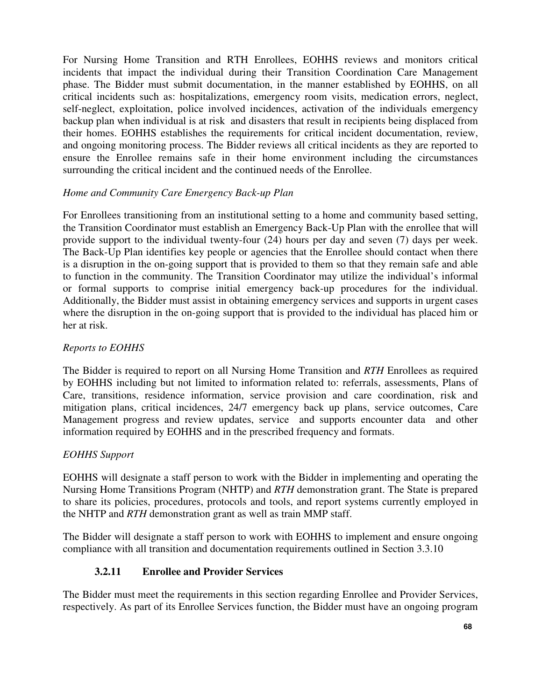For Nursing Home Transition and RTH Enrollees, EOHHS reviews and monitors critical incidents that impact the individual during their Transition Coordination Care Management phase. The Bidder must submit documentation, in the manner established by EOHHS, on all critical incidents such as: hospitalizations, emergency room visits, medication errors, neglect, self-neglect, exploitation, police involved incidences, activation of the individuals emergency backup plan when individual is at risk and disasters that result in recipients being displaced from their homes. EOHHS establishes the requirements for critical incident documentation, review, and ongoing monitoring process. The Bidder reviews all critical incidents as they are reported to ensure the Enrollee remains safe in their home environment including the circumstances surrounding the critical incident and the continued needs of the Enrollee.

### *Home and Community Care Emergency Back-up Plan*

For Enrollees transitioning from an institutional setting to a home and community based setting, the Transition Coordinator must establish an Emergency Back-Up Plan with the enrollee that will provide support to the individual twenty-four (24) hours per day and seven (7) days per week. The Back-Up Plan identifies key people or agencies that the Enrollee should contact when there is a disruption in the on-going support that is provided to them so that they remain safe and able to function in the community. The Transition Coordinator may utilize the individual's informal or formal supports to comprise initial emergency back-up procedures for the individual. Additionally, the Bidder must assist in obtaining emergency services and supports in urgent cases where the disruption in the on-going support that is provided to the individual has placed him or her at risk.

### *Reports to EOHHS*

The Bidder is required to report on all Nursing Home Transition and *RTH* Enrollees as required by EOHHS including but not limited to information related to: referrals, assessments, Plans of Care, transitions, residence information, service provision and care coordination, risk and mitigation plans, critical incidences, 24/7 emergency back up plans, service outcomes, Care Management progress and review updates, service and supports encounter data and other information required by EOHHS and in the prescribed frequency and formats.

## *EOHHS Support*

EOHHS will designate a staff person to work with the Bidder in implementing and operating the Nursing Home Transitions Program (NHTP) and *RTH* demonstration grant. The State is prepared to share its policies, procedures, protocols and tools, and report systems currently employed in the NHTP and *RTH* demonstration grant as well as train MMP staff.

The Bidder will designate a staff person to work with EOHHS to implement and ensure ongoing compliance with all transition and documentation requirements outlined in Section 3.3.10

## **3.2.11 Enrollee and Provider Services**

The Bidder must meet the requirements in this section regarding Enrollee and Provider Services, respectively. As part of its Enrollee Services function, the Bidder must have an ongoing program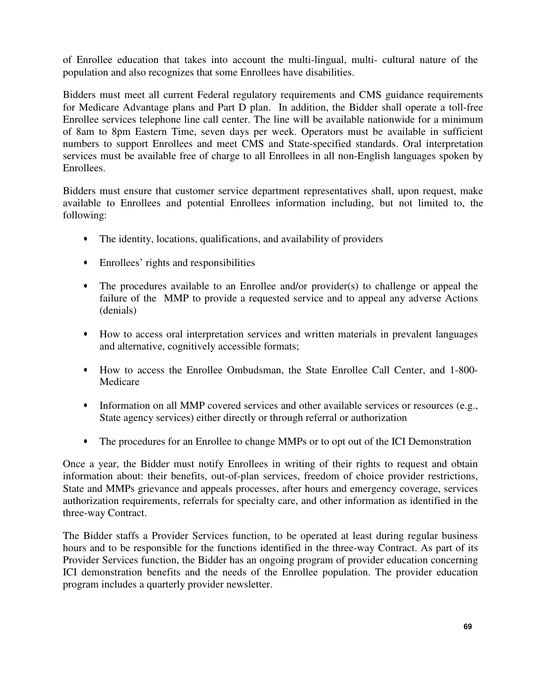of Enrollee education that takes into account the multi-lingual, multi- cultural nature of the population and also recognizes that some Enrollees have disabilities.

Bidders must meet all current Federal regulatory requirements and CMS guidance requirements for Medicare Advantage plans and Part D plan. In addition, the Bidder shall operate a toll-free Enrollee services telephone line call center. The line will be available nationwide for a minimum of 8am to 8pm Eastern Time, seven days per week. Operators must be available in sufficient numbers to support Enrollees and meet CMS and State-specified standards. Oral interpretation services must be available free of charge to all Enrollees in all non-English languages spoken by Enrollees.

Bidders must ensure that customer service department representatives shall, upon request, make available to Enrollees and potential Enrollees information including, but not limited to, the following:

- The identity, locations, qualifications, and availability of providers
- Enrollees' rights and responsibilities
- The procedures available to an Enrollee and/or provider(s) to challenge or appeal the failure of the MMP to provide a requested service and to appeal any adverse Actions (denials)
- How to access oral interpretation services and written materials in prevalent languages and alternative, cognitively accessible formats;
- How to access the Enrollee Ombudsman, the State Enrollee Call Center, and 1-800- Medicare
- Information on all MMP covered services and other available services or resources (e.g., State agency services) either directly or through referral or authorization
- The procedures for an Enrollee to change MMPs or to opt out of the ICI Demonstration

Once a year, the Bidder must notify Enrollees in writing of their rights to request and obtain information about: their benefits, out-of-plan services, freedom of choice provider restrictions, State and MMPs grievance and appeals processes, after hours and emergency coverage, services authorization requirements, referrals for specialty care, and other information as identified in the three-way Contract.

The Bidder staffs a Provider Services function, to be operated at least during regular business hours and to be responsible for the functions identified in the three-way Contract. As part of its Provider Services function, the Bidder has an ongoing program of provider education concerning ICI demonstration benefits and the needs of the Enrollee population. The provider education program includes a quarterly provider newsletter.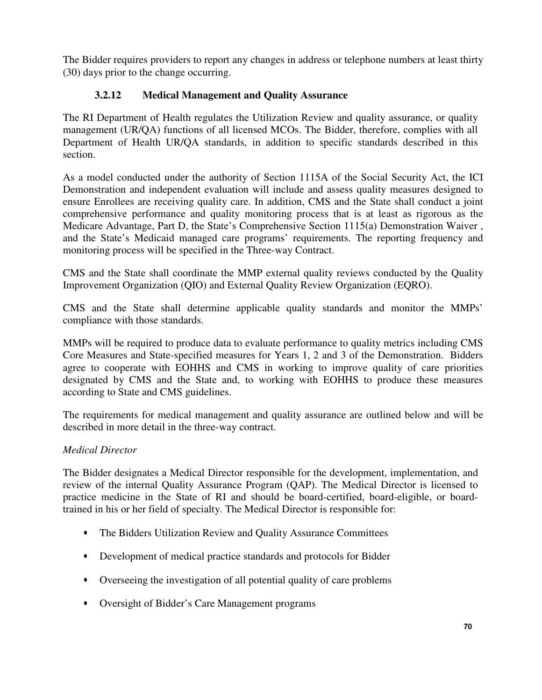The Bidder requires providers to report any changes in address or telephone numbers at least thirty (30) days prior to the change occurring.

# **3.2.12 Medical Management and Quality Assurance**

The RI Department of Health regulates the Utilization Review and quality assurance, or quality management (UR/QA) functions of all licensed MCOs. The Bidder, therefore, complies with all Department of Health UR/QA standards, in addition to specific standards described in this section.

As a model conducted under the authority of Section 1115A of the Social Security Act, the ICI Demonstration and independent evaluation will include and assess quality measures designed to ensure Enrollees are receiving quality care. In addition, CMS and the State shall conduct a joint comprehensive performance and quality monitoring process that is at least as rigorous as the Medicare Advantage, Part D, the State's Comprehensive Section 1115(a) Demonstration Waiver , and the State's Medicaid managed care programs' requirements. The reporting frequency and monitoring process will be specified in the Three-way Contract.

CMS and the State shall coordinate the MMP external quality reviews conducted by the Quality Improvement Organization (QIO) and External Quality Review Organization (EQRO).

CMS and the State shall determine applicable quality standards and monitor the MMPs' compliance with those standards.

MMPs will be required to produce data to evaluate performance to quality metrics including CMS Core Measures and State-specified measures for Years 1, 2 and 3 of the Demonstration. Bidders agree to cooperate with EOHHS and CMS in working to improve quality of care priorities designated by CMS and the State and, to working with EOHHS to produce these measures according to State and CMS guidelines.

The requirements for medical management and quality assurance are outlined below and will be described in more detail in the three-way contract.

## *Medical Director*

The Bidder designates a Medical Director responsible for the development, implementation, and review of the internal Quality Assurance Program (QAP). The Medical Director is licensed to practice medicine in the State of RI and should be board-certified, board-eligible, or boardtrained in his or her field of specialty. The Medical Director is responsible for:

- The Bidders Utilization Review and Quality Assurance Committees
- Development of medical practice standards and protocols for Bidder
- Overseeing the investigation of all potential quality of care problems
- Oversight of Bidder's Care Management programs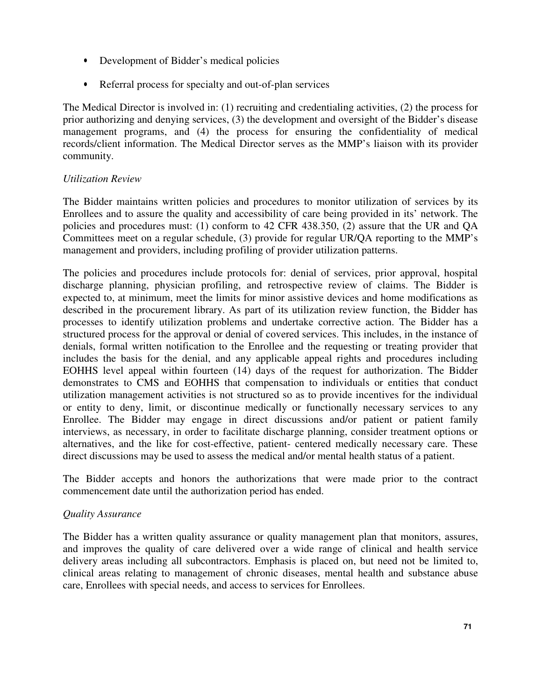- Development of Bidder's medical policies
- Referral process for specialty and out-of-plan services

The Medical Director is involved in: (1) recruiting and credentialing activities, (2) the process for prior authorizing and denying services, (3) the development and oversight of the Bidder's disease management programs, and (4) the process for ensuring the confidentiality of medical records/client information. The Medical Director serves as the MMP's liaison with its provider community.

# *Utilization Review*

The Bidder maintains written policies and procedures to monitor utilization of services by its Enrollees and to assure the quality and accessibility of care being provided in its' network. The policies and procedures must: (1) conform to 42 CFR 438.350, (2) assure that the UR and QA Committees meet on a regular schedule, (3) provide for regular UR/QA reporting to the MMP's management and providers, including profiling of provider utilization patterns.

The policies and procedures include protocols for: denial of services, prior approval, hospital discharge planning, physician profiling, and retrospective review of claims. The Bidder is expected to, at minimum, meet the limits for minor assistive devices and home modifications as described in the procurement library. As part of its utilization review function, the Bidder has processes to identify utilization problems and undertake corrective action. The Bidder has a structured process for the approval or denial of covered services. This includes, in the instance of denials, formal written notification to the Enrollee and the requesting or treating provider that includes the basis for the denial, and any applicable appeal rights and procedures including EOHHS level appeal within fourteen (14) days of the request for authorization. The Bidder demonstrates to CMS and EOHHS that compensation to individuals or entities that conduct utilization management activities is not structured so as to provide incentives for the individual or entity to deny, limit, or discontinue medically or functionally necessary services to any Enrollee. The Bidder may engage in direct discussions and/or patient or patient family interviews, as necessary, in order to facilitate discharge planning, consider treatment options or alternatives, and the like for cost-effective, patient- centered medically necessary care. These direct discussions may be used to assess the medical and/or mental health status of a patient.

The Bidder accepts and honors the authorizations that were made prior to the contract commencement date until the authorization period has ended.

## *Quality Assurance*

The Bidder has a written quality assurance or quality management plan that monitors, assures, and improves the quality of care delivered over a wide range of clinical and health service delivery areas including all subcontractors. Emphasis is placed on, but need not be limited to, clinical areas relating to management of chronic diseases, mental health and substance abuse care, Enrollees with special needs, and access to services for Enrollees.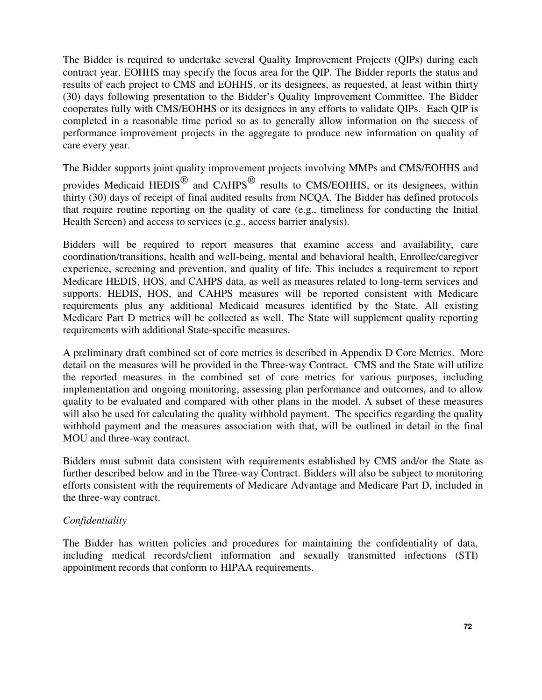The Bidder is required to undertake several Quality Improvement Projects (QIPs) during each contract year. EOHHS may specify the focus area for the QIP. The Bidder reports the status and results of each project to CMS and EOHHS, or its designees, as requested, at least within thirty (30) days following presentation to the Bidder's Quality Improvement Committee. The Bidder cooperates fully with CMS/EOHHS or its designees in any efforts to validate QIPs. Each QIP is completed in a reasonable time period so as to generally allow information on the success of performance improvement projects in the aggregate to produce new information on quality of care every year.

The Bidder supports joint quality improvement projects involving MMPs and CMS/EOHHS and provides Medicaid HEDIS $^{\circledR}$  and CAHPS $^{\circledR}$  results to CMS/EOHHS, or its designees, within thirty (30) days of receipt of final audited results from NCQA. The Bidder has defined protocols that require routine reporting on the quality of care (e.g., timeliness for conducting the Initial Health Screen) and access to services (e.g., access barrier analysis).

Bidders will be required to report measures that examine access and availability, care coordination/transitions, health and well-being, mental and behavioral health, Enrollee/caregiver experience, screening and prevention, and quality of life. This includes a requirement to report Medicare HEDIS, HOS, and CAHPS data, as well as measures related to long-term services and supports. HEDIS, HOS, and CAHPS measures will be reported consistent with Medicare requirements plus any additional Medicaid measures identified by the State. All existing Medicare Part D metrics will be collected as well. The State will supplement quality reporting requirements with additional State-specific measures.

A preliminary draft combined set of core metrics is described in Appendix D Core Metrics. More detail on the measures will be provided in the Three-way Contract. CMS and the State will utilize the reported measures in the combined set of core metrics for various purposes, including implementation and ongoing monitoring, assessing plan performance and outcomes, and to allow quality to be evaluated and compared with other plans in the model. A subset of these measures will also be used for calculating the quality withhold payment. The specifics regarding the quality withhold payment and the measures association with that, will be outlined in detail in the final MOU and three-way contract.

Bidders must submit data consistent with requirements established by CMS and/or the State as further described below and in the Three-way Contract. Bidders will also be subject to monitoring efforts consistent with the requirements of Medicare Advantage and Medicare Part D, included in the three-way contract.

## *Confidentiality*

The Bidder has written policies and procedures for maintaining the confidentiality of data, including medical records/client information and sexually transmitted infections (STI) appointment records that conform to HIPAA requirements.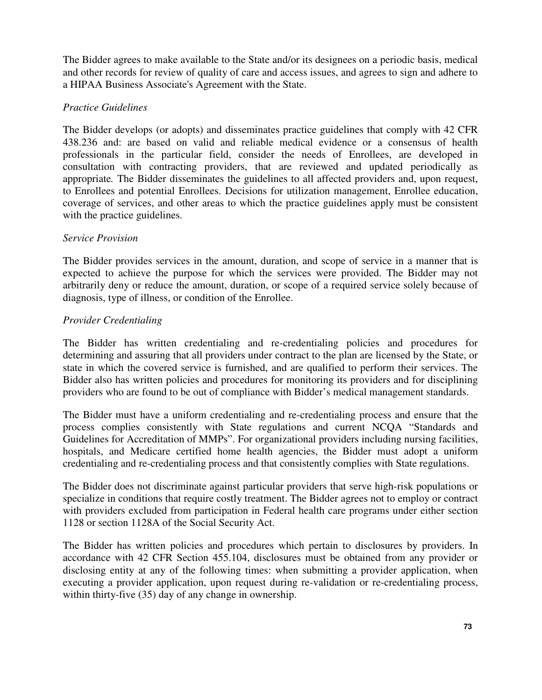The Bidder agrees to make available to the State and/or its designees on a periodic basis, medical and other records for review of quality of care and access issues, and agrees to sign and adhere to a HIPAA Business Associate's Agreement with the State.

### *Practice Guidelines*

The Bidder develops (or adopts) and disseminates practice guidelines that comply with 42 CFR 438.236 and: are based on valid and reliable medical evidence or a consensus of health professionals in the particular field, consider the needs of Enrollees, are developed in consultation with contracting providers, that are reviewed and updated periodically as appropriate*.* The Bidder disseminates the guidelines to all affected providers and, upon request, to Enrollees and potential Enrollees. Decisions for utilization management, Enrollee education, coverage of services, and other areas to which the practice guidelines apply must be consistent with the practice guidelines.

### *Service Provision*

The Bidder provides services in the amount, duration, and scope of service in a manner that is expected to achieve the purpose for which the services were provided. The Bidder may not arbitrarily deny or reduce the amount, duration, or scope of a required service solely because of diagnosis, type of illness, or condition of the Enrollee.

# *Provider Credentialing*

The Bidder has written credentialing and re-credentialing policies and procedures for determining and assuring that all providers under contract to the plan are licensed by the State, or state in which the covered service is furnished, and are qualified to perform their services. The Bidder also has written policies and procedures for monitoring its providers and for disciplining providers who are found to be out of compliance with Bidder's medical management standards.

The Bidder must have a uniform credentialing and re-credentialing process and ensure that the process complies consistently with State regulations and current NCQA "Standards and Guidelines for Accreditation of MMPs". For organizational providers including nursing facilities, hospitals, and Medicare certified home health agencies, the Bidder must adopt a uniform credentialing and re-credentialing process and that consistently complies with State regulations.

The Bidder does not discriminate against particular providers that serve high-risk populations or specialize in conditions that require costly treatment. The Bidder agrees not to employ or contract with providers excluded from participation in Federal health care programs under either section 1128 or section 1128A of the Social Security Act.

The Bidder has written policies and procedures which pertain to disclosures by providers. In accordance with 42 CFR Section 455.104, disclosures must be obtained from any provider or disclosing entity at any of the following times: when submitting a provider application, when executing a provider application, upon request during re-validation or re-credentialing process, within thirty-five (35) day of any change in ownership.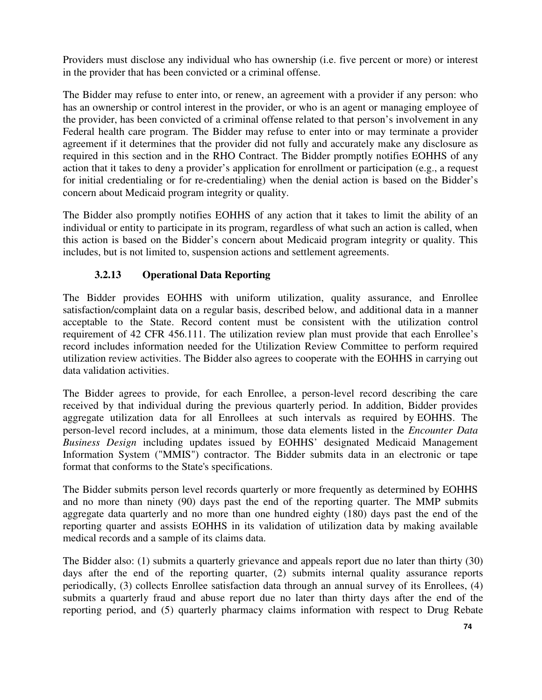Providers must disclose any individual who has ownership (i.e. five percent or more) or interest in the provider that has been convicted or a criminal offense.

The Bidder may refuse to enter into, or renew, an agreement with a provider if any person: who has an ownership or control interest in the provider, or who is an agent or managing employee of the provider, has been convicted of a criminal offense related to that person's involvement in any Federal health care program. The Bidder may refuse to enter into or may terminate a provider agreement if it determines that the provider did not fully and accurately make any disclosure as required in this section and in the RHO Contract. The Bidder promptly notifies EOHHS of any action that it takes to deny a provider's application for enrollment or participation (e.g., a request for initial credentialing or for re-credentialing) when the denial action is based on the Bidder's concern about Medicaid program integrity or quality.

The Bidder also promptly notifies EOHHS of any action that it takes to limit the ability of an individual or entity to participate in its program, regardless of what such an action is called, when this action is based on the Bidder's concern about Medicaid program integrity or quality. This includes, but is not limited to, suspension actions and settlement agreements.

# **3.2.13 Operational Data Reporting**

The Bidder provides EOHHS with uniform utilization, quality assurance, and Enrollee satisfaction/complaint data on a regular basis, described below, and additional data in a manner acceptable to the State. Record content must be consistent with the utilization control requirement of 42 CFR 456.111. The utilization review plan must provide that each Enrollee's record includes information needed for the Utilization Review Committee to perform required utilization review activities. The Bidder also agrees to cooperate with the EOHHS in carrying out data validation activities.

The Bidder agrees to provide, for each Enrollee, a person-level record describing the care received by that individual during the previous quarterly period. In addition, Bidder provides aggregate utilization data for all Enrollees at such intervals as required by EOHHS. The person-level record includes, at a minimum, those data elements listed in the *Encounter Data Business Design* including updates issued by EOHHS' designated Medicaid Management Information System ("MMIS") contractor. The Bidder submits data in an electronic or tape format that conforms to the State's specifications.

The Bidder submits person level records quarterly or more frequently as determined by EOHHS and no more than ninety (90) days past the end of the reporting quarter. The MMP submits aggregate data quarterly and no more than one hundred eighty (180) days past the end of the reporting quarter and assists EOHHS in its validation of utilization data by making available medical records and a sample of its claims data.

The Bidder also: (1) submits a quarterly grievance and appeals report due no later than thirty (30) days after the end of the reporting quarter, (2) submits internal quality assurance reports periodically, (3) collects Enrollee satisfaction data through an annual survey of its Enrollees, (4) submits a quarterly fraud and abuse report due no later than thirty days after the end of the reporting period, and (5) quarterly pharmacy claims information with respect to Drug Rebate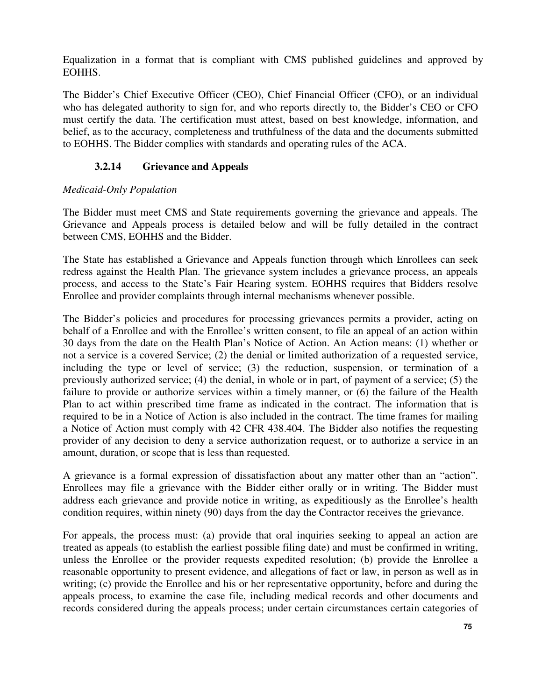Equalization in a format that is compliant with CMS published guidelines and approved by EOHHS.

The Bidder's Chief Executive Officer (CEO), Chief Financial Officer (CFO), or an individual who has delegated authority to sign for, and who reports directly to, the Bidder's CEO or CFO must certify the data. The certification must attest, based on best knowledge, information, and belief, as to the accuracy, completeness and truthfulness of the data and the documents submitted to EOHHS. The Bidder complies with standards and operating rules of the ACA.

# **3.2.14 Grievance and Appeals**

### *Medicaid-Only Population*

The Bidder must meet CMS and State requirements governing the grievance and appeals. The Grievance and Appeals process is detailed below and will be fully detailed in the contract between CMS, EOHHS and the Bidder.

The State has established a Grievance and Appeals function through which Enrollees can seek redress against the Health Plan. The grievance system includes a grievance process, an appeals process, and access to the State's Fair Hearing system. EOHHS requires that Bidders resolve Enrollee and provider complaints through internal mechanisms whenever possible.

The Bidder's policies and procedures for processing grievances permits a provider, acting on behalf of a Enrollee and with the Enrollee's written consent, to file an appeal of an action within 30 days from the date on the Health Plan's Notice of Action. An Action means: (1) whether or not a service is a covered Service; (2) the denial or limited authorization of a requested service, including the type or level of service; (3) the reduction, suspension, or termination of a previously authorized service; (4) the denial, in whole or in part, of payment of a service; (5) the failure to provide or authorize services within a timely manner, or (6) the failure of the Health Plan to act within prescribed time frame as indicated in the contract. The information that is required to be in a Notice of Action is also included in the contract. The time frames for mailing a Notice of Action must comply with 42 CFR 438.404. The Bidder also notifies the requesting provider of any decision to deny a service authorization request, or to authorize a service in an amount, duration, or scope that is less than requested.

A grievance is a formal expression of dissatisfaction about any matter other than an "action". Enrollees may file a grievance with the Bidder either orally or in writing. The Bidder must address each grievance and provide notice in writing, as expeditiously as the Enrollee's health condition requires, within ninety (90) days from the day the Contractor receives the grievance.

For appeals, the process must: (a) provide that oral inquiries seeking to appeal an action are treated as appeals (to establish the earliest possible filing date) and must be confirmed in writing, unless the Enrollee or the provider requests expedited resolution; (b) provide the Enrollee a reasonable opportunity to present evidence, and allegations of fact or law, in person as well as in writing; (c) provide the Enrollee and his or her representative opportunity, before and during the appeals process, to examine the case file, including medical records and other documents and records considered during the appeals process; under certain circumstances certain categories of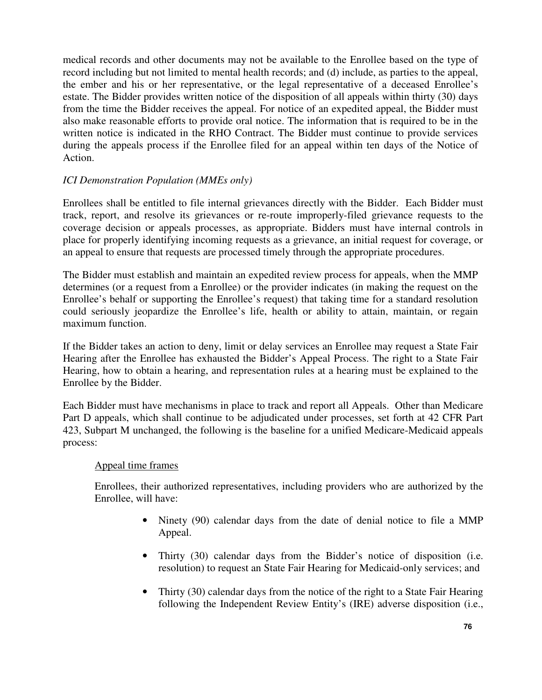medical records and other documents may not be available to the Enrollee based on the type of record including but not limited to mental health records; and (d) include, as parties to the appeal, the ember and his or her representative, or the legal representative of a deceased Enrollee's estate. The Bidder provides written notice of the disposition of all appeals within thirty (30) days from the time the Bidder receives the appeal. For notice of an expedited appeal, the Bidder must also make reasonable efforts to provide oral notice. The information that is required to be in the written notice is indicated in the RHO Contract. The Bidder must continue to provide services during the appeals process if the Enrollee filed for an appeal within ten days of the Notice of Action.

### *ICI Demonstration Population (MMEs only)*

Enrollees shall be entitled to file internal grievances directly with the Bidder. Each Bidder must track, report, and resolve its grievances or re-route improperly-filed grievance requests to the coverage decision or appeals processes, as appropriate. Bidders must have internal controls in place for properly identifying incoming requests as a grievance, an initial request for coverage, or an appeal to ensure that requests are processed timely through the appropriate procedures.

The Bidder must establish and maintain an expedited review process for appeals, when the MMP determines (or a request from a Enrollee) or the provider indicates (in making the request on the Enrollee's behalf or supporting the Enrollee's request) that taking time for a standard resolution could seriously jeopardize the Enrollee's life, health or ability to attain, maintain, or regain maximum function.

If the Bidder takes an action to deny, limit or delay services an Enrollee may request a State Fair Hearing after the Enrollee has exhausted the Bidder's Appeal Process. The right to a State Fair Hearing, how to obtain a hearing, and representation rules at a hearing must be explained to the Enrollee by the Bidder.

Each Bidder must have mechanisms in place to track and report all Appeals. Other than Medicare Part D appeals, which shall continue to be adjudicated under processes, set forth at 42 CFR Part 423, Subpart M unchanged, the following is the baseline for a unified Medicare-Medicaid appeals process:

#### Appeal time frames

Enrollees, their authorized representatives, including providers who are authorized by the Enrollee, will have:

- Ninety (90) calendar days from the date of denial notice to file a MMP Appeal.
- Thirty (30) calendar days from the Bidder's notice of disposition (i.e. resolution) to request an State Fair Hearing for Medicaid-only services; and
- Thirty (30) calendar days from the notice of the right to a State Fair Hearing following the Independent Review Entity's (IRE) adverse disposition (i.e.,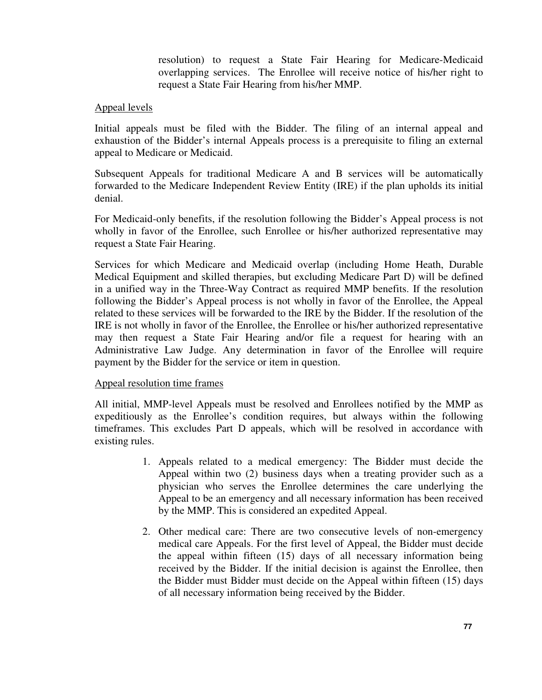resolution) to request a State Fair Hearing for Medicare-Medicaid overlapping services. The Enrollee will receive notice of his/her right to request a State Fair Hearing from his/her MMP.

#### Appeal levels

Initial appeals must be filed with the Bidder. The filing of an internal appeal and exhaustion of the Bidder's internal Appeals process is a prerequisite to filing an external appeal to Medicare or Medicaid.

Subsequent Appeals for traditional Medicare A and B services will be automatically forwarded to the Medicare Independent Review Entity (IRE) if the plan upholds its initial denial.

For Medicaid-only benefits, if the resolution following the Bidder's Appeal process is not wholly in favor of the Enrollee, such Enrollee or his/her authorized representative may request a State Fair Hearing.

Services for which Medicare and Medicaid overlap (including Home Heath, Durable Medical Equipment and skilled therapies, but excluding Medicare Part D) will be defined in a unified way in the Three-Way Contract as required MMP benefits. If the resolution following the Bidder's Appeal process is not wholly in favor of the Enrollee, the Appeal related to these services will be forwarded to the IRE by the Bidder. If the resolution of the IRE is not wholly in favor of the Enrollee, the Enrollee or his/her authorized representative may then request a State Fair Hearing and/or file a request for hearing with an Administrative Law Judge. Any determination in favor of the Enrollee will require payment by the Bidder for the service or item in question.

#### Appeal resolution time frames

All initial, MMP-level Appeals must be resolved and Enrollees notified by the MMP as expeditiously as the Enrollee's condition requires, but always within the following timeframes. This excludes Part D appeals, which will be resolved in accordance with existing rules.

- 1. Appeals related to a medical emergency: The Bidder must decide the Appeal within two (2) business days when a treating provider such as a physician who serves the Enrollee determines the care underlying the Appeal to be an emergency and all necessary information has been received by the MMP. This is considered an expedited Appeal.
- 2. Other medical care: There are two consecutive levels of non-emergency medical care Appeals. For the first level of Appeal, the Bidder must decide the appeal within fifteen (15) days of all necessary information being received by the Bidder. If the initial decision is against the Enrollee, then the Bidder must Bidder must decide on the Appeal within fifteen (15) days of all necessary information being received by the Bidder.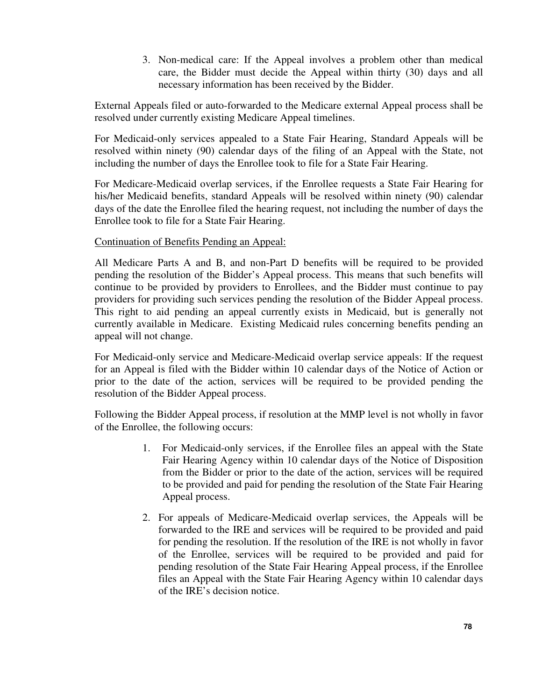3. Non-medical care: If the Appeal involves a problem other than medical care, the Bidder must decide the Appeal within thirty (30) days and all necessary information has been received by the Bidder.

External Appeals filed or auto-forwarded to the Medicare external Appeal process shall be resolved under currently existing Medicare Appeal timelines.

For Medicaid-only services appealed to a State Fair Hearing, Standard Appeals will be resolved within ninety (90) calendar days of the filing of an Appeal with the State, not including the number of days the Enrollee took to file for a State Fair Hearing.

For Medicare-Medicaid overlap services, if the Enrollee requests a State Fair Hearing for his/her Medicaid benefits, standard Appeals will be resolved within ninety (90) calendar days of the date the Enrollee filed the hearing request, not including the number of days the Enrollee took to file for a State Fair Hearing.

#### Continuation of Benefits Pending an Appeal:

All Medicare Parts A and B, and non-Part D benefits will be required to be provided pending the resolution of the Bidder's Appeal process. This means that such benefits will continue to be provided by providers to Enrollees, and the Bidder must continue to pay providers for providing such services pending the resolution of the Bidder Appeal process. This right to aid pending an appeal currently exists in Medicaid, but is generally not currently available in Medicare. Existing Medicaid rules concerning benefits pending an appeal will not change.

For Medicaid-only service and Medicare-Medicaid overlap service appeals: If the request for an Appeal is filed with the Bidder within 10 calendar days of the Notice of Action or prior to the date of the action, services will be required to be provided pending the resolution of the Bidder Appeal process.

Following the Bidder Appeal process, if resolution at the MMP level is not wholly in favor of the Enrollee, the following occurs:

- 1. For Medicaid-only services, if the Enrollee files an appeal with the State Fair Hearing Agency within 10 calendar days of the Notice of Disposition from the Bidder or prior to the date of the action, services will be required to be provided and paid for pending the resolution of the State Fair Hearing Appeal process.
- 2. For appeals of Medicare-Medicaid overlap services, the Appeals will be forwarded to the IRE and services will be required to be provided and paid for pending the resolution. If the resolution of the IRE is not wholly in favor of the Enrollee, services will be required to be provided and paid for pending resolution of the State Fair Hearing Appeal process, if the Enrollee files an Appeal with the State Fair Hearing Agency within 10 calendar days of the IRE's decision notice.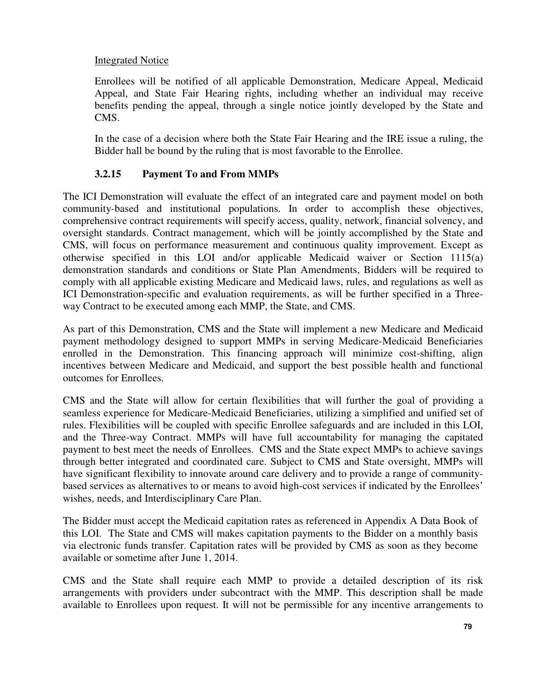### Integrated Notice

Enrollees will be notified of all applicable Demonstration, Medicare Appeal, Medicaid Appeal, and State Fair Hearing rights, including whether an individual may receive benefits pending the appeal, through a single notice jointly developed by the State and CMS.

In the case of a decision where both the State Fair Hearing and the IRE issue a ruling, the Bidder hall be bound by the ruling that is most favorable to the Enrollee.

# **3.2.15 Payment To and From MMPs**

The ICI Demonstration will evaluate the effect of an integrated care and payment model on both community-based and institutional populations. In order to accomplish these objectives, comprehensive contract requirements will specify access, quality, network, financial solvency, and oversight standards. Contract management, which will be jointly accomplished by the State and CMS, will focus on performance measurement and continuous quality improvement. Except as otherwise specified in this LOI and/or applicable Medicaid waiver or Section 1115(a) demonstration standards and conditions or State Plan Amendments, Bidders will be required to comply with all applicable existing Medicare and Medicaid laws, rules, and regulations as well as ICI Demonstration-specific and evaluation requirements, as will be further specified in a Threeway Contract to be executed among each MMP, the State, and CMS.

As part of this Demonstration, CMS and the State will implement a new Medicare and Medicaid payment methodology designed to support MMPs in serving Medicare-Medicaid Beneficiaries enrolled in the Demonstration. This financing approach will minimize cost-shifting, align incentives between Medicare and Medicaid, and support the best possible health and functional outcomes for Enrollees.

CMS and the State will allow for certain flexibilities that will further the goal of providing a seamless experience for Medicare-Medicaid Beneficiaries, utilizing a simplified and unified set of rules. Flexibilities will be coupled with specific Enrollee safeguards and are included in this LOI, and the Three-way Contract. MMPs will have full accountability for managing the capitated payment to best meet the needs of Enrollees. CMS and the State expect MMPs to achieve savings through better integrated and coordinated care. Subject to CMS and State oversight, MMPs will have significant flexibility to innovate around care delivery and to provide a range of communitybased services as alternatives to or means to avoid high-cost services if indicated by the Enrollees' wishes, needs, and Interdisciplinary Care Plan.

The Bidder must accept the Medicaid capitation rates as referenced in Appendix A Data Book of this LOI. The State and CMS will makes capitation payments to the Bidder on a monthly basis via electronic funds transfer. Capitation rates will be provided by CMS as soon as they become available or sometime after June 1, 2014.

CMS and the State shall require each MMP to provide a detailed description of its risk arrangements with providers under subcontract with the MMP. This description shall be made available to Enrollees upon request. It will not be permissible for any incentive arrangements to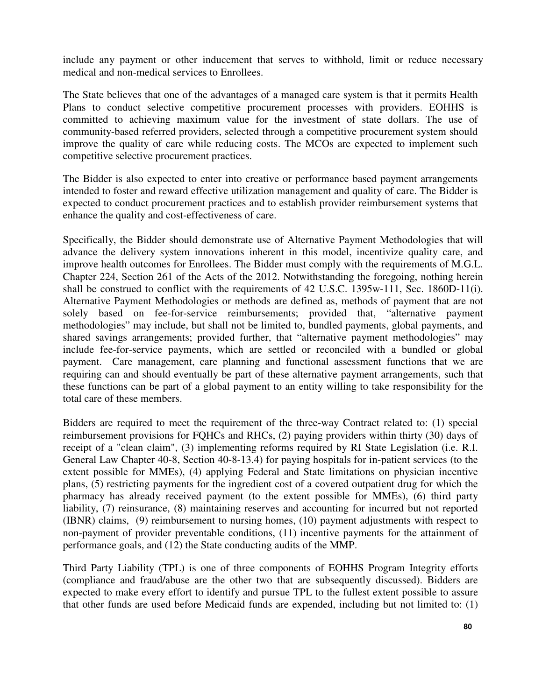include any payment or other inducement that serves to withhold, limit or reduce necessary medical and non-medical services to Enrollees.

The State believes that one of the advantages of a managed care system is that it permits Health Plans to conduct selective competitive procurement processes with providers. EOHHS is committed to achieving maximum value for the investment of state dollars. The use of community-based referred providers, selected through a competitive procurement system should improve the quality of care while reducing costs. The MCOs are expected to implement such competitive selective procurement practices.

The Bidder is also expected to enter into creative or performance based payment arrangements intended to foster and reward effective utilization management and quality of care. The Bidder is expected to conduct procurement practices and to establish provider reimbursement systems that enhance the quality and cost-effectiveness of care.

Specifically, the Bidder should demonstrate use of Alternative Payment Methodologies that will advance the delivery system innovations inherent in this model, incentivize quality care, and improve health outcomes for Enrollees. The Bidder must comply with the requirements of M.G.L. Chapter 224, Section 261 of the Acts of the 2012. Notwithstanding the foregoing, nothing herein shall be construed to conflict with the requirements of 42 U.S.C. 1395w-111, Sec. 1860D-11(i). Alternative Payment Methodologies or methods are defined as, methods of payment that are not solely based on fee-for-service reimbursements; provided that, "alternative payment methodologies" may include, but shall not be limited to, bundled payments, global payments, and shared savings arrangements; provided further, that "alternative payment methodologies" may include fee-for-service payments, which are settled or reconciled with a bundled or global payment. Care management, care planning and functional assessment functions that we are requiring can and should eventually be part of these alternative payment arrangements, such that these functions can be part of a global payment to an entity willing to take responsibility for the total care of these members.

Bidders are required to meet the requirement of the three-way Contract related to: (1) special reimbursement provisions for FQHCs and RHCs, (2) paying providers within thirty (30) days of receipt of a "clean claim", (3) implementing reforms required by RI State Legislation (i.e. R.I. General Law Chapter 40-8, Section 40-8-13.4) for paying hospitals for in-patient services (to the extent possible for MMEs), (4) applying Federal and State limitations on physician incentive plans, (5) restricting payments for the ingredient cost of a covered outpatient drug for which the pharmacy has already received payment (to the extent possible for MMEs), (6) third party liability, (7) reinsurance, (8) maintaining reserves and accounting for incurred but not reported (IBNR) claims, (9) reimbursement to nursing homes, (10) payment adjustments with respect to non-payment of provider preventable conditions, (11) incentive payments for the attainment of performance goals, and (12) the State conducting audits of the MMP.

Third Party Liability (TPL) is one of three components of EOHHS Program Integrity efforts (compliance and fraud/abuse are the other two that are subsequently discussed). Bidders are expected to make every effort to identify and pursue TPL to the fullest extent possible to assure that other funds are used before Medicaid funds are expended, including but not limited to: (1)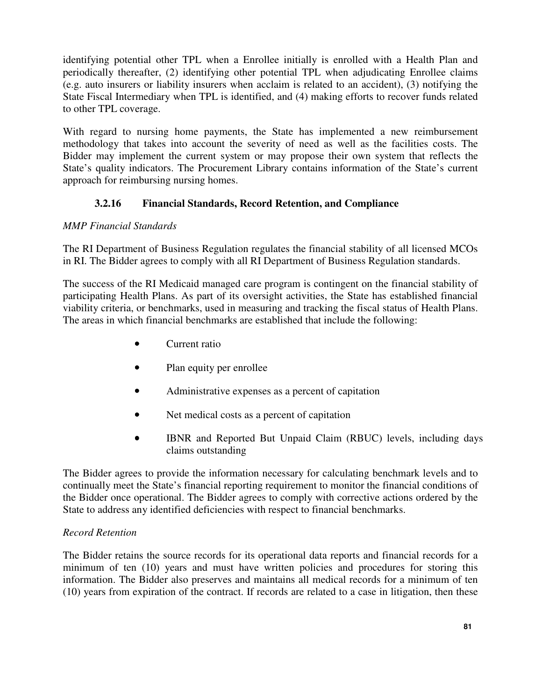identifying potential other TPL when a Enrollee initially is enrolled with a Health Plan and periodically thereafter, (2) identifying other potential TPL when adjudicating Enrollee claims (e.g. auto insurers or liability insurers when acclaim is related to an accident), (3) notifying the State Fiscal Intermediary when TPL is identified, and (4) making efforts to recover funds related to other TPL coverage.

With regard to nursing home payments, the State has implemented a new reimbursement methodology that takes into account the severity of need as well as the facilities costs. The Bidder may implement the current system or may propose their own system that reflects the State's quality indicators. The Procurement Library contains information of the State's current approach for reimbursing nursing homes.

# **3.2.16 Financial Standards, Record Retention, and Compliance**

# *MMP Financial Standards*

The RI Department of Business Regulation regulates the financial stability of all licensed MCOs in RI. The Bidder agrees to comply with all RI Department of Business Regulation standards.

The success of the RI Medicaid managed care program is contingent on the financial stability of participating Health Plans. As part of its oversight activities, the State has established financial viability criteria, or benchmarks, used in measuring and tracking the fiscal status of Health Plans. The areas in which financial benchmarks are established that include the following:

- Current ratio
- Plan equity per enrollee
- Administrative expenses as a percent of capitation
- Net medical costs as a percent of capitation
- IBNR and Reported But Unpaid Claim (RBUC) levels, including days claims outstanding

The Bidder agrees to provide the information necessary for calculating benchmark levels and to continually meet the State's financial reporting requirement to monitor the financial conditions of the Bidder once operational. The Bidder agrees to comply with corrective actions ordered by the State to address any identified deficiencies with respect to financial benchmarks.

#### *Record Retention*

The Bidder retains the source records for its operational data reports and financial records for a minimum of ten (10) years and must have written policies and procedures for storing this information. The Bidder also preserves and maintains all medical records for a minimum of ten (10) years from expiration of the contract. If records are related to a case in litigation, then these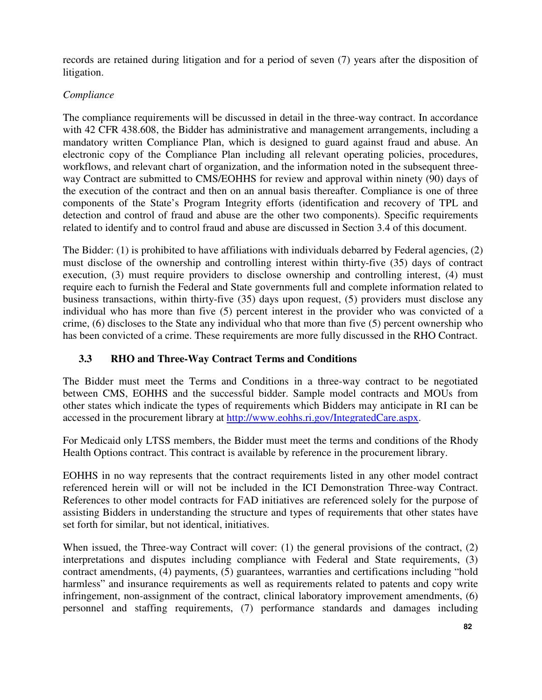records are retained during litigation and for a period of seven (7) years after the disposition of litigation.

### *Compliance*

The compliance requirements will be discussed in detail in the three-way contract. In accordance with 42 CFR 438.608, the Bidder has administrative and management arrangements, including a mandatory written Compliance Plan, which is designed to guard against fraud and abuse. An electronic copy of the Compliance Plan including all relevant operating policies, procedures, workflows, and relevant chart of organization, and the information noted in the subsequent threeway Contract are submitted to CMS/EOHHS for review and approval within ninety (90) days of the execution of the contract and then on an annual basis thereafter. Compliance is one of three components of the State's Program Integrity efforts (identification and recovery of TPL and detection and control of fraud and abuse are the other two components). Specific requirements related to identify and to control fraud and abuse are discussed in Section 3.4 of this document.

The Bidder: (1) is prohibited to have affiliations with individuals debarred by Federal agencies, (2) must disclose of the ownership and controlling interest within thirty-five (35) days of contract execution, (3) must require providers to disclose ownership and controlling interest, (4) must require each to furnish the Federal and State governments full and complete information related to business transactions, within thirty-five (35) days upon request, (5) providers must disclose any individual who has more than five (5) percent interest in the provider who was convicted of a crime, (6) discloses to the State any individual who that more than five (5) percent ownership who has been convicted of a crime. These requirements are more fully discussed in the RHO Contract.

# **3.3 RHO and Three-Way Contract Terms and Conditions**

The Bidder must meet the Terms and Conditions in a three-way contract to be negotiated between CMS, EOHHS and the successful bidder. Sample model contracts and MOUs from other states which indicate the types of requirements which Bidders may anticipate in RI can be accessed in the procurement library at http://www.eohhs.ri.gov/IntegratedCare.aspx.

For Medicaid only LTSS members, the Bidder must meet the terms and conditions of the Rhody Health Options contract. This contract is available by reference in the procurement library.

EOHHS in no way represents that the contract requirements listed in any other model contract referenced herein will or will not be included in the ICI Demonstration Three-way Contract. References to other model contracts for FAD initiatives are referenced solely for the purpose of assisting Bidders in understanding the structure and types of requirements that other states have set forth for similar, but not identical, initiatives.

When issued, the Three-way Contract will cover: (1) the general provisions of the contract, (2) interpretations and disputes including compliance with Federal and State requirements, (3) contract amendments, (4) payments, (5) guarantees, warranties and certifications including "hold harmless" and insurance requirements as well as requirements related to patents and copy write infringement, non-assignment of the contract, clinical laboratory improvement amendments, (6) personnel and staffing requirements, (7) performance standards and damages including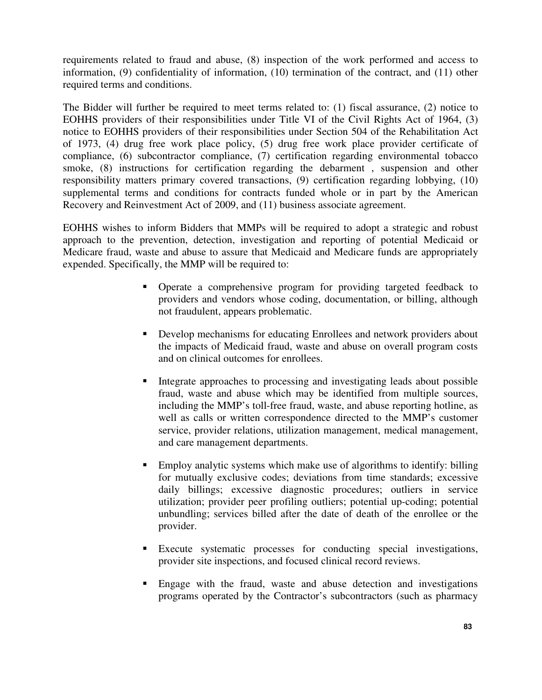requirements related to fraud and abuse, (8) inspection of the work performed and access to information, (9) confidentiality of information, (10) termination of the contract, and (11) other required terms and conditions.

The Bidder will further be required to meet terms related to: (1) fiscal assurance, (2) notice to EOHHS providers of their responsibilities under Title VI of the Civil Rights Act of 1964, (3) notice to EOHHS providers of their responsibilities under Section 504 of the Rehabilitation Act of 1973, (4) drug free work place policy, (5) drug free work place provider certificate of compliance, (6) subcontractor compliance, (7) certification regarding environmental tobacco smoke, (8) instructions for certification regarding the debarment , suspension and other responsibility matters primary covered transactions, (9) certification regarding lobbying, (10) supplemental terms and conditions for contracts funded whole or in part by the American Recovery and Reinvestment Act of 2009, and (11) business associate agreement.

EOHHS wishes to inform Bidders that MMPs will be required to adopt a strategic and robust approach to the prevention, detection, investigation and reporting of potential Medicaid or Medicare fraud, waste and abuse to assure that Medicaid and Medicare funds are appropriately expended. Specifically, the MMP will be required to:

- Operate a comprehensive program for providing targeted feedback to providers and vendors whose coding, documentation, or billing, although not fraudulent, appears problematic.
- Develop mechanisms for educating Enrollees and network providers about the impacts of Medicaid fraud, waste and abuse on overall program costs and on clinical outcomes for enrollees.
- Integrate approaches to processing and investigating leads about possible fraud, waste and abuse which may be identified from multiple sources, including the MMP's toll-free fraud, waste, and abuse reporting hotline, as well as calls or written correspondence directed to the MMP's customer service, provider relations, utilization management, medical management, and care management departments.
- Employ analytic systems which make use of algorithms to identify: billing for mutually exclusive codes; deviations from time standards; excessive daily billings; excessive diagnostic procedures; outliers in service utilization; provider peer profiling outliers; potential up-coding; potential unbundling; services billed after the date of death of the enrollee or the provider.
- Execute systematic processes for conducting special investigations, provider site inspections, and focused clinical record reviews.
- Engage with the fraud, waste and abuse detection and investigations programs operated by the Contractor's subcontractors (such as pharmacy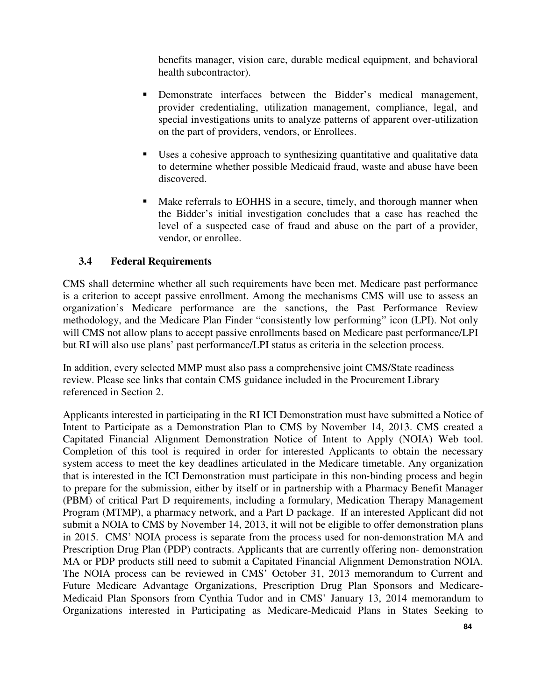benefits manager, vision care, durable medical equipment, and behavioral health subcontractor).

- Demonstrate interfaces between the Bidder's medical management, provider credentialing, utilization management, compliance, legal, and special investigations units to analyze patterns of apparent over-utilization on the part of providers, vendors, or Enrollees.
- Uses a cohesive approach to synthesizing quantitative and qualitative data to determine whether possible Medicaid fraud, waste and abuse have been discovered.
- Make referrals to EOHHS in a secure, timely, and thorough manner when the Bidder's initial investigation concludes that a case has reached the level of a suspected case of fraud and abuse on the part of a provider, vendor, or enrollee.

# **3.4 Federal Requirements**

CMS shall determine whether all such requirements have been met. Medicare past performance is a criterion to accept passive enrollment. Among the mechanisms CMS will use to assess an organization's Medicare performance are the sanctions, the Past Performance Review methodology, and the Medicare Plan Finder "consistently low performing" icon (LPI). Not only will CMS not allow plans to accept passive enrollments based on Medicare past performance/LPI but RI will also use plans' past performance/LPI status as criteria in the selection process.

In addition, every selected MMP must also pass a comprehensive joint CMS/State readiness review. Please see links that contain CMS guidance included in the Procurement Library referenced in Section 2.

Applicants interested in participating in the RI ICI Demonstration must have submitted a Notice of Intent to Participate as a Demonstration Plan to CMS by November 14, 2013. CMS created a Capitated Financial Alignment Demonstration Notice of Intent to Apply (NOIA) Web tool. Completion of this tool is required in order for interested Applicants to obtain the necessary system access to meet the key deadlines articulated in the Medicare timetable. Any organization that is interested in the ICI Demonstration must participate in this non‐binding process and begin to prepare for the submission, either by itself or in partnership with a Pharmacy Benefit Manager (PBM) of critical Part D requirements, including a formulary, Medication Therapy Management Program (MTMP), a pharmacy network, and a Part D package. If an interested Applicant did not submit a NOIA to CMS by November 14, 2013, it will not be eligible to offer demonstration plans in 2015. CMS' NOIA process is separate from the process used for non‐demonstration MA and Prescription Drug Plan (PDP) contracts. Applicants that are currently offering non- demonstration MA or PDP products still need to submit a Capitated Financial Alignment Demonstration NOIA. The NOIA process can be reviewed in CMS' October 31, 2013 memorandum to Current and Future Medicare Advantage Organizations, Prescription Drug Plan Sponsors and Medicare-Medicaid Plan Sponsors from Cynthia Tudor and in CMS' January 13, 2014 memorandum to Organizations interested in Participating as Medicare-Medicaid Plans in States Seeking to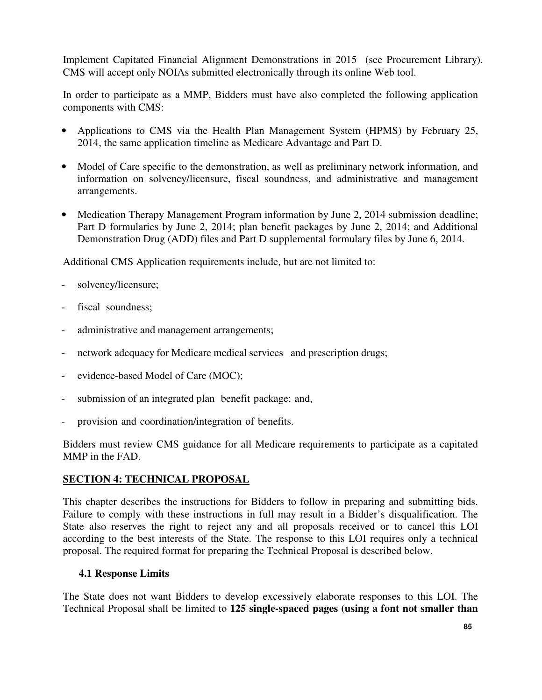Implement Capitated Financial Alignment Demonstrations in 2015 (see Procurement Library). CMS will accept only NOIAs submitted electronically through its online Web tool.

In order to participate as a MMP, Bidders must have also completed the following application components with CMS:

- Applications to CMS via the Health Plan Management System (HPMS) by February 25, 2014, the same application timeline as Medicare Advantage and Part D.
- Model of Care specific to the demonstration, as well as preliminary network information, and information on solvency/licensure, fiscal soundness, and administrative and management arrangements.
- Medication Therapy Management Program information by June 2, 2014 submission deadline; Part D formularies by June 2, 2014; plan benefit packages by June 2, 2014; and Additional Demonstration Drug (ADD) files and Part D supplemental formulary files by June 6, 2014.

Additional CMS Application requirements include, but are not limited to:

- solvency/licensure;
- fiscal soundness:
- administrative and management arrangements;
- network adequacy for Medicare medical services and prescription drugs;
- evidence-based Model of Care (MOC);
- submission of an integrated plan benefit package; and,
- provision and coordination/integration of benefits.

Bidders must review CMS guidance for all Medicare requirements to participate as a capitated MMP in the FAD.

#### **SECTION 4: TECHNICAL PROPOSAL**

This chapter describes the instructions for Bidders to follow in preparing and submitting bids. Failure to comply with these instructions in full may result in a Bidder's disqualification. The State also reserves the right to reject any and all proposals received or to cancel this LOI according to the best interests of the State. The response to this LOI requires only a technical proposal. The required format for preparing the Technical Proposal is described below.

#### **4.1 Response Limits**

The State does not want Bidders to develop excessively elaborate responses to this LOI. The Technical Proposal shall be limited to **125 single-spaced pages (using a font not smaller than**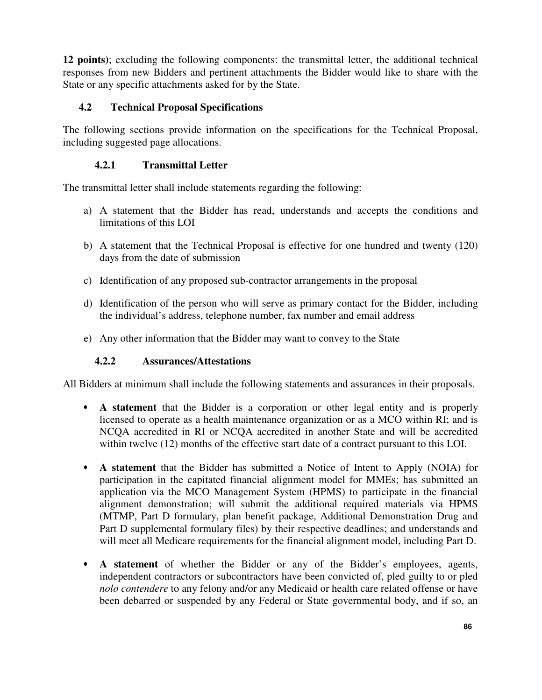**12 points)**; excluding the following components: the transmittal letter, the additional technical responses from new Bidders and pertinent attachments the Bidder would like to share with the State or any specific attachments asked for by the State.

# **4.2 Technical Proposal Specifications**

The following sections provide information on the specifications for the Technical Proposal, including suggested page allocations.

# **4.2.1 Transmittal Letter**

The transmittal letter shall include statements regarding the following:

- a) A statement that the Bidder has read, understands and accepts the conditions and limitations of this LOI
- b) A statement that the Technical Proposal is effective for one hundred and twenty (120) days from the date of submission
- c) Identification of any proposed sub-contractor arrangements in the proposal
- d) Identification of the person who will serve as primary contact for the Bidder, including the individual's address, telephone number, fax number and email address
- e) Any other information that the Bidder may want to convey to the State

# **4.2.2 Assurances/Attestations**

All Bidders at minimum shall include the following statements and assurances in their proposals.

- **A statement** that the Bidder is a corporation or other legal entity and is properly licensed to operate as a health maintenance organization or as a MCO within RI; and is NCQA accredited in RI or NCQA accredited in another State and will be accredited within twelve (12) months of the effective start date of a contract pursuant to this LOI.
- **A statement** that the Bidder has submitted a Notice of Intent to Apply (NOIA) for participation in the capitated financial alignment model for MMEs; has submitted an application via the MCO Management System (HPMS) to participate in the financial alignment demonstration; will submit the additional required materials via HPMS (MTMP, Part D formulary, plan benefit package, Additional Demonstration Drug and Part D supplemental formulary files) by their respective deadlines; and understands and will meet all Medicare requirements for the financial alignment model, including Part D.
- **A statement** of whether the Bidder or any of the Bidder's employees, agents, independent contractors or subcontractors have been convicted of, pled guilty to or pled *nolo contendere* to any felony and/or any Medicaid or health care related offense or have been debarred or suspended by any Federal or State governmental body, and if so, an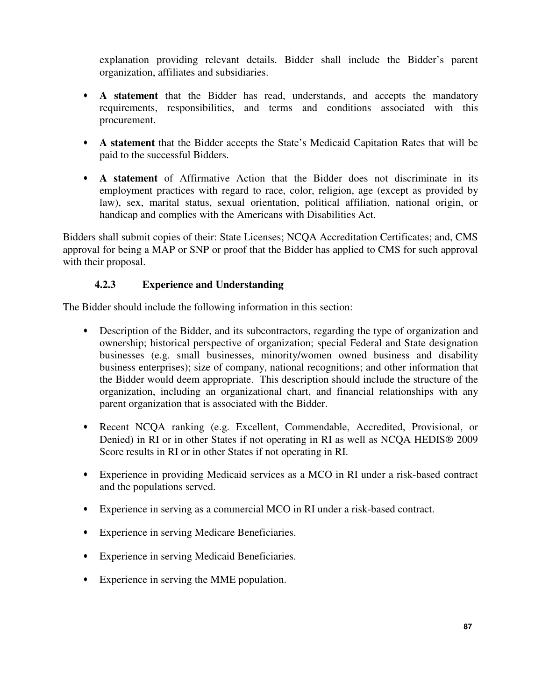explanation providing relevant details. Bidder shall include the Bidder's parent organization, affiliates and subsidiaries.

- **A statement** that the Bidder has read, understands, and accepts the mandatory requirements, responsibilities, and terms and conditions associated with this procurement.
- **A statement** that the Bidder accepts the State's Medicaid Capitation Rates that will be paid to the successful Bidders.
- **A statement** of Affirmative Action that the Bidder does not discriminate in its employment practices with regard to race, color, religion, age (except as provided by law), sex, marital status, sexual orientation, political affiliation, national origin, or handicap and complies with the Americans with Disabilities Act.

Bidders shall submit copies of their: State Licenses; NCQA Accreditation Certificates; and, CMS approval for being a MAP or SNP or proof that the Bidder has applied to CMS for such approval with their proposal.

# **4.2.3 Experience and Understanding**

The Bidder should include the following information in this section:

- Description of the Bidder, and its subcontractors, regarding the type of organization and ownership; historical perspective of organization; special Federal and State designation businesses (e.g. small businesses, minority/women owned business and disability business enterprises); size of company, national recognitions; and other information that the Bidder would deem appropriate. This description should include the structure of the organization, including an organizational chart, and financial relationships with any parent organization that is associated with the Bidder.
- Recent NCQA ranking (e.g. Excellent, Commendable, Accredited, Provisional, or Denied) in RI or in other States if not operating in RI as well as NCQA HEDIS® 2009 Score results in RI or in other States if not operating in RI.
- Experience in providing Medicaid services as a MCO in RI under a risk-based contract and the populations served.
- Experience in serving as a commercial MCO in RI under a risk-based contract.
- Experience in serving Medicare Beneficiaries.
- Experience in serving Medicaid Beneficiaries.
- Experience in serving the MME population.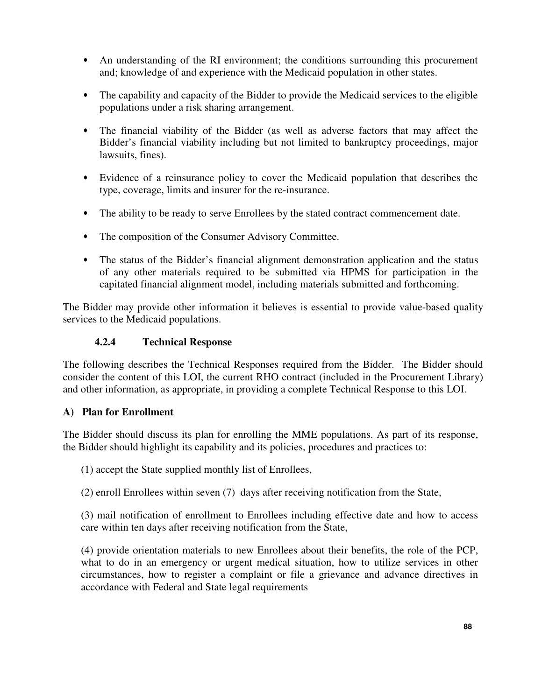- An understanding of the RI environment; the conditions surrounding this procurement and; knowledge of and experience with the Medicaid population in other states.
- The capability and capacity of the Bidder to provide the Medicaid services to the eligible populations under a risk sharing arrangement.
- The financial viability of the Bidder (as well as adverse factors that may affect the Bidder's financial viability including but not limited to bankruptcy proceedings, major lawsuits, fines).
- Evidence of a reinsurance policy to cover the Medicaid population that describes the type, coverage, limits and insurer for the re-insurance.
- The ability to be ready to serve Enrollees by the stated contract commencement date.
- The composition of the Consumer Advisory Committee.
- The status of the Bidder's financial alignment demonstration application and the status of any other materials required to be submitted via HPMS for participation in the capitated financial alignment model, including materials submitted and forthcoming.

The Bidder may provide other information it believes is essential to provide value-based quality services to the Medicaid populations.

# **4.2.4 Technical Response**

The following describes the Technical Responses required from the Bidder. The Bidder should consider the content of this LOI, the current RHO contract (included in the Procurement Library) and other information, as appropriate, in providing a complete Technical Response to this LOI.

# **A) Plan for Enrollment**

The Bidder should discuss its plan for enrolling the MME populations. As part of its response, the Bidder should highlight its capability and its policies, procedures and practices to:

(1) accept the State supplied monthly list of Enrollees,

(2) enroll Enrollees within seven (7) days after receiving notification from the State,

(3) mail notification of enrollment to Enrollees including effective date and how to access care within ten days after receiving notification from the State,

(4) provide orientation materials to new Enrollees about their benefits, the role of the PCP, what to do in an emergency or urgent medical situation, how to utilize services in other circumstances, how to register a complaint or file a grievance and advance directives in accordance with Federal and State legal requirements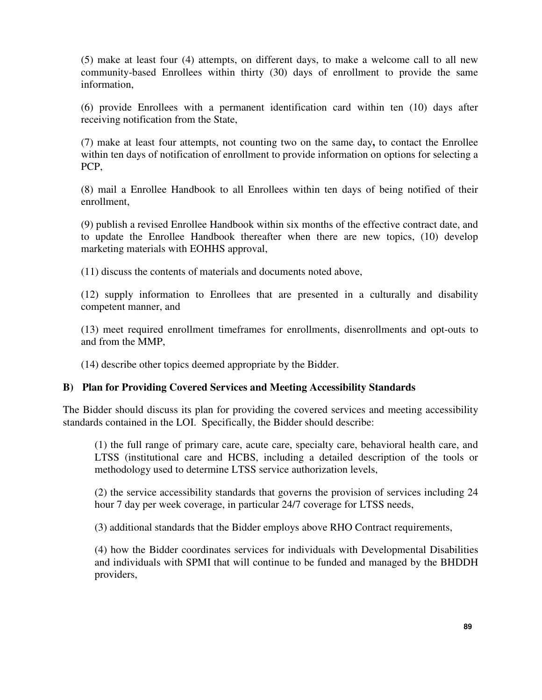(5) make at least four (4) attempts, on different days, to make a welcome call to all new community-based Enrollees within thirty (30) days of enrollment to provide the same information,

(6) provide Enrollees with a permanent identification card within ten (10) days after receiving notification from the State,

(7) make at least four attempts, not counting two on the same day**,** to contact the Enrollee within ten days of notification of enrollment to provide information on options for selecting a PCP,

(8) mail a Enrollee Handbook to all Enrollees within ten days of being notified of their enrollment,

(9) publish a revised Enrollee Handbook within six months of the effective contract date, and to update the Enrollee Handbook thereafter when there are new topics, (10) develop marketing materials with EOHHS approval,

(11) discuss the contents of materials and documents noted above,

(12) supply information to Enrollees that are presented in a culturally and disability competent manner, and

(13) meet required enrollment timeframes for enrollments, disenrollments and opt-outs to and from the MMP,

(14) describe other topics deemed appropriate by the Bidder.

#### **B) Plan for Providing Covered Services and Meeting Accessibility Standards**

The Bidder should discuss its plan for providing the covered services and meeting accessibility standards contained in the LOI. Specifically, the Bidder should describe:

(1) the full range of primary care, acute care, specialty care, behavioral health care, and LTSS (institutional care and HCBS, including a detailed description of the tools or methodology used to determine LTSS service authorization levels,

(2) the service accessibility standards that governs the provision of services including 24 hour 7 day per week coverage, in particular 24/7 coverage for LTSS needs,

(3) additional standards that the Bidder employs above RHO Contract requirements,

(4) how the Bidder coordinates services for individuals with Developmental Disabilities and individuals with SPMI that will continue to be funded and managed by the BHDDH providers,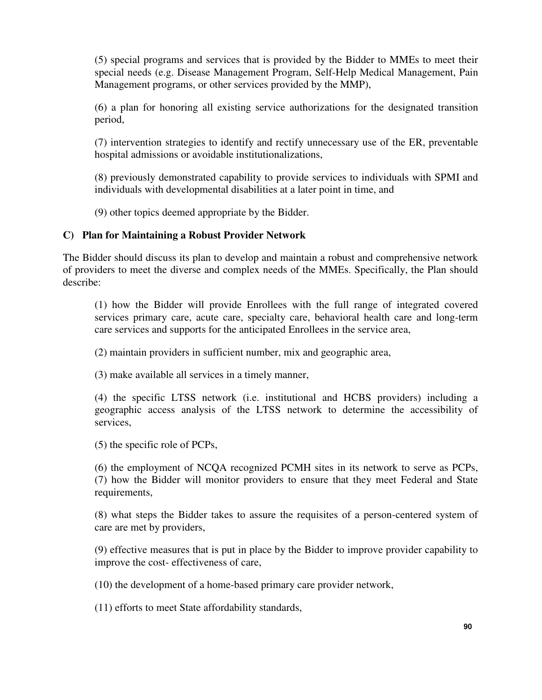(5) special programs and services that is provided by the Bidder to MMEs to meet their special needs (e.g. Disease Management Program, Self-Help Medical Management, Pain Management programs, or other services provided by the MMP),

(6) a plan for honoring all existing service authorizations for the designated transition period,

(7) intervention strategies to identify and rectify unnecessary use of the ER, preventable hospital admissions or avoidable institutionalizations,

(8) previously demonstrated capability to provide services to individuals with SPMI and individuals with developmental disabilities at a later point in time, and

(9) other topics deemed appropriate by the Bidder.

### **C) Plan for Maintaining a Robust Provider Network**

The Bidder should discuss its plan to develop and maintain a robust and comprehensive network of providers to meet the diverse and complex needs of the MMEs. Specifically, the Plan should describe:

(1) how the Bidder will provide Enrollees with the full range of integrated covered services primary care, acute care, specialty care, behavioral health care and long-term care services and supports for the anticipated Enrollees in the service area,

(2) maintain providers in sufficient number, mix and geographic area,

(3) make available all services in a timely manner,

(4) the specific LTSS network (i.e. institutional and HCBS providers) including a geographic access analysis of the LTSS network to determine the accessibility of services,

(5) the specific role of PCPs,

(6) the employment of NCQA recognized PCMH sites in its network to serve as PCPs, (7) how the Bidder will monitor providers to ensure that they meet Federal and State requirements,

(8) what steps the Bidder takes to assure the requisites of a person-centered system of care are met by providers,

(9) effective measures that is put in place by the Bidder to improve provider capability to improve the cost- effectiveness of care,

(10) the development of a home-based primary care provider network,

(11) efforts to meet State affordability standards,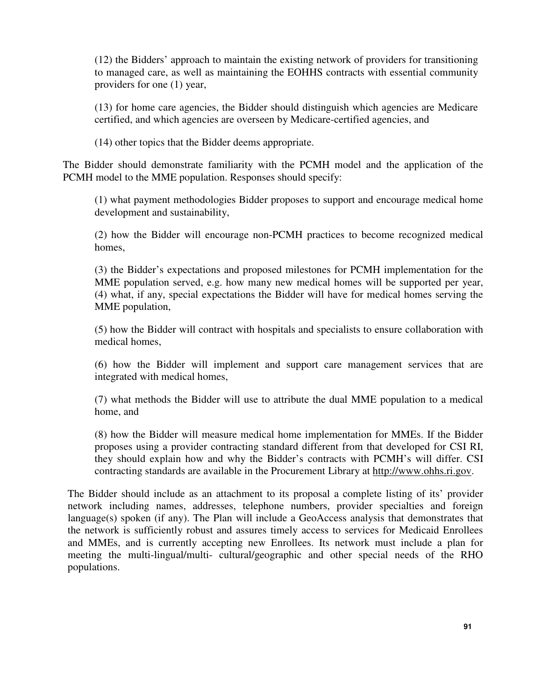(12) the Bidders' approach to maintain the existing network of providers for transitioning to managed care, as well as maintaining the EOHHS contracts with essential community providers for one (1) year,

(13) for home care agencies, the Bidder should distinguish which agencies are Medicare certified, and which agencies are overseen by Medicare-certified agencies, and

(14) other topics that the Bidder deems appropriate.

The Bidder should demonstrate familiarity with the PCMH model and the application of the PCMH model to the MME population. Responses should specify:

(1) what payment methodologies Bidder proposes to support and encourage medical home development and sustainability,

(2) how the Bidder will encourage non-PCMH practices to become recognized medical homes,

(3) the Bidder's expectations and proposed milestones for PCMH implementation for the MME population served, e.g. how many new medical homes will be supported per year, (4) what, if any, special expectations the Bidder will have for medical homes serving the MME population,

(5) how the Bidder will contract with hospitals and specialists to ensure collaboration with medical homes,

(6) how the Bidder will implement and support care management services that are integrated with medical homes,

(7) what methods the Bidder will use to attribute the dual MME population to a medical home, and

(8) how the Bidder will measure medical home implementation for MMEs. If the Bidder proposes using a provider contracting standard different from that developed for CSI RI, they should explain how and why the Bidder's contracts with PCMH's will differ. CSI contracting standards are available in the Procurement Library at http://www.ohhs.ri.gov.

The Bidder should include as an attachment to its proposal a complete listing of its' provider network including names, addresses, telephone numbers, provider specialties and foreign language(s) spoken (if any). The Plan will include a GeoAccess analysis that demonstrates that the network is sufficiently robust and assures timely access to services for Medicaid Enrollees and MMEs, and is currently accepting new Enrollees. Its network must include a plan for meeting the multi-lingual/multi- cultural/geographic and other special needs of the RHO populations.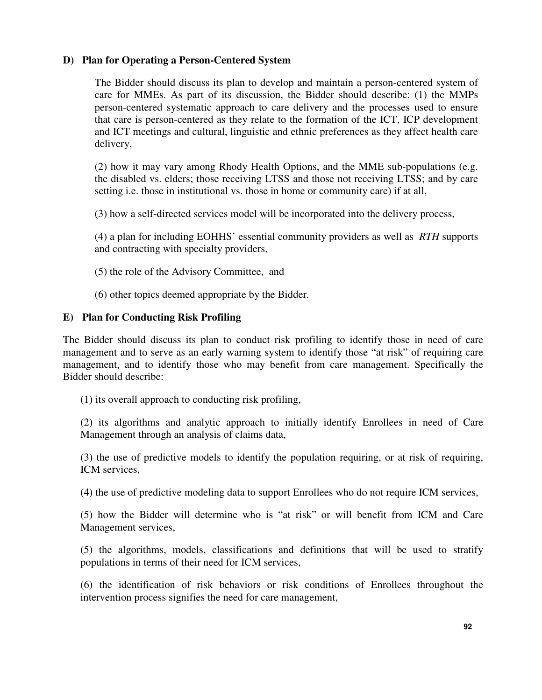### **D) Plan for Operating a Person-Centered System**

The Bidder should discuss its plan to develop and maintain a person-centered system of care for MMEs. As part of its discussion, the Bidder should describe: (1) the MMPs person-centered systematic approach to care delivery and the processes used to ensure that care is person-centered as they relate to the formation of the ICT, ICP development and ICT meetings and cultural, linguistic and ethnic preferences as they affect health care delivery,

(2) how it may vary among Rhody Health Options, and the MME sub-populations (e.g. the disabled vs. elders; those receiving LTSS and those not receiving LTSS; and by care setting i.e. those in institutional vs. those in home or community care) if at all,

(3) how a self-directed services model will be incorporated into the delivery process,

(4) a plan for including EOHHS' essential community providers as well as *RTH* supports and contracting with specialty providers,

(5) the role of the Advisory Committee, and

(6) other topics deemed appropriate by the Bidder.

### **E) Plan for Conducting Risk Profiling**

The Bidder should discuss its plan to conduct risk profiling to identify those in need of care management and to serve as an early warning system to identify those "at risk" of requiring care management, and to identify those who may benefit from care management. Specifically the Bidder should describe:

(1) its overall approach to conducting risk profiling,

(2) its algorithms and analytic approach to initially identify Enrollees in need of Care Management through an analysis of claims data,

(3) the use of predictive models to identify the population requiring, or at risk of requiring, ICM services,

(4) the use of predictive modeling data to support Enrollees who do not require ICM services,

(5) how the Bidder will determine who is "at risk" or will benefit from ICM and Care Management services,

(5) the algorithms, models, classifications and definitions that will be used to stratify populations in terms of their need for ICM services,

(6) the identification of risk behaviors or risk conditions of Enrollees throughout the intervention process signifies the need for care management,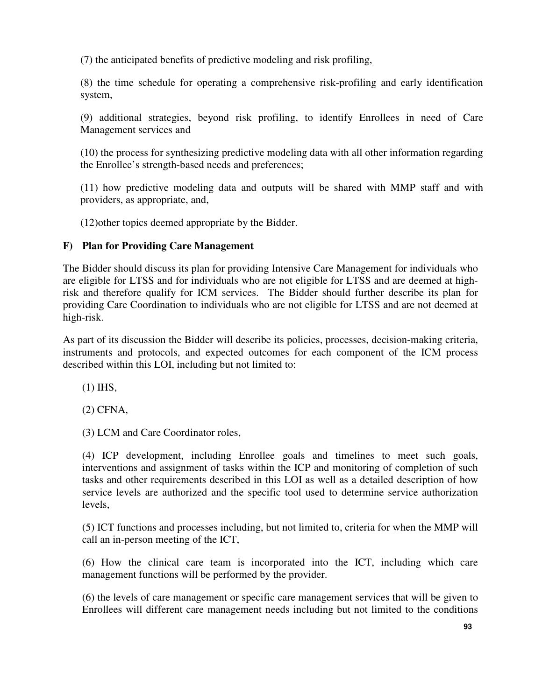(7) the anticipated benefits of predictive modeling and risk profiling,

(8) the time schedule for operating a comprehensive risk-profiling and early identification system,

(9) additional strategies, beyond risk profiling, to identify Enrollees in need of Care Management services and

(10) the process for synthesizing predictive modeling data with all other information regarding the Enrollee's strength-based needs and preferences;

(11) how predictive modeling data and outputs will be shared with MMP staff and with providers, as appropriate, and,

(12)other topics deemed appropriate by the Bidder.

# **F) Plan for Providing Care Management**

The Bidder should discuss its plan for providing Intensive Care Management for individuals who are eligible for LTSS and for individuals who are not eligible for LTSS and are deemed at highrisk and therefore qualify for ICM services. The Bidder should further describe its plan for providing Care Coordination to individuals who are not eligible for LTSS and are not deemed at high-risk.

As part of its discussion the Bidder will describe its policies, processes, decision-making criteria, instruments and protocols, and expected outcomes for each component of the ICM process described within this LOI, including but not limited to:

(1) IHS,

(2) CFNA,

(3) LCM and Care Coordinator roles,

(4) ICP development, including Enrollee goals and timelines to meet such goals, interventions and assignment of tasks within the ICP and monitoring of completion of such tasks and other requirements described in this LOI as well as a detailed description of how service levels are authorized and the specific tool used to determine service authorization levels,

(5) ICT functions and processes including, but not limited to, criteria for when the MMP will call an in-person meeting of the ICT,

(6) How the clinical care team is incorporated into the ICT, including which care management functions will be performed by the provider.

(6) the levels of care management or specific care management services that will be given to Enrollees will different care management needs including but not limited to the conditions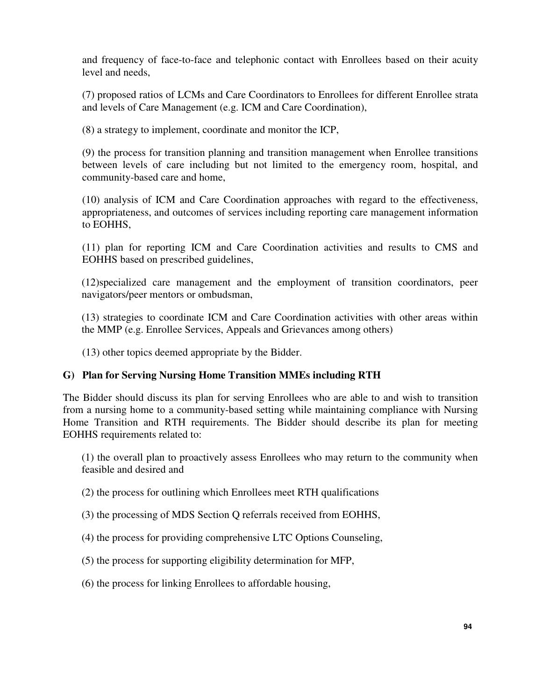and frequency of face-to-face and telephonic contact with Enrollees based on their acuity level and needs,

(7) proposed ratios of LCMs and Care Coordinators to Enrollees for different Enrollee strata and levels of Care Management (e.g. ICM and Care Coordination),

(8) a strategy to implement, coordinate and monitor the ICP,

(9) the process for transition planning and transition management when Enrollee transitions between levels of care including but not limited to the emergency room, hospital, and community-based care and home,

(10) analysis of ICM and Care Coordination approaches with regard to the effectiveness, appropriateness, and outcomes of services including reporting care management information to EOHHS,

(11) plan for reporting ICM and Care Coordination activities and results to CMS and EOHHS based on prescribed guidelines,

(12)specialized care management and the employment of transition coordinators, peer navigators/peer mentors or ombudsman,

(13) strategies to coordinate ICM and Care Coordination activities with other areas within the MMP (e.g. Enrollee Services, Appeals and Grievances among others)

(13) other topics deemed appropriate by the Bidder.

#### **G) Plan for Serving Nursing Home Transition MMEs including RTH**

The Bidder should discuss its plan for serving Enrollees who are able to and wish to transition from a nursing home to a community-based setting while maintaining compliance with Nursing Home Transition and RTH requirements. The Bidder should describe its plan for meeting EOHHS requirements related to:

(1) the overall plan to proactively assess Enrollees who may return to the community when feasible and desired and

(2) the process for outlining which Enrollees meet RTH qualifications

(3) the processing of MDS Section Q referrals received from EOHHS,

(4) the process for providing comprehensive LTC Options Counseling,

(5) the process for supporting eligibility determination for MFP,

(6) the process for linking Enrollees to affordable housing,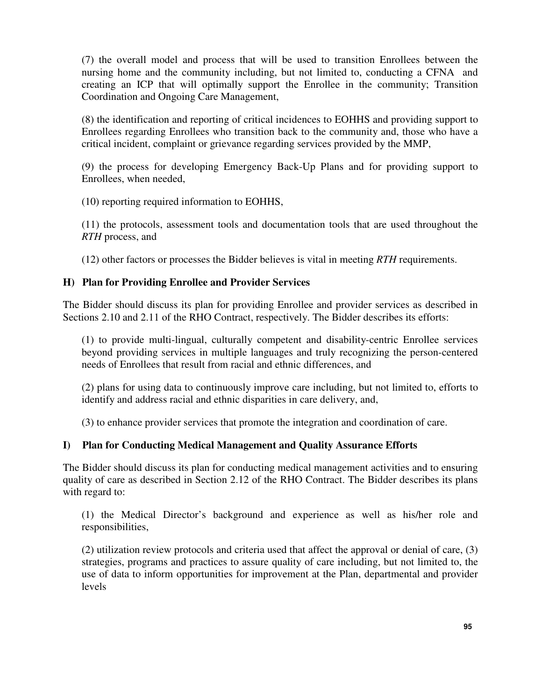(7) the overall model and process that will be used to transition Enrollees between the nursing home and the community including, but not limited to, conducting a CFNA and creating an ICP that will optimally support the Enrollee in the community; Transition Coordination and Ongoing Care Management,

(8) the identification and reporting of critical incidences to EOHHS and providing support to Enrollees regarding Enrollees who transition back to the community and, those who have a critical incident, complaint or grievance regarding services provided by the MMP,

(9) the process for developing Emergency Back-Up Plans and for providing support to Enrollees, when needed,

(10) reporting required information to EOHHS,

(11) the protocols, assessment tools and documentation tools that are used throughout the *RTH* process, and

(12) other factors or processes the Bidder believes is vital in meeting *RTH* requirements.

### **H) Plan for Providing Enrollee and Provider Services**

The Bidder should discuss its plan for providing Enrollee and provider services as described in Sections 2.10 and 2.11 of the RHO Contract, respectively. The Bidder describes its efforts:

(1) to provide multi-lingual, culturally competent and disability-centric Enrollee services beyond providing services in multiple languages and truly recognizing the person-centered needs of Enrollees that result from racial and ethnic differences, and

(2) plans for using data to continuously improve care including, but not limited to, efforts to identify and address racial and ethnic disparities in care delivery, and,

(3) to enhance provider services that promote the integration and coordination of care.

# **I) Plan for Conducting Medical Management and Quality Assurance Efforts**

The Bidder should discuss its plan for conducting medical management activities and to ensuring quality of care as described in Section 2.12 of the RHO Contract. The Bidder describes its plans with regard to:

(1) the Medical Director's background and experience as well as his/her role and responsibilities,

(2) utilization review protocols and criteria used that affect the approval or denial of care, (3) strategies, programs and practices to assure quality of care including, but not limited to, the use of data to inform opportunities for improvement at the Plan, departmental and provider levels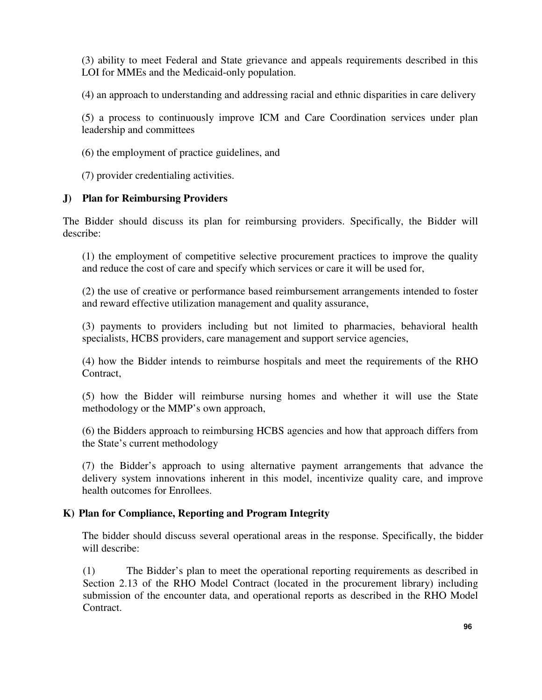(3) ability to meet Federal and State grievance and appeals requirements described in this LOI for MMEs and the Medicaid-only population.

(4) an approach to understanding and addressing racial and ethnic disparities in care delivery

(5) a process to continuously improve ICM and Care Coordination services under plan leadership and committees

(6) the employment of practice guidelines, and

(7) provider credentialing activities.

### **J) Plan for Reimbursing Providers**

The Bidder should discuss its plan for reimbursing providers. Specifically, the Bidder will describe:

(1) the employment of competitive selective procurement practices to improve the quality and reduce the cost of care and specify which services or care it will be used for,

(2) the use of creative or performance based reimbursement arrangements intended to foster and reward effective utilization management and quality assurance,

(3) payments to providers including but not limited to pharmacies, behavioral health specialists, HCBS providers, care management and support service agencies,

(4) how the Bidder intends to reimburse hospitals and meet the requirements of the RHO Contract,

(5) how the Bidder will reimburse nursing homes and whether it will use the State methodology or the MMP's own approach,

(6) the Bidders approach to reimbursing HCBS agencies and how that approach differs from the State's current methodology

(7) the Bidder's approach to using alternative payment arrangements that advance the delivery system innovations inherent in this model, incentivize quality care, and improve health outcomes for Enrollees.

#### **K) Plan for Compliance, Reporting and Program Integrity**

The bidder should discuss several operational areas in the response. Specifically, the bidder will describe:

(1) The Bidder's plan to meet the operational reporting requirements as described in Section 2.13 of the RHO Model Contract (located in the procurement library) including submission of the encounter data, and operational reports as described in the RHO Model Contract.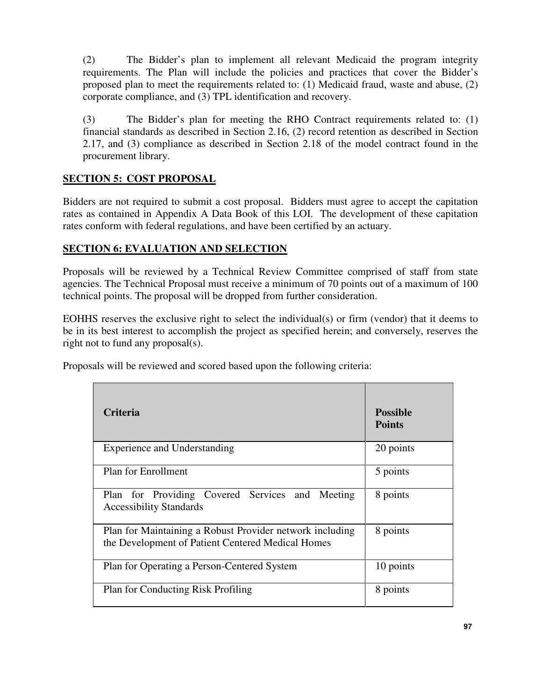(2) The Bidder's plan to implement all relevant Medicaid the program integrity requirements. The Plan will include the policies and practices that cover the Bidder's proposed plan to meet the requirements related to: (1) Medicaid fraud, waste and abuse, (2) corporate compliance, and (3) TPL identification and recovery.

(3) The Bidder's plan for meeting the RHO Contract requirements related to: (1) financial standards as described in Section 2.16, (2) record retention as described in Section 2.17, and (3) compliance as described in Section 2.18 of the model contract found in the procurement library.

# **SECTION 5: COST PROPOSAL**

Bidders are not required to submit a cost proposal. Bidders must agree to accept the capitation rates as contained in Appendix A Data Book of this LOI. The development of these capitation rates conform with federal regulations, and have been certified by an actuary.

# **SECTION 6: EVALUATION AND SELECTION**

Proposals will be reviewed by a Technical Review Committee comprised of staff from state agencies. The Technical Proposal must receive a minimum of 70 points out of a maximum of 100 technical points. The proposal will be dropped from further consideration.

EOHHS reserves the exclusive right to select the individual(s) or firm (vendor) that it deems to be in its best interest to accomplish the project as specified herein; and conversely, reserves the right not to fund any proposal(s).

Proposals will be reviewed and scored based upon the following criteria:

| <b>Criteria</b>                                                                                               | <b>Possible</b><br><b>Points</b> |
|---------------------------------------------------------------------------------------------------------------|----------------------------------|
| <b>Experience and Understanding</b>                                                                           | 20 points                        |
| Plan for Enrollment                                                                                           | 5 points                         |
| Plan for Providing Covered Services and Meeting<br><b>Accessibility Standards</b>                             | 8 points                         |
| Plan for Maintaining a Robust Provider network including<br>the Development of Patient Centered Medical Homes | 8 points                         |
| Plan for Operating a Person-Centered System                                                                   | 10 points                        |
| <b>Plan for Conducting Risk Profiling</b>                                                                     | 8 points                         |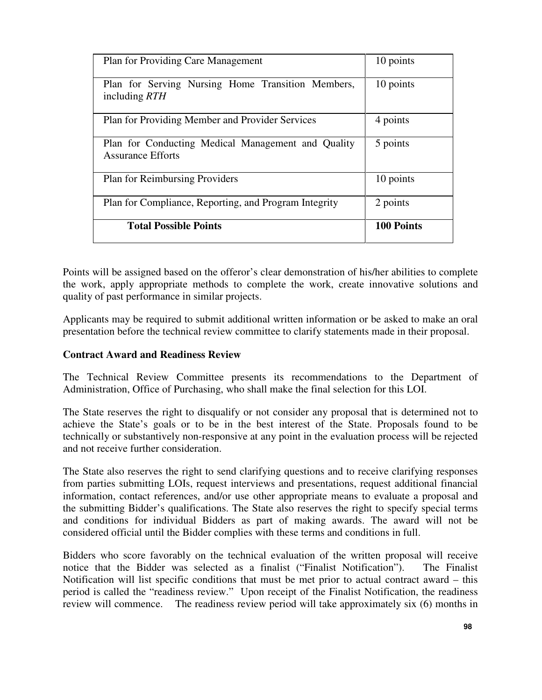| Plan for Providing Care Management                                             | 10 points         |
|--------------------------------------------------------------------------------|-------------------|
| Plan for Serving Nursing Home Transition Members,<br>including RTH             | 10 points         |
| Plan for Providing Member and Provider Services                                | 4 points          |
| Plan for Conducting Medical Management and Quality<br><b>Assurance Efforts</b> | 5 points          |
| <b>Plan for Reimbursing Providers</b>                                          | 10 points         |
| Plan for Compliance, Reporting, and Program Integrity                          | 2 points          |
| <b>Total Possible Points</b>                                                   | <b>100 Points</b> |

Points will be assigned based on the offeror's clear demonstration of his/her abilities to complete the work, apply appropriate methods to complete the work, create innovative solutions and quality of past performance in similar projects.

Applicants may be required to submit additional written information or be asked to make an oral presentation before the technical review committee to clarify statements made in their proposal.

#### **Contract Award and Readiness Review**

The Technical Review Committee presents its recommendations to the Department of Administration, Office of Purchasing, who shall make the final selection for this LOI.

The State reserves the right to disqualify or not consider any proposal that is determined not to achieve the State's goals or to be in the best interest of the State. Proposals found to be technically or substantively non-responsive at any point in the evaluation process will be rejected and not receive further consideration.

The State also reserves the right to send clarifying questions and to receive clarifying responses from parties submitting LOIs, request interviews and presentations, request additional financial information, contact references, and/or use other appropriate means to evaluate a proposal and the submitting Bidder's qualifications. The State also reserves the right to specify special terms and conditions for individual Bidders as part of making awards. The award will not be considered official until the Bidder complies with these terms and conditions in full.

Bidders who score favorably on the technical evaluation of the written proposal will receive notice that the Bidder was selected as a finalist ("Finalist Notification"). The Finalist Notification will list specific conditions that must be met prior to actual contract award – this period is called the "readiness review." Upon receipt of the Finalist Notification, the readiness review will commence. The readiness review period will take approximately six (6) months in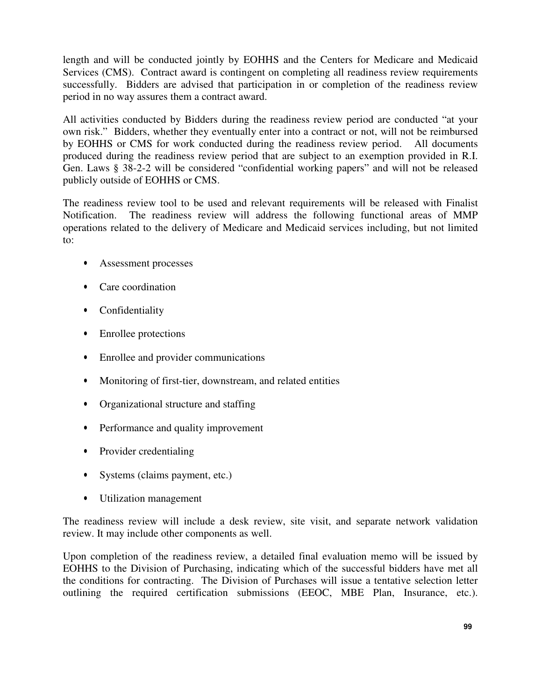length and will be conducted jointly by EOHHS and the Centers for Medicare and Medicaid Services (CMS). Contract award is contingent on completing all readiness review requirements successfully. Bidders are advised that participation in or completion of the readiness review period in no way assures them a contract award.

All activities conducted by Bidders during the readiness review period are conducted "at your own risk." Bidders, whether they eventually enter into a contract or not, will not be reimbursed by EOHHS or CMS for work conducted during the readiness review period. All documents produced during the readiness review period that are subject to an exemption provided in R.I. Gen. Laws § 38-2-2 will be considered "confidential working papers" and will not be released publicly outside of EOHHS or CMS.

The readiness review tool to be used and relevant requirements will be released with Finalist Notification. The readiness review will address the following functional areas of MMP operations related to the delivery of Medicare and Medicaid services including, but not limited to:

- Assessment processes
- Care coordination
- Confidentiality
- Enrollee protections
- Enrollee and provider communications
- Monitoring of first-tier, downstream, and related entities
- Organizational structure and staffing
- Performance and quality improvement
- Provider credentialing
- Systems (claims payment, etc.)
- Utilization management

The readiness review will include a desk review, site visit, and separate network validation review. It may include other components as well.

Upon completion of the readiness review, a detailed final evaluation memo will be issued by EOHHS to the Division of Purchasing, indicating which of the successful bidders have met all the conditions for contracting. The Division of Purchases will issue a tentative selection letter outlining the required certification submissions (EEOC, MBE Plan, Insurance, etc.).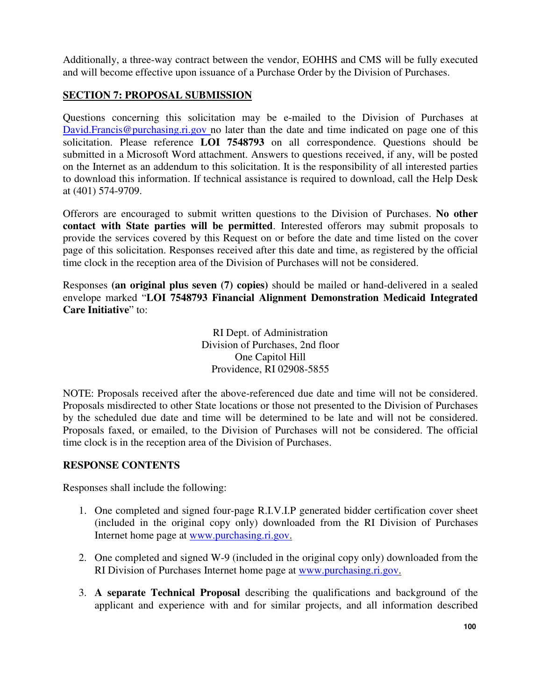Additionally, a three-way contract between the vendor, EOHHS and CMS will be fully executed and will become effective upon issuance of a Purchase Order by the Division of Purchases.

### **SECTION 7: PROPOSAL SUBMISSION**

Questions concerning this solicitation may be e-mailed to the Division of Purchases at David.Francis@purchasing.ri.gov no later than the date and time indicated on page one of this solicitation. Please reference **LOI 7548793** on all correspondence. Questions should be submitted in a Microsoft Word attachment. Answers to questions received, if any, will be posted on the Internet as an addendum to this solicitation. It is the responsibility of all interested parties to download this information. If technical assistance is required to download, call the Help Desk at (401) 574-9709.

Offerors are encouraged to submit written questions to the Division of Purchases. **No other contact with State parties will be permitted**. Interested offerors may submit proposals to provide the services covered by this Request on or before the date and time listed on the cover page of this solicitation. Responses received after this date and time, as registered by the official time clock in the reception area of the Division of Purchases will not be considered.

Responses **(an original plus seven (7) copies)** should be mailed or hand-delivered in a sealed envelope marked "**LOI 7548793 Financial Alignment Demonstration Medicaid Integrated Care Initiative**" to:

> RI Dept. of Administration Division of Purchases, 2nd floor One Capitol Hill Providence, RI 02908-5855

NOTE: Proposals received after the above-referenced due date and time will not be considered. Proposals misdirected to other State locations or those not presented to the Division of Purchases by the scheduled due date and time will be determined to be late and will not be considered. Proposals faxed, or emailed, to the Division of Purchases will not be considered. The official time clock is in the reception area of the Division of Purchases.

#### **RESPONSE CONTENTS**

Responses shall include the following:

- 1. One completed and signed four-page R.I.V.I.P generated bidder certification cover sheet (included in the original copy only) downloaded from the RI Division of Purchases Internet home page at www.purchasing.ri.gov.
- 2. One completed and signed W-9 (included in the original copy only) downloaded from the RI Division of Purchases Internet home page at www.purchasing.ri.gov.
- 3. **A separate Technical Proposal** describing the qualifications and background of the applicant and experience with and for similar projects, and all information described